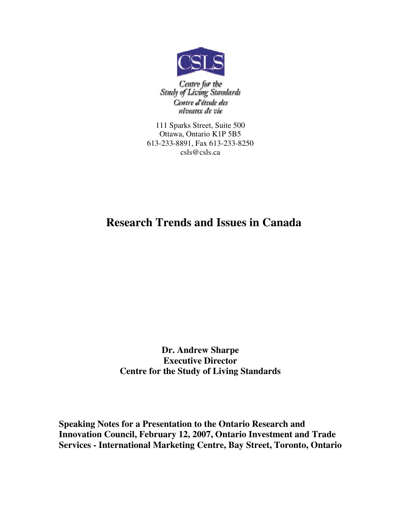

Centre for the<br>Study of Living Standards Centre d'étude des niveaux de vie

111 Sparks Street, Suite 500 Ottawa, Ontario K1P 5B5 613-233-8891, Fax 613-233-8250 csls@csls.ca

# **Research Trends and Issues in Canada**

**Dr. Andrew Sharpe Executive Director Centre for the Study of Living Standards**

**Speaking Notes for a Presentation to the Ontario Research and Innovation Council, February 12, 2007, Ontario Investment and Trade Services - International Marketing Centre, Bay Street, Toronto, Ontario**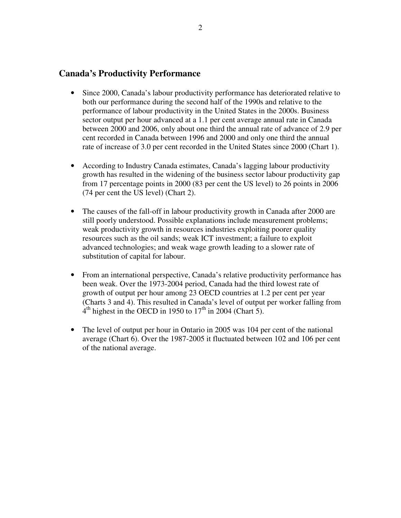#### **Canada's Productivity Performance**

- Since 2000, Canada's labour productivity performance has deteriorated relative to both our performance during the second half of the 1990s and relative to the performance of labour productivity in the United States in the 2000s. Business sector output per hour advanced at a 1.1 per cent average annual rate in Canada between 2000 and 2006, only about one third the annual rate of advance of 2.9 per cent recorded in Canada between 1996 and 2000 and only one third the annual rate of increase of 3.0 per cent recorded in the United States since 2000 (Chart 1).
- According to Industry Canada estimates, Canada's lagging labour productivity growth has resulted in the widening of the business sector labour productivity gap from 17 percentage points in 2000 (83 per cent the US level) to 26 points in 2006 (74 per cent the US level) (Chart 2).
- The causes of the fall-off in labour productivity growth in Canada after 2000 are still poorly understood. Possible explanations include measurement problems; weak productivity growth in resources industries exploiting poorer quality resources such as the oil sands; weak ICT investment; a failure to exploit advanced technologies; and weak wage growth leading to a slower rate of substitution of capital for labour.
- From an international perspective, Canada's relative productivity performance has been weak. Over the 1973-2004 period, Canada had the third lowest rate of growth of output per hour among 23 OECD countries at 1.2 per cent per year (Charts 3 and 4). This resulted in Canada's level of output per worker falling from  $4<sup>th</sup>$  highest in the OECD in 1950 to 17<sup>th</sup> in 2004 (Chart 5).
- The level of output per hour in Ontario in 2005 was 104 per cent of the national average (Chart 6). Over the 1987-2005 it fluctuated between 102 and 106 per cent of the national average.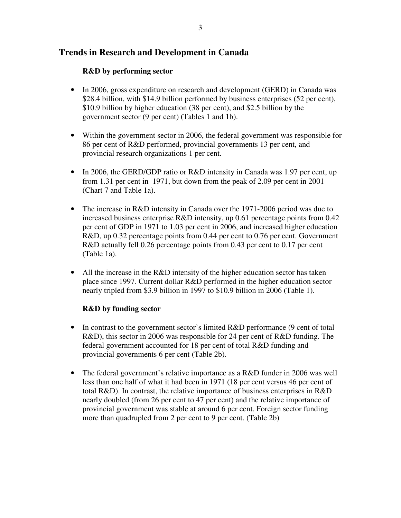### **Trends in Research and Development in Canada**

#### **R&D by performing sector**

- In 2006, gross expenditure on research and development (GERD) in Canada was \$28.4 billion, with \$14.9 billion performed by business enterprises (52 per cent), \$10.9 billion by higher education (38 per cent), and \$2.5 billion by the government sector (9 per cent) (Tables 1 and 1b).
- Within the government sector in 2006, the federal government was responsible for 86 per cent of R&D performed, provincial governments 13 per cent, and provincial research organizations 1 per cent.
- In 2006, the GERD/GDP ratio or R&D intensity in Canada was 1.97 per cent, up from 1.31 per cent in 1971, but down from the peak of 2.09 per cent in 2001 (Chart 7 and Table 1a).
- The increase in R&D intensity in Canada over the 1971-2006 period was due to increased business enterprise R&D intensity, up 0.61 percentage points from 0.42 per cent of GDP in 1971 to 1.03 per cent in 2006, and increased higher education R&D, up 0.32 percentage points from 0.44 per cent to 0.76 per cent. Government R&D actually fell 0.26 percentage points from 0.43 per cent to 0.17 per cent (Table 1a).
- All the increase in the R&D intensity of the higher education sector has taken place since 1997. Current dollar R&D performed in the higher education sector nearly tripled from \$3.9 billion in 1997 to \$10.9 billion in 2006 (Table 1).

#### **R&D by funding sector**

- In contrast to the government sector's limited R&D performance (9 cent of total R&D), this sector in 2006 was responsible for 24 per cent of R&D funding. The federal government accounted for 18 per cent of total R&D funding and provincial governments 6 per cent (Table 2b).
- The federal government's relative importance as a R&D funder in 2006 was well less than one half of what it had been in 1971 (18 per cent versus 46 per cent of total R&D). In contrast, the relative importance of business enterprises in R&D nearly doubled (from 26 per cent to 47 per cent) and the relative importance of provincial government was stable at around 6 per cent. Foreign sector funding more than quadrupled from 2 per cent to 9 per cent. (Table 2b)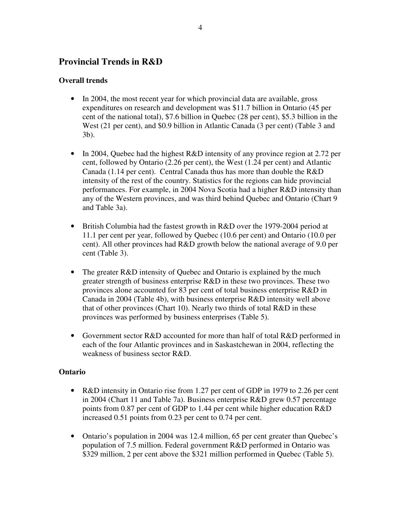### **Provincial Trends in R&D**

#### **Overall trends**

- In 2004, the most recent year for which provincial data are available, gross expenditures on research and development was \$11.7 billion in Ontario (45 per cent of the national total), \$7.6 billion in Quebec (28 per cent), \$5.3 billion in the West (21 per cent), and \$0.9 billion in Atlantic Canada (3 per cent) (Table 3 and 3b).
- In 2004, Quebec had the highest R&D intensity of any province region at 2.72 per cent, followed by Ontario (2.26 per cent), the West (1.24 per cent) and Atlantic Canada (1.14 per cent). Central Canada thus has more than double the R&D intensity of the rest of the country. Statistics for the regions can hide provincial performances. For example, in 2004 Nova Scotia had a higher R&D intensity than any of the Western provinces, and was third behind Quebec and Ontario (Chart 9 and Table 3a).
- British Columbia had the fastest growth in R&D over the 1979-2004 period at 11.1 per cent per year, followed by Quebec (10.6 per cent) and Ontario (10.0 per cent). All other provinces had R&D growth below the national average of 9.0 per cent (Table 3).
- The greater R&D intensity of Quebec and Ontario is explained by the much greater strength of business enterprise R&D in these two provinces. These two provinces alone accounted for 83 per cent of total business enterprise R&D in Canada in 2004 (Table 4b), with business enterprise R&D intensity well above that of other provinces (Chart 10). Nearly two thirds of total R&D in these provinces was performed by business enterprises (Table 5).
- Government sector R&D accounted for more than half of total R&D performed in each of the four Atlantic provinces and in Saskastchewan in 2004, reflecting the weakness of business sector R&D.

#### **Ontario**

- R&D intensity in Ontario rise from 1.27 per cent of GDP in 1979 to 2.26 per cent in 2004 (Chart 11 and Table 7a). Business enterprise R&D grew 0.57 percentage points from 0.87 per cent of GDP to 1.44 per cent while higher education R&D increased 0.51 points from 0.23 per cent to 0.74 per cent.
- Ontario's population in 2004 was 12.4 million, 65 per cent greater than Ouebec's population of 7.5 million. Federal government R&D performed in Ontario was \$329 million, 2 per cent above the \$321 million performed in Quebec (Table 5).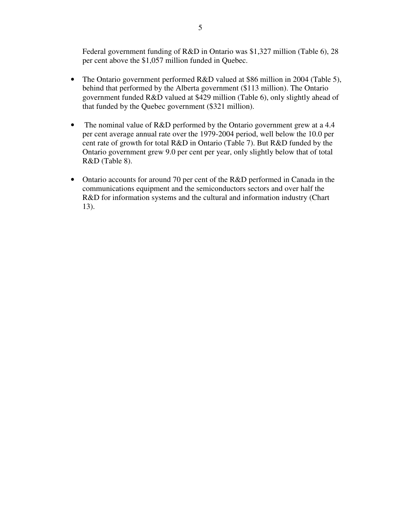Federal government funding of R&D in Ontario was \$1,327 million (Table 6), 28 per cent above the \$1,057 million funded in Quebec.

- The Ontario government performed R&D valued at \$86 million in 2004 (Table 5), behind that performed by the Alberta government (\$113 million). The Ontario government funded R&D valued at \$429 million (Table 6), only slightly ahead of that funded by the Quebec government (\$321 million).
- The nominal value of R&D performed by the Ontario government grew at a 4.4 per cent average annual rate over the 1979-2004 period, well below the 10.0 per cent rate of growth for total R&D in Ontario (Table 7). But R&D funded by the Ontario government grew 9.0 per cent per year, only slightly below that of total R&D (Table 8).
- Ontario accounts for around 70 per cent of the R&D performed in Canada in the communications equipment and the semiconductors sectors and over half the R&D for information systems and the cultural and information industry (Chart 13).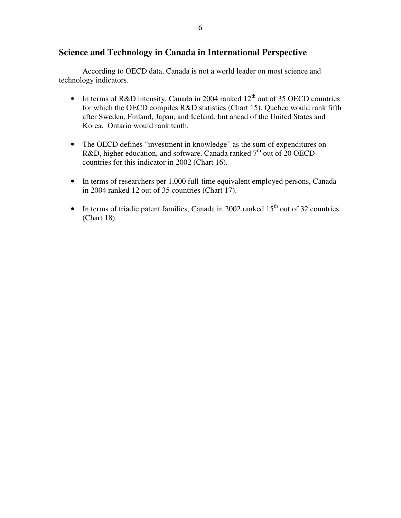### **Science and Technology in Canada in International Perspective**

According to OECD data, Canada is not a world leader on most science and technology indicators.

- In terms of R&D intensity, Canada in 2004 ranked  $12<sup>th</sup>$  out of 35 OECD countries for which the OECD compiles R&D statistics (Chart 15). Quebec would rank fifth after Sweden, Finland, Japan, and Iceland, but ahead of the United States and Korea. Ontario would rank tenth.
- The OECD defines "investment in knowledge" as the sum of expenditures on R&D, higher education, and software. Canada ranked  $7<sup>th</sup>$  out of 20 OECD countries for this indicator in 2002 (Chart 16).
- In terms of researchers per 1,000 full-time equivalent employed persons, Canada in 2004 ranked 12 out of 35 countries (Chart 17).
- In terms of triadic patent families, Canada in 2002 ranked  $15<sup>th</sup>$  out of 32 countries (Chart 18).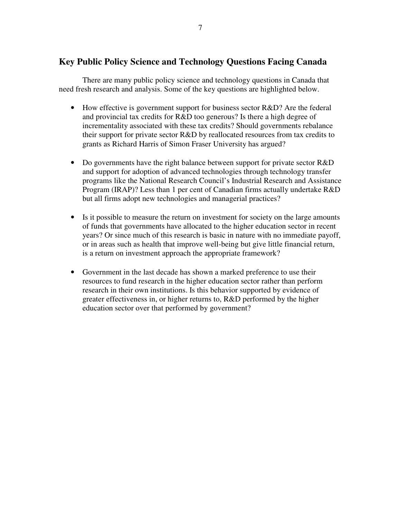### **Key Public Policy Science and Technology Questions Facing Canada**

There are many public policy science and technology questions in Canada that need fresh research and analysis. Some of the key questions are highlighted below.

- How effective is government support for business sector R&D? Are the federal and provincial tax credits for R&D too generous? Is there a high degree of incrementality associated with these tax credits? Should governments rebalance their support for private sector R&D by reallocated resources from tax credits to grants as Richard Harris of Simon Fraser University has argued?
- Do governments have the right balance between support for private sector R&D and support for adoption of advanced technologies through technology transfer programs like the National Research Council's Industrial Research and Assistance Program (IRAP)? Less than 1 per cent of Canadian firms actually undertake R&D but all firms adopt new technologies and managerial practices?
- Is it possible to measure the return on investment for society on the large amounts of funds that governments have allocated to the higher education sector in recent years? Or since much of this research is basic in nature with no immediate payoff, or in areas such as health that improve well-being but give little financial return, is a return on investment approach the appropriate framework?
- Government in the last decade has shown a marked preference to use their resources to fund research in the higher education sector rather than perform research in their own institutions. Is this behavior supported by evidence of greater effectiveness in, or higher returns to, R&D performed by the higher education sector over that performed by government?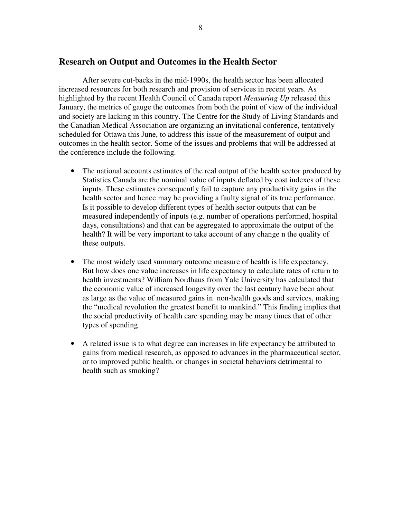#### **Research on Output and Outcomes in the Health Sector**

After severe cut-backs in the mid-1990s, the health sector has been allocated increased resources for both research and provision of services in recent years. As highlighted by the recent Health Council of Canada report *Measuring Up* released this January, the metrics of gauge the outcomes from both the point of view of the individual and society are lacking in this country. The Centre for the Study of Living Standards and the Canadian Medical Association are organizing an invitational conference, tentatively scheduled for Ottawa this June, to address this issue of the measurement of output and outcomes in the health sector. Some of the issues and problems that will be addressed at the conference include the following.

- The national accounts estimates of the real output of the health sector produced by Statistics Canada are the nominal value of inputs deflated by cost indexes of these inputs. These estimates consequently fail to capture any productivity gains in the health sector and hence may be providing a faulty signal of its true performance. Is it possible to develop different types of health sector outputs that can be measured independently of inputs (e.g. number of operations performed, hospital days, consultations) and that can be aggregated to approximate the output of the health? It will be very important to take account of any change n the quality of these outputs.
- The most widely used summary outcome measure of health is life expectancy. But how does one value increases in life expectancy to calculate rates of return to health investments? William Nordhaus from Yale University has calculated that the economic value of increased longevity over the last century have been about as large as the value of measured gains in non-health goods and services, making the "medical revolution the greatest benefit to mankind." This finding implies that the social productivity of health care spending may be many times that of other types of spending.
- A related issue is to what degree can increases in life expectancy be attributed to gains from medical research, as opposed to advances in the pharmaceutical sector, or to improved public health, or changes in societal behaviors detrimental to health such as smoking?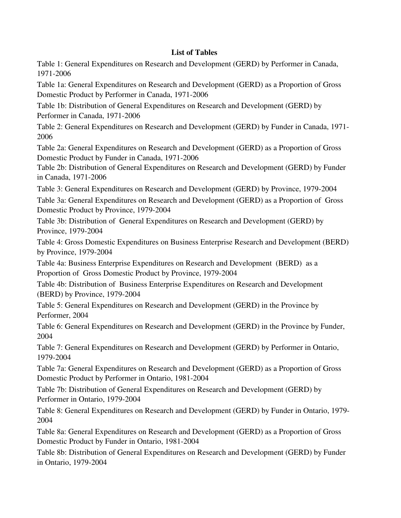#### **List of Tables**

Table 1: General Expenditures on Research and Development (GERD) by Performer in Canada, 1971-2006

Table 1a: General Expenditures on Research and Development (GERD) as a Proportion of Gross Domestic Product by Performer in Canada, 1971-2006

Table 1b: Distribution of General Expenditures on Research and Development (GERD) by Performer in Canada, 1971-2006

Table 2: General Expenditures on Research and Development (GERD) by Funder in Canada, 1971- 2006

Table 2a: General Expenditures on Research and Development (GERD) as a Proportion of Gross Domestic Product by Funder in Canada, 1971-2006

Table 2b: Distribution of General Expenditures on Research and Development (GERD) by Funder in Canada, 1971-2006

Table 3: General Expenditures on Research and Development (GERD) by Province, 1979-2004 Table 3a: General Expenditures on Research and Development (GERD) as a Proportion of Gross Domestic Product by Province, 1979-2004

Table 3b: Distribution of General Expenditures on Research and Development (GERD) by Province, 1979-2004

Table 4: Gross Domestic Expenditures on Business Enterprise Research and Development (BERD) by Province, 1979-2004

Table 4a: Business Enterprise Expenditures on Research and Development (BERD) as a Proportion of Gross Domestic Product by Province, 1979-2004

Table 4b: Distribution of Business Enterprise Expenditures on Research and Development (BERD) by Province, 1979-2004

Table 5: General Expenditures on Research and Development (GERD) in the Province by Performer, 2004

Table 6: General Expenditures on Research and Development (GERD) in the Province by Funder, 2004

Table 7: General Expenditures on Research and Development (GERD) by Performer in Ontario, 1979-2004

Table 7a: General Expenditures on Research and Development (GERD) as a Proportion of Gross Domestic Product by Performer in Ontario, 1981-2004

Table 7b: Distribution of General Expenditures on Research and Development (GERD) by Performer in Ontario, 1979-2004

Table 8: General Expenditures on Research and Development (GERD) by Funder in Ontario, 1979- 2004

Table 8a: General Expenditures on Research and Development (GERD) as a Proportion of Gross Domestic Product by Funder in Ontario, 1981-2004

Table 8b: Distribution of General Expenditures on Research and Development (GERD) by Funder in Ontario, 1979-2004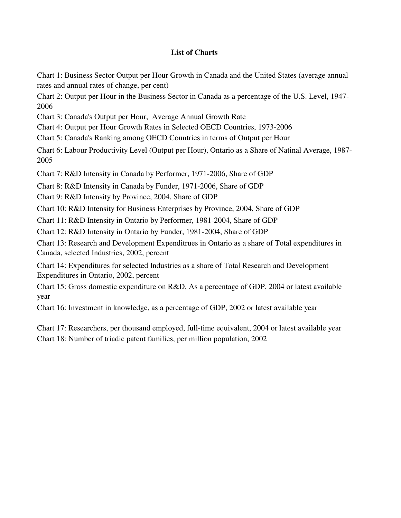#### **List of Charts**

Chart 1: Business Sector Output per Hour Growth in Canada and the United States (average annual rates and annual rates of change, per cent)

Chart 2: Output per Hour in the Business Sector in Canada as a percentage of the U.S. Level, 1947- 2006

Chart 3: Canada's Output per Hour, Average Annual Growth Rate

Chart 4: Output per Hour Growth Rates in Selected OECD Countries, 1973-2006

Chart 5: Canada's Ranking among OECD Countries in terms of Output per Hour

Chart 6: Labour Productivity Level (Output per Hour), Ontario as a Share of Natinal Average, 1987- 2005

Chart 7: R&D Intensity in Canada by Performer, 1971-2006, Share of GDP

Chart 8: R&D Intensity in Canada by Funder, 1971-2006, Share of GDP

Chart 9: R&D Intensity by Province, 2004, Share of GDP

Chart 10: R&D Intensity for Business Enterprises by Province, 2004, Share of GDP

Chart 11: R&D Intensity in Ontario by Performer, 1981-2004, Share of GDP

Chart 12: R&D Intensity in Ontario by Funder, 1981-2004, Share of GDP

Chart 13: Research and Development Expenditrues in Ontario as a share of Total expenditures in Canada, selected Industries, 2002, percent

Chart 14: Expenditures for selected Industries as a share of Total Research and Development Expenditures in Ontario, 2002, percent

Chart 15: Gross domestic expenditure on R&D, As a percentage of GDP, 2004 or latest available year

Chart 16: Investment in knowledge, as a percentage of GDP, 2002 or latest available year

Chart 17: Researchers, per thousand employed, full-time equivalent, 2004 or latest available year Chart 18: Number of triadic patent families, per million population, 2002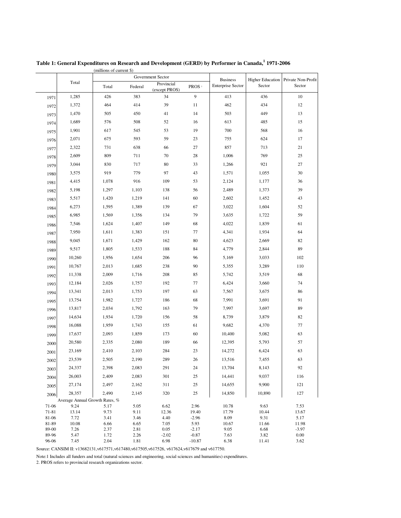|                |                                          |              |              | Government Sector           |                     | <b>Business</b>          |               | Higher Education Private Non-Profit |  |
|----------------|------------------------------------------|--------------|--------------|-----------------------------|---------------------|--------------------------|---------------|-------------------------------------|--|
|                | Total                                    | Total        | Federal      | Provincial<br>(except PROS) | PROS <sup>2</sup>   | <b>Enterprise Sector</b> | Sector        | Sector                              |  |
| 1971           | 1,285                                    | 426          | 383          | 34                          | 9                   | 413                      | 436           | 10                                  |  |
| 1972           | 1,372                                    | 464          | 414          | 39                          | 11                  | 462                      | 434           | 12                                  |  |
| 1973           | 1,470                                    | 505          | 450          | 41                          | 14                  | 503                      | 449           | 13                                  |  |
| 1974           | 1,689                                    | 576          | 508          | 52                          | 16                  | 613                      | 485           | 15                                  |  |
| 1975           | 1,901                                    | 617          | 545          | 53                          | 19                  | 700                      | 568           | 16                                  |  |
| 1976           | 2,071                                    | 675          | 593          | 59                          | 23                  | 755                      | 624           | 17                                  |  |
| 1977           | 2,322                                    | 731          | 638          | 66                          | 27                  | 857                      | 713           | 21                                  |  |
| 1978           | 2,609                                    | 809          | 711          | 70                          | 28                  | 1,006                    | 769           | 25                                  |  |
| 1979           | 3,044                                    | 830          | 717          | 80                          | 33                  | 1,266                    | 921           | 27                                  |  |
| 1980           | 3,575                                    | 919          | 779          | 97                          | 43                  | 1,571                    | 1,055         | 30                                  |  |
| 1981           | 4,415                                    | 1,078        | 916          | 109                         | 53                  | 2,124                    | 1,177         | 36                                  |  |
| 1982           | 5,198                                    | 1,297        | 1,103        | 138                         | 56                  | 2,489                    | 1,373         | 39                                  |  |
| 1983           | 5,517                                    | 1,420        | 1,219        | 141                         | 60                  | 2,602                    | 1,452         | 43                                  |  |
| 1984           | 6,273                                    | 1,595        | 1,389        | 139                         | 67                  | 3,022                    | 1,604         | 52                                  |  |
| 1985           | 6,985                                    | 1,569        | 1,356        | 134                         | 79                  | 3,635                    | 1,722         | 59                                  |  |
| 1986           | 7,546                                    | 1,624        | 1,407        | 149                         | 68                  | 4,022                    | 1,839         | 61                                  |  |
| 1987           | 7,950                                    | 1,611        | 1,383        | 151                         | 77                  | 4,341                    | 1,934         | 64                                  |  |
| 1988           | 9,045                                    | 1,671        | 1,429        | 162                         | 80                  | 4,623                    | 2,669         | 82                                  |  |
| 1989           | 9,517                                    | 1,805        | 1,533        | 188                         | 84                  | 4,779                    | 2,844         | 89                                  |  |
| 1990           | 10,260                                   | 1,956        | 1,654        | 206                         | 96                  | 5,169                    | 3,033         | 102                                 |  |
| 1991           | 10,767                                   | 2,013        | 1,685        | 238                         | 90                  | 5,355                    | 3,289         | 110                                 |  |
| 1992           | 11,338                                   | 2,009        | 1,716        | 208                         | 85                  | 5,742                    | 3,519         | 68                                  |  |
| 1993           | 12,184                                   | 2,026        | 1,757        | 192                         | 77                  | 6,424                    | 3,660         | 74                                  |  |
| 1994           | 13,341                                   | 2,013        | 1,753        | 197                         | 63                  | 7,567                    | 3,675         | 86                                  |  |
|                | 13,754                                   | 1,982        | 1,727        | 186                         | 68                  | 7,991                    | 3,691         | 91                                  |  |
| 1995           | 13,817                                   | 2,034        | 1,792        | 163                         | 79                  | 7,997                    | 3,697         | 89                                  |  |
| 1996           | 14,634                                   | 1,934        | 1,720        | 156                         | 58                  | 8,739                    | 3,879         | 82                                  |  |
| 1997           | 16,088                                   | 1,959        | 1,743        | 155                         | 61                  | 9,682                    | 4,370         | 77                                  |  |
| 1998           | 17,637                                   | 2,093        | 1,859        | 173                         | 60                  | 10,400                   | 5,082         | 63                                  |  |
| 1999           | 20,580                                   | 2,335        | 2,080        | 189                         | 66                  | 12,395                   | 5,793         | 57                                  |  |
| 2000           | 23,169                                   | 2,410        | 2,103        | 284                         | 23                  | 14,272                   | 6,424         | 63                                  |  |
| 2001           | 23,539                                   | 2,505        | 2,190        | 289                         | 26                  | 13,516                   | 7,455         | 63                                  |  |
| 2002           |                                          |              |              |                             |                     |                          |               |                                     |  |
| 2003           | 24,337                                   | 2,398        | 2,083        | 291<br>301                  | 24                  | 13,704                   | 8,143         | 92                                  |  |
| 2004           | 26,003                                   | 2,409        | 2,083        |                             | 25                  | 14,441                   | 9,037         | 116                                 |  |
| 2005           | 27,174                                   | 2,497        | 2,162        | 311                         | 25                  | 14,655                   | 9,900         | 121                                 |  |
| 2006           | 28,357<br>Average Annual Growth Rates, % | 2,490        | 2,145        | 320                         | 25                  | 14,850                   | 10,890        | 127                                 |  |
| 71-06          | 9.24                                     | 5.17         | 5.05         | 6.62                        | 2.96                | 10.78                    | 9.63          | 7.53                                |  |
| 71-81          | 13.14                                    | 9.73         | 9.11         | 12.36                       | 19.40               | 17.79                    | 10.44         | 13.67                               |  |
| 81-06          | 7.72                                     | 3.41         | 3.46         | 4.40                        | $-2.96$             | 8.09                     | 9.31          | 5.17                                |  |
| 81-89          | 10.08                                    | 6.66         | 6.65         | 7.05                        | 5.93                | 10.67                    | 11.66         | 11.98                               |  |
| 89-00          | 7.26                                     | 2.37         | 2.81         | 0.05                        | $-2.17$             | 9.05                     | 6.68          | $-3.97$                             |  |
| 89-96<br>96-06 | 5.47<br>7.45                             | 1.72<br>2.04 | 2.26<br>1.81 | $-2.02$<br>6.98             | $-0.87$<br>$-10.87$ | 7.63<br>6.38             | 3.82<br>11.41 | 0.00<br>3.62                        |  |
|                |                                          |              |              |                             |                     |                          |               |                                     |  |

(millions of current \$) **Table 1: General Expenditures on Research and Development (GERD) by Performer in Canada, 1 1971-2006**

Source: CANSIM II: v13682131,v617571,v617480,v617505,v617526, v617624,v617679 and v617750.

Note:1 Includes all funders and total (natural sciences and engineering, social sciences and humanities) expenditures.

2. PROS refers to provincial research organizations sector.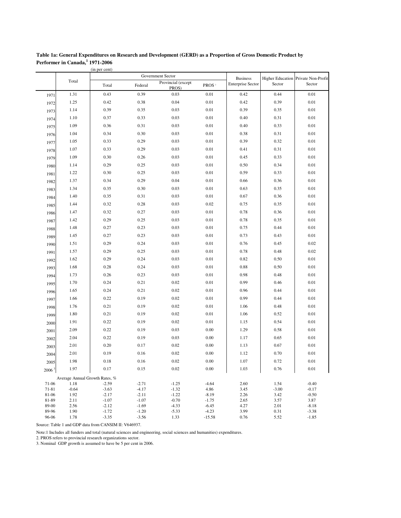| Table 1a: General Expenditures on Research and Development (GERD) as a Proportion of Gross Domestic Product by |
|----------------------------------------------------------------------------------------------------------------|
| Performer in Canada, 1971-2006                                                                                 |

|                    |                                | (in per cent)      |                    |                             |                    |                          |                 |                                     |
|--------------------|--------------------------------|--------------------|--------------------|-----------------------------|--------------------|--------------------------|-----------------|-------------------------------------|
|                    |                                |                    |                    | Government Sector           |                    | <b>Business</b>          |                 | Higher Education Private Non-Profit |
|                    | Total                          | Total              | Federal            | Provincial (except<br>PROS) | PROS <sup>2</sup>  | <b>Enterprise Sector</b> | Sector          | Sector                              |
| 1971               | 1.31                           | 0.43               | 0.39               | 0.03                        | $0.01\,$           | 0.42                     | 0.44            | 0.01                                |
| 1972               | 1.25                           | 0.42               | 0.38               | 0.04                        | 0.01               | 0.42                     | 0.39            | 0.01                                |
| 1973               | 1.14                           | 0.39               | 0.35               | 0.03                        | 0.01               | 0.39                     | 0.35            | 0.01                                |
| 1974               | 1.10                           | 0.37               | 0.33               | 0.03                        | 0.01               | 0.40                     | 0.31            | 0.01                                |
| 1975               | 1.09                           | 0.36               | 0.31               | 0.03                        | 0.01               | 0.40                     | 0.33            | 0.01                                |
| 1976               | 1.04                           | 0.34               | 0.30               | 0.03                        | 0.01               | 0.38                     | 0.31            | 0.01                                |
| 1977               | 1.05                           | 0.33               | 0.29               | 0.03                        | 0.01               | 0.39                     | 0.32            | 0.01                                |
| 1978               | 1.07                           | 0.33               | 0.29               | 0.03                        | 0.01               | 0.41                     | 0.31            | 0.01                                |
| 1979               | 1.09                           | 0.30               | 0.26               | 0.03                        | 0.01               | 0.45                     | 0.33            | 0.01                                |
| 1980               | 1.14                           | 0.29               | 0.25               | 0.03                        | 0.01               | 0.50                     | 0.34            | 0.01                                |
| 1981               | 1.22                           | 0.30               | 0.25               | 0.03                        | 0.01               | 0.59                     | 0.33            | 0.01                                |
| 1982               | 1.37                           | 0.34               | 0.29               | 0.04                        | 0.01               | 0.66                     | 0.36            | 0.01                                |
| 1983               | 1.34                           | 0.35               | 0.30               | 0.03                        | 0.01               | 0.63                     | 0.35            | 0.01                                |
| 1984               | 1.40                           | 0.35               | 0.31               | 0.03                        | 0.01               | 0.67                     | 0.36            | 0.01                                |
| 1985               | 1.44                           | 0.32               | 0.28               | 0.03                        | 0.02               | 0.75                     | 0.35            | 0.01                                |
| 1986               | 1.47                           | 0.32               | 0.27               | 0.03                        | 0.01               | 0.78                     | 0.36            | 0.01                                |
| 1987               | 1.42                           | 0.29               | 0.25               | 0.03                        | 0.01               | 0.78                     | 0.35            | 0.01                                |
| 1988               | 1.48                           | 0.27               | 0.23               | 0.03                        | 0.01               | 0.75                     | 0.44            | 0.01                                |
| 1989               | 1.45                           | 0.27               | 0.23               | 0.03                        | 0.01               | 0.73                     | 0.43            | 0.01                                |
| 1990               | 1.51                           | 0.29               | 0.24               | 0.03                        | 0.01               | 0.76                     | 0.45            | 0.02                                |
| 1991               | 1.57                           | 0.29               | 0.25               | 0.03                        | 0.01               | 0.78                     | 0.48            | 0.02                                |
| 1992               | 1.62                           | 0.29               | 0.24               | 0.03                        | 0.01               | 0.82                     | 0.50            | 0.01                                |
| 1993               | 1.68                           | 0.28               | 0.24               | 0.03                        | 0.01               | 0.88                     | 0.50            | 0.01                                |
| 1994               | 1.73                           | 0.26               | 0.23               | 0.03                        | 0.01               | 0.98                     | 0.48            | 0.01                                |
|                    | 1.70                           | 0.24               | 0.21               | 0.02                        | 0.01               | 0.99                     | 0.46            | 0.01                                |
| 1995               | 1.65                           | 0.24               | 0.21               | 0.02                        | 0.01               | 0.96                     | 0.44            | 0.01                                |
| 1996               | 1.66                           | 0.22               | 0.19               | 0.02                        | 0.01               | 0.99                     | 0.44            | 0.01                                |
| 1997               | 1.76                           | 0.21               | 0.19               | 0.02                        | 0.01               | 1.06                     | 0.48            | 0.01                                |
| 1998               | 1.80                           | 0.21               | 0.19               | 0.02                        | 0.01               | 1.06                     | 0.52            | 0.01                                |
| 1999               | 1.91                           | 0.22               | 0.19               | 0.02                        | 0.01               | 1.15                     | 0.54            | 0.01                                |
| 2000               | 2.09                           | 0.22               | 0.19               | 0.03                        | 0.00               |                          | 0.58            | 0.01                                |
| 2001               |                                |                    |                    |                             |                    | 1.29                     |                 | 0.01                                |
| 2002               | 2.04                           | 0.22               | 0.19               | 0.03                        | 0.00               | 1.17                     | 0.65            |                                     |
| 2003               | 2.01                           | 0.20               | 0.17               | 0.02                        | 0.00               | 1.13                     | 0.67            | 0.01                                |
| 2004               | 2.01                           | 0.19               | 0.16               | 0.02                        | 0.00               | 1.12                     | 0.70            | 0.01                                |
| 2005               | 1.98                           | 0.18               | 0.16               | 0.02                        | $0.00\,$           | 1.07                     | 0.72            | $0.01\,$                            |
| 2006 <sup>3</sup>  | 1.97                           | 0.17               | 0.15               | 0.02                        | 0.00               | 1.03                     | 0.76            | 0.01                                |
|                    | Average Annual Growth Rates, % |                    |                    |                             |                    |                          |                 |                                     |
| 71-06<br>$71 - 81$ | 1.18<br>$-0.64$                | $-2.59$<br>$-3.63$ | $-2.71$<br>$-4.17$ | $-1.25$<br>$-1.32$          | $-4.64$<br>4.86    | 2.60<br>3.45             | 1.54<br>$-3.00$ | $-0.40$<br>$-0.17$                  |
| 81-06              | 1.92                           | $-2.17$            | $-2.11$            | $-1.22$                     | $-8.19$            | 2.26                     | 3.42            | $-0.50$                             |
| 81-89              | 2.11                           | $-1.07$            | $-1.07$            | $-0.70$                     | $-1.75$            | 2.65                     | 3.57            | 3.87                                |
| 89-00<br>89-96     | 2.56<br>1.90                   | $-2.12$<br>$-1.72$ | $-1.69$<br>$-1.20$ | $-4.33$<br>$-5.33$          | $-6.45$<br>$-4.23$ | 4.27<br>3.99             | 2.01<br>0.31    | $-8.18$<br>$-3.38$                  |
| 96-06              | 1.78                           | $-3.35$            | $-3.56$            | 1.33                        | $-15.58$           | 0.76                     | 5.52            | $-1.85$                             |

Source: Table 1 and GDP data from CANSIM II: V646937.

Note:1 Includes all funders and total (natural sciences and engineering, social sciences and humanities) expenditures.

2. PROS refers to provincial research organizations sector.

3. Nominal GDP growth is assumed to have be 5 per cent in 2006.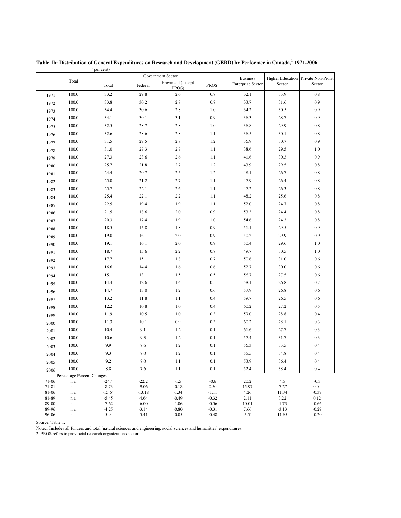|                |                            |                     |                    | Government Sector           |                    | <b>Business</b>          |                  | Higher Education Private Non-Profit |
|----------------|----------------------------|---------------------|--------------------|-----------------------------|--------------------|--------------------------|------------------|-------------------------------------|
|                | Total                      | Total               | Federal            | Provincial (except<br>PROS) | PROS <sup>2</sup>  | <b>Enterprise Sector</b> | Sector           | Sector                              |
| 1971           | 100.0                      | 33.2                | 29.8               | 2.6                         | 0.7                | 32.1                     | 33.9             | 0.8                                 |
| 1972           | 100.0                      | 33.8                | 30.2               | 2.8                         | $0.8\,$            | 33.7                     | 31.6             | 0.9                                 |
| 1973           | 100.0                      | 34.4                | 30.6               | 2.8                         | 1.0                | 34.2                     | 30.5             | 0.9                                 |
| 1974           | 100.0                      | 34.1                | 30.1               | 3.1                         | 0.9                | 36.3                     | 28.7             | 0.9                                 |
| 1975           | 100.0                      | 32.5                | 28.7               | 2.8                         | 1.0                | 36.8                     | 29.9             | $0.8\,$                             |
| 1976           | 100.0                      | 32.6                | 28.6               | 2.8                         | 1.1                | 36.5                     | 30.1             | $0.8\,$                             |
| 1977           | 100.0                      | 31.5                | 27.5               | 2.8                         | 1.2                | 36.9                     | 30.7             | 0.9                                 |
| 1978           | 100.0                      | 31.0                | 27.3               | 2.7                         | 1.1                | 38.6                     | 29.5             | 1.0                                 |
| 1979           | 100.0                      | 27.3                | 23.6               | 2.6                         | 1.1                | 41.6                     | 30.3             | 0.9                                 |
| 1980           | 100.0                      | 25.7                | 21.8               | 2.7                         | 1.2                | 43.9                     | 29.5             | $0.8\,$                             |
| 1981           | 100.0                      | 24.4                | 20.7               | 2.5                         | 1.2                | 48.1                     | 26.7             | $0.8\,$                             |
| 1982           | 100.0                      | 25.0                | 21.2               | 2.7                         | 1.1                | 47.9                     | 26.4             | $0.8\,$                             |
| 1983           | 100.0                      | 25.7                | 22.1               | 2.6                         | 1.1                | 47.2                     | 26.3             | $0.8\,$                             |
| 1984           | 100.0                      | 25.4                | 22.1               | 2.2                         | 1.1                | 48.2                     | 25.6             | $0.8\,$                             |
| 1985           | 100.0                      | 22.5                | 19.4               | 1.9                         | 1.1                | 52.0                     | 24.7             | $0.8\,$                             |
| 1986           | 100.0                      | 21.5                | 18.6               | 2.0                         | 0.9                | 53.3                     | 24.4             | $0.8\,$                             |
| 1987           | 100.0                      | 20.3                | 17.4               | 1.9                         | 1.0                | 54.6                     | 24.3             | $0.8\,$                             |
| 1988           | 100.0                      | 18.5                | 15.8               | 1.8                         | 0.9                | 51.1                     | 29.5             | 0.9                                 |
| 1989           | 100.0                      | 19.0                | 16.1               | 2.0                         | 0.9                | 50.2                     | 29.9             | 0.9                                 |
| 1990           | 100.0                      | 19.1                | 16.1               | 2.0                         | 0.9                | 50.4                     | 29.6             | 1.0                                 |
| 1991           | 100.0                      | 18.7                | 15.6               | 2.2                         | 0.8                | 49.7                     | 30.5             | 1.0                                 |
| 1992           | 100.0                      | 17.7                | 15.1               | 1.8                         | 0.7                | 50.6                     | 31.0             | 0.6                                 |
| 1993           | 100.0                      | 16.6                | 14.4               | 1.6                         | 0.6                | 52.7                     | 30.0             | 0.6                                 |
| 1994           | 100.0                      | 15.1                | 13.1               | 1.5                         | 0.5                | 56.7                     | 27.5             | 0.6                                 |
| 1995           | 100.0                      | 14.4                | 12.6               | 1.4                         | 0.5                | 58.1                     | 26.8             | 0.7                                 |
| 1996           | 100.0                      | 14.7                | 13.0               | 1.2                         | 0.6                | 57.9                     | 26.8             | 0.6                                 |
| 1997           | 100.0                      | 13.2                | 11.8               | 1.1                         | 0.4                | 59.7                     | 26.5             | 0.6                                 |
| 1998           | 100.0                      | 12.2                | 10.8               | 1.0                         | 0.4                | 60.2                     | 27.2             | 0.5                                 |
| 1999           | 100.0                      | 11.9                | 10.5               | 1.0                         | 0.3                | 59.0                     | 28.8             | 0.4                                 |
| 2000           | 100.0                      | 11.3                | 10.1               | 0.9                         | 0.3                | 60.2                     | 28.1             | 0.3                                 |
| 2001           | 100.0                      | 10.4                | 9.1                | 1.2                         | 0.1                | 61.6                     | 27.7             | 0.3                                 |
| 2002           | 100.0                      | 10.6                | 9.3                | 1.2                         | 0.1                | 57.4                     | 31.7             | 0.3                                 |
| 2003           | 100.0                      | 9.9                 | 8.6                | 1.2                         | 0.1                | 56.3                     | 33.5             | 0.4                                 |
| 2004           | 100.0                      | 9.3                 | 8.0                | 1.2                         | 0.1                | 55.5                     | 34.8             | 0.4                                 |
| 2005           | 100.0                      | 9.2                 | 8.0                | 1.1                         | 0.1                | 53.9                     | 36.4             | 0.4                                 |
| 2006           | 100.0                      | 8.8                 | 7.6                | 1.1                         | $0.1\,$            | 52.4                     | 38.4             | 0.4                                 |
|                | Percentage Percent Changes |                     |                    |                             |                    |                          |                  |                                     |
| 71-06          | n.a.                       | $-24.4$             | $-22.2$<br>$-9.06$ | $-1.5$<br>$-0.18$           | $-0.6$<br>0.50     | 20.2                     | 4.5              | $-0.3$                              |
| 71-81<br>81-06 | n.a.<br>n.a.               | $-8.73$<br>$-15.64$ | $-13.18$           | $-1.34$                     | $-1.11$            | 15.97<br>4.26            | $-7.27$<br>11.74 | 0.04<br>$-0.37$                     |
| 81-89          | n.a.                       | $-5.45$             | $-4.64$            | $-0.49$                     | $-0.32$            | 2.11                     | 3.22             | 0.12                                |
| 89-00          | n.a.                       | $-7.62$             | $-6.00$            | $-1.06$                     | $-0.56$            | 10.01                    | $-1.73$          | $-0.66$                             |
| 89-96<br>96-06 | n.a.<br>n.a.               | $-4.25$<br>$-5.94$  | $-3.14$<br>$-5.41$ | $-0.80$<br>$-0.05$          | $-0.31$<br>$-0.48$ | 7.66<br>$-5.51$          | $-3.13$<br>11.65 | $-0.29$<br>$-0.20$                  |

( per cent) Table 1b: Distribution of General Expenditures on Research and Development (GERD) by Performer in Canada, 1971-2006

Source: Table 1.

Note:1 Includes all funders and total (natural sciences and engineering, social sciences and humanities) expenditures.

2. PROS refers to provincial research organizations sector.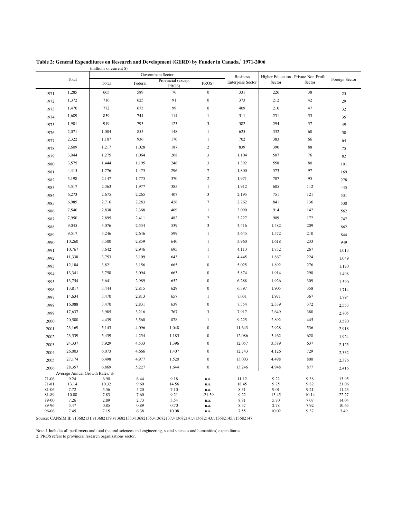|                |                                | (millions of current \$) |              |                             |                         |                          |                         |                    |                |
|----------------|--------------------------------|--------------------------|--------------|-----------------------------|-------------------------|--------------------------|-------------------------|--------------------|----------------|
|                |                                |                          |              | Government Sector           |                         | <b>Business</b>          | <b>Higher Education</b> | Private Non-Profit |                |
|                | Total                          | Total                    | Federal      | Provincial (except<br>PROS) | PROS <sup>2</sup>       | <b>Enterprise Sector</b> | Sector                  | Sector             | Foreign Sector |
| 1971           | 1,285                          | 665                      | 589          | 76                          | $\boldsymbol{0}$        | 331                      | 226                     | 38                 | 25             |
| 1972           | 1,372                          | 716                      | 625          | 91                          | $\boldsymbol{0}$        | 373                      | 212                     | 42                 | 29             |
| 1973           | 1,470                          | 772                      | 673          | 99                          | $\boldsymbol{0}$        | 409                      | 210                     | 47                 | 32             |
| 1974           | 1,689                          | 859                      | 744          | 114                         | $\mathbf{1}$            | 511                      | 231                     | 53                 | 35             |
| 1975           | 1,901                          | 919                      | 793          | 123                         | 3                       | 582                      | 294                     | 57                 | 49             |
| 1976           | 2,071                          | 1,004                    | 855          | 148                         | $\mathbf{1}$            | 625                      | 332                     | 60                 | 50             |
| 1977           | 2,322                          | 1,107                    | 936          | 170                         | $\,1$                   | 702                      | 383                     | 66                 | 64             |
| 1978           | 2,609                          | 1,217                    | 1,028        | 187                         | $\boldsymbol{2}$        | 839                      | 390                     | 88                 | 75             |
| 1979           | 3,044                          | 1,275                    | 1,064        | 208                         | 3                       | 1,104                    | 507                     | 76                 | 82             |
| 1980           | 3,575                          | 1,444                    | 1,195        | 246                         | 3                       | 1,392                    | 558                     | 80                 | 101            |
| 1981           | 4,415                          | 1,776                    | 1,473        | 296                         | $\boldsymbol{7}$        | 1,800                    | 573                     | 97                 | 169            |
| 1982           | 5,198                          | 2,147                    | 1,775        | 370                         | $\boldsymbol{2}$        | 1,971                    | 707                     | 95                 | 278            |
| 1983           | 5,517                          | 2,363                    | 1,977        | 385                         | $\mathbf{1}$            | 1,912                    | 685                     | 112                | 445            |
| 1984           | 6,273                          | 2,675                    | 2,265        | 407                         | 3                       | 2,195                    | 751                     | 121                | 531            |
| 1985           | 6,985                          | 2,716                    | 2,283        | 426                         | $\boldsymbol{7}$        | 2,762                    | 841                     | 136                | 530            |
| 1986           | 7,546                          | 2,838                    | 2,368        | 469                         | $\mathbf{1}$            | 3,090                    | 914                     | 142                | 562            |
| 1987           | 7,950                          | 2,895                    | 2,411        | 482                         | $\boldsymbol{2}$        | 3,227                    | 909                     | 172                | 747            |
| 1988           | 9,045                          | 3,076                    | 2,534        | 539                         | $\overline{\mathbf{3}}$ | 3,416                    | 1,482                   | 209                | 862            |
| 1989           | 9,517                          | 3,246                    | 2,646        | 599                         | $\mathbf{1}$            | 3,645                    | 1,572                   | 210                | 844            |
| 1990           | 10,260                         | 3,500                    | 2,859        | 640                         | $\mathbf{1}$            | 3,960                    | 1,618                   | 233                | 949            |
| 1991           | 10,767                         | 3,642                    | 2,946        | 695                         | $\mathbf{1}$            | 4,113                    | 1,732                   | 267                | 1,013          |
| 1992           | 11,338                         | 3,753                    | 3,109        | 643                         | $\mathbf{1}$            | 4,445                    | 1,867                   | 224                | 1,049          |
| 1993           | 12,184                         | 3,821                    | 3,156        | 665                         | $\boldsymbol{0}$        | 5,025                    | 1,892                   | 276                | 1,170          |
| 1994           | 13,341                         | 3,758                    | 3,094        | 663                         | $\boldsymbol{0}$        | 5,874                    | 1,914                   | 298                | 1,498          |
| 1995           | 13,754                         | 3,641                    | 2,989        | 652                         | $\boldsymbol{0}$        | 6,288                    | 1,926                   | 309                | 1,590          |
| 1996           | 13,817                         | 3,444                    | 2,815        | 629                         | $\boldsymbol{0}$        | 6,397                    | 1,905                   | 358                | 1,714          |
| 1997           | 14,634                         | 3,470                    | 2,813        | 657                         | $\mathbf{1}$            | 7,031                    | 1,971                   | 367                | 1,794          |
| 1998           | 16,088                         | 3,470                    | 2,831        | 639                         | $\boldsymbol{0}$        | 7,354                    | 2,339                   | 372                | 2,553          |
| 1999           | 17,637                         | 3,985                    | 3,216        | 767                         | 3                       | 7,917                    | 2,649                   | 380                | 2,705          |
| 2000           | 20,580                         | 4,439                    | 3,560        | 878                         | $\mathbf{1}$            | 9,225                    | 2,892                   | 445                | 3,580          |
| 2001           | 23,169                         | 5,143                    | 4,096        | 1,048                       | $\boldsymbol{0}$        | 11,643                   | 2,928                   | 536                | 2,918          |
| 2002           | 23,539                         | 5,439                    | 4,254        | 1,185                       | $\boldsymbol{0}$        | 12,086                   | 3,462                   | 628                | 1,924          |
| 2003           | 24,337                         | 5,929                    | 4,533        | 1,396                       | $\boldsymbol{0}$        | 12,057                   | 3,589                   | 637                | 2,125          |
| 2004           | 26,003                         | 6,073                    | 4,666        | 1,407                       | $\boldsymbol{0}$        | 12,743                   | 4,126                   | 729                | 2,332          |
| 2005           | 27,174                         | 6,498                    | 4,977        | 1,520                       | $\boldsymbol{0}$        | 13,003                   | 4,498                   | 800                |                |
| 2006           | 28,357                         | 6,869                    | 5,227        | 1,644                       | $\boldsymbol{0}$        | 13,246                   | 4,948                   | 877                | 2,376<br>2,416 |
|                | Average Annual Growth Rates, % |                          |              |                             |                         |                          |                         |                    |                |
| 71-06          | 9.24                           | 6.90                     | 6.44         | 9.18                        | n.a.                    | 11.12                    | 9.22                    | 9.38               | 13.95          |
| 71-81          | 13.14                          | 10.32                    | 9.60         | 14.56                       | n.a.                    | 18.45                    | 9.75                    | 9.82               | 21.06          |
| 81-06<br>81-89 | 7.72<br>10.08                  | 5.56<br>7.83             | 5.20<br>7.60 | 7.10<br>9.21                | n.a.<br>$-21.59$        | 8.31<br>9.22             | 9.01<br>13.45           | 9.21<br>10.14      | 11.23<br>22.27 |
| 89-00          | 7.26                           | 2.89                     | 2.73         | 3.54                        | n.a.                    | 8.81                     | 5.70                    | 7.07               | 14.04          |
| 89-96          | 5.47                           | 0.85                     | 0.89         | 0.70                        | n.a.                    | 8.37                     | 2.78                    | 7.92               | 10.65          |
| 96-06          | 7.45                           | 7.15                     | 6.38         | 10.08                       | n.a.                    | 7.55                     | 10.02                   | 9.37               | 3.49           |

| Table 2: General Expenditures on Research and Development (GERD) by Funder in Canada, 1971-2006 |  |  |
|-------------------------------------------------------------------------------------------------|--|--|
|                                                                                                 |  |  |

Source: CANSIM II: v13682131,v13682139,v13682133,v13682135,v13682137,v13682141,v13682143,v13682145,v13682147.

Note:1 Includes all performers and total (natural sciences and engineering, social sciences and humanities) expenditures.

2. PROS refers to provincial research organizations sector.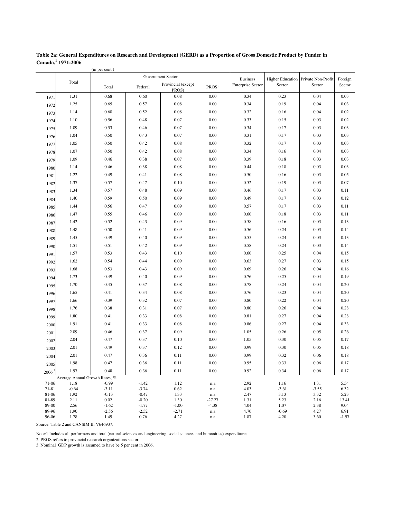| Table 2a: General Expenditures on Research and Development (GERD) as a Proportion of Gross Domestic Product by Funder in |
|--------------------------------------------------------------------------------------------------------------------------|
| Canada, 1971-2006                                                                                                        |

| Government Sector<br><b>Business</b><br><b>Higher Education</b><br>Private Non-Profit<br>Foreign<br>Total<br>Provincial (except<br><b>Enterprise Sector</b><br>Sector<br>Sector<br>Sector<br>Federal<br>PROS <sup>2</sup><br>Total<br>PROS)<br>1.31<br>0.68<br>0.60<br>0.08<br>0.23<br>0.04<br>0.03<br>0.00<br>0.34<br>1971<br>0.65<br>0.57<br>$0.08\,$<br>0.00<br>0.34<br>0.19<br>0.04<br>0.03<br>1.25<br>1972<br>1.14<br>0.60<br>0.52<br>0.08<br>0.00<br>0.32<br>0.16<br>0.04<br>0.02<br>1973<br>0.07<br>0.56<br>0.48<br>0.00<br>0.33<br>0.15<br>0.03<br>0.02<br>1.10<br>1974<br>1.09<br>0.53<br>0.46<br>0.07<br>0.00<br>0.34<br>0.17<br>0.03<br>0.03<br>1975<br>1.04<br>0.50<br>0.43<br>0.07<br>0.00<br>0.31<br>0.17<br>0.03<br>0.03<br>1976<br>0.50<br>0.42<br>$0.08\,$<br>0.00<br>0.32<br>0.17<br>0.03<br>0.03<br>1.05<br>1977<br>0.50<br>0.42<br>$0.08\,$<br>0.00<br>0.34<br>0.16<br>0.04<br>0.03<br>1.07<br>1978<br>1.09<br>0.46<br>0.38<br>0.07<br>0.00<br>0.39<br>0.18<br>0.03<br>0.03<br>1979<br>0.46<br>0.38<br>$0.08\,$<br>0.00<br>0.44<br>0.18<br>0.03<br>0.03<br>1.14<br>1980<br>0.49<br>0.41<br>$0.08\,$<br>0.00<br>0.50<br>0.16<br>0.03<br>0.05<br>1.22<br>1981<br>0.57<br>0.47<br>0.10<br>0.00<br>0.52<br>0.19<br>0.03<br>0.07<br>1.37<br>1982<br>0.09<br>1.34<br>0.57<br>0.48<br>0.00<br>0.46<br>0.17<br>0.03<br>0.11<br>1983<br>0.59<br>0.50<br>0.09<br>0.00<br>0.49<br>0.17<br>0.03<br>0.12<br>1.40<br>1984<br>0.56<br>0.47<br>0.09<br>0.00<br>0.57<br>0.17<br>0.03<br>1.44<br>0.11<br>1985<br>0.55<br>0.46<br>0.09<br>0.00<br>0.60<br>0.18<br>0.03<br>0.11<br>1.47<br>1986<br>0.09<br>0.52<br>0.43<br>0.00<br>0.58<br>0.16<br>0.03<br>0.13<br>1.42<br>1987<br>0.50<br>0.41<br>0.09<br>0.00<br>0.56<br>0.24<br>0.03<br>0.14<br>1.48<br>1988<br>0.49<br>0.40<br>0.09<br>0.00<br>0.55<br>0.24<br>0.03<br>0.13<br>1.45<br>1989<br>0.09<br>1.51<br>0.51<br>0.42<br>0.00<br>0.58<br>0.24<br>0.03<br>0.14<br>1990<br>0.53<br>0.43<br>0.10<br>0.00<br>0.60<br>0.25<br>0.04<br>1.57<br>0.15<br>1991<br>1.62<br>0.54<br>0.44<br>0.09<br>0.00<br>0.63<br>0.27<br>0.03<br>0.15<br>1992<br>0.09<br>1.68<br>0.53<br>0.43<br>0.00<br>0.69<br>0.26<br>0.04<br>0.16<br>1993<br>0.09<br>0.49<br>0.40<br>0.00<br>0.76<br>0.25<br>0.04<br>0.19<br>1.73<br>1994<br>0.45<br>0.37<br>0.08<br>0.00<br>0.78<br>0.24<br>0.04<br>0.20<br>1.70<br>1995<br>1.65<br>0.41<br>0.34<br>$0.08\,$<br>0.00<br>0.76<br>0.23<br>0.04<br>0.20<br>1996<br>0.39<br>0.32<br>0.07<br>0.00<br>0.80<br>0.22<br>0.04<br>0.20<br>1.66<br>1997<br>0.38<br>0.31<br>0.07<br>0.00<br>0.80<br>0.26<br>0.04<br>0.28<br>1.76<br>1998<br>0.41<br>0.33<br>$0.08\,$<br>0.00<br>0.81<br>0.27<br>0.04<br>0.28<br>1.80<br>1999<br>1.91<br>0.41<br>0.33<br>0.08<br>0.00<br>0.86<br>0.27<br>0.04<br>0.33<br>2000<br>0.46<br>0.37<br>0.09<br>0.00<br>1.05<br>0.26<br>0.05<br>0.26<br>2.09<br>2001<br>2.04<br>0.47<br>0.37<br>0.10<br>0.00<br>0.30<br>0.05<br>0.17<br>1.05<br>2002<br>2.01<br>0.49<br>0.37<br>0.12<br>0.00<br>0.99<br>0.30<br>0.05<br>0.18<br>2003<br>0.47<br>0.36<br>0.00<br>0.99<br>2.01<br>0.11<br>0.32<br>0.06<br>0.18<br>2004<br>$0.11\,$<br>1.98<br>0.47<br>0.36<br>$0.00\,$<br>0.95<br>0.33<br>0.06<br>0.17<br>2005<br>$0.11\,$<br>0.92<br>1.97<br>0.48<br>0.36<br>0.00<br>0.34<br>0.06<br>0.17<br>2006 <sup>3</sup><br>Average Annual Growth Rates, %<br>71-06<br>$-0.99$<br>$-1.42$<br>1.12<br>2.92<br>1.16<br>1.31<br>5.54<br>1.18<br>n.a<br>0.62<br>71-81<br>$-0.64$<br>$-3.11$<br>$-3.74$<br>4.03<br>$-3.61$<br>$-3.55$<br>6.32<br>$\rm n.a$<br>81-06<br>1.92<br>$-0.13$<br>$-0.47$<br>1.33<br>2.47<br>3.13<br>3.32<br>5.23<br>$\mathbf{n}.\mathbf{a}$<br>$0.02\,$<br>81-89<br>2.11<br>$-0.20$<br>1.30<br>$-27.27$<br>1.31<br>5.23<br>2.16<br>13.41 |  | (in per cent) |  |  |  |  |
|--------------------------------------------------------------------------------------------------------------------------------------------------------------------------------------------------------------------------------------------------------------------------------------------------------------------------------------------------------------------------------------------------------------------------------------------------------------------------------------------------------------------------------------------------------------------------------------------------------------------------------------------------------------------------------------------------------------------------------------------------------------------------------------------------------------------------------------------------------------------------------------------------------------------------------------------------------------------------------------------------------------------------------------------------------------------------------------------------------------------------------------------------------------------------------------------------------------------------------------------------------------------------------------------------------------------------------------------------------------------------------------------------------------------------------------------------------------------------------------------------------------------------------------------------------------------------------------------------------------------------------------------------------------------------------------------------------------------------------------------------------------------------------------------------------------------------------------------------------------------------------------------------------------------------------------------------------------------------------------------------------------------------------------------------------------------------------------------------------------------------------------------------------------------------------------------------------------------------------------------------------------------------------------------------------------------------------------------------------------------------------------------------------------------------------------------------------------------------------------------------------------------------------------------------------------------------------------------------------------------------------------------------------------------------------------------------------------------------------------------------------------------------------------------------------------------------------------------------------------------------------------------------------------------------------------------------------------------------------------------------------------------------------------------------------------------------------------------------------------------------------------------------------------------------------------------------------------------------------------------------------------------------------------------------------------------------------------------------------------------------------------------------------------------------------------------------------------------------------------------------------------------------------------------------------------------------------------------------------------------------------------------------------------------------------------------------------------------------------------|--|---------------|--|--|--|--|
|                                                                                                                                                                                                                                                                                                                                                                                                                                                                                                                                                                                                                                                                                                                                                                                                                                                                                                                                                                                                                                                                                                                                                                                                                                                                                                                                                                                                                                                                                                                                                                                                                                                                                                                                                                                                                                                                                                                                                                                                                                                                                                                                                                                                                                                                                                                                                                                                                                                                                                                                                                                                                                                                                                                                                                                                                                                                                                                                                                                                                                                                                                                                                                                                                                                                                                                                                                                                                                                                                                                                                                                                                                                                                                                                      |  |               |  |  |  |  |
|                                                                                                                                                                                                                                                                                                                                                                                                                                                                                                                                                                                                                                                                                                                                                                                                                                                                                                                                                                                                                                                                                                                                                                                                                                                                                                                                                                                                                                                                                                                                                                                                                                                                                                                                                                                                                                                                                                                                                                                                                                                                                                                                                                                                                                                                                                                                                                                                                                                                                                                                                                                                                                                                                                                                                                                                                                                                                                                                                                                                                                                                                                                                                                                                                                                                                                                                                                                                                                                                                                                                                                                                                                                                                                                                      |  |               |  |  |  |  |
|                                                                                                                                                                                                                                                                                                                                                                                                                                                                                                                                                                                                                                                                                                                                                                                                                                                                                                                                                                                                                                                                                                                                                                                                                                                                                                                                                                                                                                                                                                                                                                                                                                                                                                                                                                                                                                                                                                                                                                                                                                                                                                                                                                                                                                                                                                                                                                                                                                                                                                                                                                                                                                                                                                                                                                                                                                                                                                                                                                                                                                                                                                                                                                                                                                                                                                                                                                                                                                                                                                                                                                                                                                                                                                                                      |  |               |  |  |  |  |
|                                                                                                                                                                                                                                                                                                                                                                                                                                                                                                                                                                                                                                                                                                                                                                                                                                                                                                                                                                                                                                                                                                                                                                                                                                                                                                                                                                                                                                                                                                                                                                                                                                                                                                                                                                                                                                                                                                                                                                                                                                                                                                                                                                                                                                                                                                                                                                                                                                                                                                                                                                                                                                                                                                                                                                                                                                                                                                                                                                                                                                                                                                                                                                                                                                                                                                                                                                                                                                                                                                                                                                                                                                                                                                                                      |  |               |  |  |  |  |
|                                                                                                                                                                                                                                                                                                                                                                                                                                                                                                                                                                                                                                                                                                                                                                                                                                                                                                                                                                                                                                                                                                                                                                                                                                                                                                                                                                                                                                                                                                                                                                                                                                                                                                                                                                                                                                                                                                                                                                                                                                                                                                                                                                                                                                                                                                                                                                                                                                                                                                                                                                                                                                                                                                                                                                                                                                                                                                                                                                                                                                                                                                                                                                                                                                                                                                                                                                                                                                                                                                                                                                                                                                                                                                                                      |  |               |  |  |  |  |
|                                                                                                                                                                                                                                                                                                                                                                                                                                                                                                                                                                                                                                                                                                                                                                                                                                                                                                                                                                                                                                                                                                                                                                                                                                                                                                                                                                                                                                                                                                                                                                                                                                                                                                                                                                                                                                                                                                                                                                                                                                                                                                                                                                                                                                                                                                                                                                                                                                                                                                                                                                                                                                                                                                                                                                                                                                                                                                                                                                                                                                                                                                                                                                                                                                                                                                                                                                                                                                                                                                                                                                                                                                                                                                                                      |  |               |  |  |  |  |
|                                                                                                                                                                                                                                                                                                                                                                                                                                                                                                                                                                                                                                                                                                                                                                                                                                                                                                                                                                                                                                                                                                                                                                                                                                                                                                                                                                                                                                                                                                                                                                                                                                                                                                                                                                                                                                                                                                                                                                                                                                                                                                                                                                                                                                                                                                                                                                                                                                                                                                                                                                                                                                                                                                                                                                                                                                                                                                                                                                                                                                                                                                                                                                                                                                                                                                                                                                                                                                                                                                                                                                                                                                                                                                                                      |  |               |  |  |  |  |
|                                                                                                                                                                                                                                                                                                                                                                                                                                                                                                                                                                                                                                                                                                                                                                                                                                                                                                                                                                                                                                                                                                                                                                                                                                                                                                                                                                                                                                                                                                                                                                                                                                                                                                                                                                                                                                                                                                                                                                                                                                                                                                                                                                                                                                                                                                                                                                                                                                                                                                                                                                                                                                                                                                                                                                                                                                                                                                                                                                                                                                                                                                                                                                                                                                                                                                                                                                                                                                                                                                                                                                                                                                                                                                                                      |  |               |  |  |  |  |
|                                                                                                                                                                                                                                                                                                                                                                                                                                                                                                                                                                                                                                                                                                                                                                                                                                                                                                                                                                                                                                                                                                                                                                                                                                                                                                                                                                                                                                                                                                                                                                                                                                                                                                                                                                                                                                                                                                                                                                                                                                                                                                                                                                                                                                                                                                                                                                                                                                                                                                                                                                                                                                                                                                                                                                                                                                                                                                                                                                                                                                                                                                                                                                                                                                                                                                                                                                                                                                                                                                                                                                                                                                                                                                                                      |  |               |  |  |  |  |
|                                                                                                                                                                                                                                                                                                                                                                                                                                                                                                                                                                                                                                                                                                                                                                                                                                                                                                                                                                                                                                                                                                                                                                                                                                                                                                                                                                                                                                                                                                                                                                                                                                                                                                                                                                                                                                                                                                                                                                                                                                                                                                                                                                                                                                                                                                                                                                                                                                                                                                                                                                                                                                                                                                                                                                                                                                                                                                                                                                                                                                                                                                                                                                                                                                                                                                                                                                                                                                                                                                                                                                                                                                                                                                                                      |  |               |  |  |  |  |
|                                                                                                                                                                                                                                                                                                                                                                                                                                                                                                                                                                                                                                                                                                                                                                                                                                                                                                                                                                                                                                                                                                                                                                                                                                                                                                                                                                                                                                                                                                                                                                                                                                                                                                                                                                                                                                                                                                                                                                                                                                                                                                                                                                                                                                                                                                                                                                                                                                                                                                                                                                                                                                                                                                                                                                                                                                                                                                                                                                                                                                                                                                                                                                                                                                                                                                                                                                                                                                                                                                                                                                                                                                                                                                                                      |  |               |  |  |  |  |
|                                                                                                                                                                                                                                                                                                                                                                                                                                                                                                                                                                                                                                                                                                                                                                                                                                                                                                                                                                                                                                                                                                                                                                                                                                                                                                                                                                                                                                                                                                                                                                                                                                                                                                                                                                                                                                                                                                                                                                                                                                                                                                                                                                                                                                                                                                                                                                                                                                                                                                                                                                                                                                                                                                                                                                                                                                                                                                                                                                                                                                                                                                                                                                                                                                                                                                                                                                                                                                                                                                                                                                                                                                                                                                                                      |  |               |  |  |  |  |
|                                                                                                                                                                                                                                                                                                                                                                                                                                                                                                                                                                                                                                                                                                                                                                                                                                                                                                                                                                                                                                                                                                                                                                                                                                                                                                                                                                                                                                                                                                                                                                                                                                                                                                                                                                                                                                                                                                                                                                                                                                                                                                                                                                                                                                                                                                                                                                                                                                                                                                                                                                                                                                                                                                                                                                                                                                                                                                                                                                                                                                                                                                                                                                                                                                                                                                                                                                                                                                                                                                                                                                                                                                                                                                                                      |  |               |  |  |  |  |
|                                                                                                                                                                                                                                                                                                                                                                                                                                                                                                                                                                                                                                                                                                                                                                                                                                                                                                                                                                                                                                                                                                                                                                                                                                                                                                                                                                                                                                                                                                                                                                                                                                                                                                                                                                                                                                                                                                                                                                                                                                                                                                                                                                                                                                                                                                                                                                                                                                                                                                                                                                                                                                                                                                                                                                                                                                                                                                                                                                                                                                                                                                                                                                                                                                                                                                                                                                                                                                                                                                                                                                                                                                                                                                                                      |  |               |  |  |  |  |
|                                                                                                                                                                                                                                                                                                                                                                                                                                                                                                                                                                                                                                                                                                                                                                                                                                                                                                                                                                                                                                                                                                                                                                                                                                                                                                                                                                                                                                                                                                                                                                                                                                                                                                                                                                                                                                                                                                                                                                                                                                                                                                                                                                                                                                                                                                                                                                                                                                                                                                                                                                                                                                                                                                                                                                                                                                                                                                                                                                                                                                                                                                                                                                                                                                                                                                                                                                                                                                                                                                                                                                                                                                                                                                                                      |  |               |  |  |  |  |
|                                                                                                                                                                                                                                                                                                                                                                                                                                                                                                                                                                                                                                                                                                                                                                                                                                                                                                                                                                                                                                                                                                                                                                                                                                                                                                                                                                                                                                                                                                                                                                                                                                                                                                                                                                                                                                                                                                                                                                                                                                                                                                                                                                                                                                                                                                                                                                                                                                                                                                                                                                                                                                                                                                                                                                                                                                                                                                                                                                                                                                                                                                                                                                                                                                                                                                                                                                                                                                                                                                                                                                                                                                                                                                                                      |  |               |  |  |  |  |
|                                                                                                                                                                                                                                                                                                                                                                                                                                                                                                                                                                                                                                                                                                                                                                                                                                                                                                                                                                                                                                                                                                                                                                                                                                                                                                                                                                                                                                                                                                                                                                                                                                                                                                                                                                                                                                                                                                                                                                                                                                                                                                                                                                                                                                                                                                                                                                                                                                                                                                                                                                                                                                                                                                                                                                                                                                                                                                                                                                                                                                                                                                                                                                                                                                                                                                                                                                                                                                                                                                                                                                                                                                                                                                                                      |  |               |  |  |  |  |
|                                                                                                                                                                                                                                                                                                                                                                                                                                                                                                                                                                                                                                                                                                                                                                                                                                                                                                                                                                                                                                                                                                                                                                                                                                                                                                                                                                                                                                                                                                                                                                                                                                                                                                                                                                                                                                                                                                                                                                                                                                                                                                                                                                                                                                                                                                                                                                                                                                                                                                                                                                                                                                                                                                                                                                                                                                                                                                                                                                                                                                                                                                                                                                                                                                                                                                                                                                                                                                                                                                                                                                                                                                                                                                                                      |  |               |  |  |  |  |
|                                                                                                                                                                                                                                                                                                                                                                                                                                                                                                                                                                                                                                                                                                                                                                                                                                                                                                                                                                                                                                                                                                                                                                                                                                                                                                                                                                                                                                                                                                                                                                                                                                                                                                                                                                                                                                                                                                                                                                                                                                                                                                                                                                                                                                                                                                                                                                                                                                                                                                                                                                                                                                                                                                                                                                                                                                                                                                                                                                                                                                                                                                                                                                                                                                                                                                                                                                                                                                                                                                                                                                                                                                                                                                                                      |  |               |  |  |  |  |
|                                                                                                                                                                                                                                                                                                                                                                                                                                                                                                                                                                                                                                                                                                                                                                                                                                                                                                                                                                                                                                                                                                                                                                                                                                                                                                                                                                                                                                                                                                                                                                                                                                                                                                                                                                                                                                                                                                                                                                                                                                                                                                                                                                                                                                                                                                                                                                                                                                                                                                                                                                                                                                                                                                                                                                                                                                                                                                                                                                                                                                                                                                                                                                                                                                                                                                                                                                                                                                                                                                                                                                                                                                                                                                                                      |  |               |  |  |  |  |
|                                                                                                                                                                                                                                                                                                                                                                                                                                                                                                                                                                                                                                                                                                                                                                                                                                                                                                                                                                                                                                                                                                                                                                                                                                                                                                                                                                                                                                                                                                                                                                                                                                                                                                                                                                                                                                                                                                                                                                                                                                                                                                                                                                                                                                                                                                                                                                                                                                                                                                                                                                                                                                                                                                                                                                                                                                                                                                                                                                                                                                                                                                                                                                                                                                                                                                                                                                                                                                                                                                                                                                                                                                                                                                                                      |  |               |  |  |  |  |
|                                                                                                                                                                                                                                                                                                                                                                                                                                                                                                                                                                                                                                                                                                                                                                                                                                                                                                                                                                                                                                                                                                                                                                                                                                                                                                                                                                                                                                                                                                                                                                                                                                                                                                                                                                                                                                                                                                                                                                                                                                                                                                                                                                                                                                                                                                                                                                                                                                                                                                                                                                                                                                                                                                                                                                                                                                                                                                                                                                                                                                                                                                                                                                                                                                                                                                                                                                                                                                                                                                                                                                                                                                                                                                                                      |  |               |  |  |  |  |
|                                                                                                                                                                                                                                                                                                                                                                                                                                                                                                                                                                                                                                                                                                                                                                                                                                                                                                                                                                                                                                                                                                                                                                                                                                                                                                                                                                                                                                                                                                                                                                                                                                                                                                                                                                                                                                                                                                                                                                                                                                                                                                                                                                                                                                                                                                                                                                                                                                                                                                                                                                                                                                                                                                                                                                                                                                                                                                                                                                                                                                                                                                                                                                                                                                                                                                                                                                                                                                                                                                                                                                                                                                                                                                                                      |  |               |  |  |  |  |
|                                                                                                                                                                                                                                                                                                                                                                                                                                                                                                                                                                                                                                                                                                                                                                                                                                                                                                                                                                                                                                                                                                                                                                                                                                                                                                                                                                                                                                                                                                                                                                                                                                                                                                                                                                                                                                                                                                                                                                                                                                                                                                                                                                                                                                                                                                                                                                                                                                                                                                                                                                                                                                                                                                                                                                                                                                                                                                                                                                                                                                                                                                                                                                                                                                                                                                                                                                                                                                                                                                                                                                                                                                                                                                                                      |  |               |  |  |  |  |
|                                                                                                                                                                                                                                                                                                                                                                                                                                                                                                                                                                                                                                                                                                                                                                                                                                                                                                                                                                                                                                                                                                                                                                                                                                                                                                                                                                                                                                                                                                                                                                                                                                                                                                                                                                                                                                                                                                                                                                                                                                                                                                                                                                                                                                                                                                                                                                                                                                                                                                                                                                                                                                                                                                                                                                                                                                                                                                                                                                                                                                                                                                                                                                                                                                                                                                                                                                                                                                                                                                                                                                                                                                                                                                                                      |  |               |  |  |  |  |
|                                                                                                                                                                                                                                                                                                                                                                                                                                                                                                                                                                                                                                                                                                                                                                                                                                                                                                                                                                                                                                                                                                                                                                                                                                                                                                                                                                                                                                                                                                                                                                                                                                                                                                                                                                                                                                                                                                                                                                                                                                                                                                                                                                                                                                                                                                                                                                                                                                                                                                                                                                                                                                                                                                                                                                                                                                                                                                                                                                                                                                                                                                                                                                                                                                                                                                                                                                                                                                                                                                                                                                                                                                                                                                                                      |  |               |  |  |  |  |
|                                                                                                                                                                                                                                                                                                                                                                                                                                                                                                                                                                                                                                                                                                                                                                                                                                                                                                                                                                                                                                                                                                                                                                                                                                                                                                                                                                                                                                                                                                                                                                                                                                                                                                                                                                                                                                                                                                                                                                                                                                                                                                                                                                                                                                                                                                                                                                                                                                                                                                                                                                                                                                                                                                                                                                                                                                                                                                                                                                                                                                                                                                                                                                                                                                                                                                                                                                                                                                                                                                                                                                                                                                                                                                                                      |  |               |  |  |  |  |
|                                                                                                                                                                                                                                                                                                                                                                                                                                                                                                                                                                                                                                                                                                                                                                                                                                                                                                                                                                                                                                                                                                                                                                                                                                                                                                                                                                                                                                                                                                                                                                                                                                                                                                                                                                                                                                                                                                                                                                                                                                                                                                                                                                                                                                                                                                                                                                                                                                                                                                                                                                                                                                                                                                                                                                                                                                                                                                                                                                                                                                                                                                                                                                                                                                                                                                                                                                                                                                                                                                                                                                                                                                                                                                                                      |  |               |  |  |  |  |
|                                                                                                                                                                                                                                                                                                                                                                                                                                                                                                                                                                                                                                                                                                                                                                                                                                                                                                                                                                                                                                                                                                                                                                                                                                                                                                                                                                                                                                                                                                                                                                                                                                                                                                                                                                                                                                                                                                                                                                                                                                                                                                                                                                                                                                                                                                                                                                                                                                                                                                                                                                                                                                                                                                                                                                                                                                                                                                                                                                                                                                                                                                                                                                                                                                                                                                                                                                                                                                                                                                                                                                                                                                                                                                                                      |  |               |  |  |  |  |
|                                                                                                                                                                                                                                                                                                                                                                                                                                                                                                                                                                                                                                                                                                                                                                                                                                                                                                                                                                                                                                                                                                                                                                                                                                                                                                                                                                                                                                                                                                                                                                                                                                                                                                                                                                                                                                                                                                                                                                                                                                                                                                                                                                                                                                                                                                                                                                                                                                                                                                                                                                                                                                                                                                                                                                                                                                                                                                                                                                                                                                                                                                                                                                                                                                                                                                                                                                                                                                                                                                                                                                                                                                                                                                                                      |  |               |  |  |  |  |
|                                                                                                                                                                                                                                                                                                                                                                                                                                                                                                                                                                                                                                                                                                                                                                                                                                                                                                                                                                                                                                                                                                                                                                                                                                                                                                                                                                                                                                                                                                                                                                                                                                                                                                                                                                                                                                                                                                                                                                                                                                                                                                                                                                                                                                                                                                                                                                                                                                                                                                                                                                                                                                                                                                                                                                                                                                                                                                                                                                                                                                                                                                                                                                                                                                                                                                                                                                                                                                                                                                                                                                                                                                                                                                                                      |  |               |  |  |  |  |
|                                                                                                                                                                                                                                                                                                                                                                                                                                                                                                                                                                                                                                                                                                                                                                                                                                                                                                                                                                                                                                                                                                                                                                                                                                                                                                                                                                                                                                                                                                                                                                                                                                                                                                                                                                                                                                                                                                                                                                                                                                                                                                                                                                                                                                                                                                                                                                                                                                                                                                                                                                                                                                                                                                                                                                                                                                                                                                                                                                                                                                                                                                                                                                                                                                                                                                                                                                                                                                                                                                                                                                                                                                                                                                                                      |  |               |  |  |  |  |
|                                                                                                                                                                                                                                                                                                                                                                                                                                                                                                                                                                                                                                                                                                                                                                                                                                                                                                                                                                                                                                                                                                                                                                                                                                                                                                                                                                                                                                                                                                                                                                                                                                                                                                                                                                                                                                                                                                                                                                                                                                                                                                                                                                                                                                                                                                                                                                                                                                                                                                                                                                                                                                                                                                                                                                                                                                                                                                                                                                                                                                                                                                                                                                                                                                                                                                                                                                                                                                                                                                                                                                                                                                                                                                                                      |  |               |  |  |  |  |
|                                                                                                                                                                                                                                                                                                                                                                                                                                                                                                                                                                                                                                                                                                                                                                                                                                                                                                                                                                                                                                                                                                                                                                                                                                                                                                                                                                                                                                                                                                                                                                                                                                                                                                                                                                                                                                                                                                                                                                                                                                                                                                                                                                                                                                                                                                                                                                                                                                                                                                                                                                                                                                                                                                                                                                                                                                                                                                                                                                                                                                                                                                                                                                                                                                                                                                                                                                                                                                                                                                                                                                                                                                                                                                                                      |  |               |  |  |  |  |
|                                                                                                                                                                                                                                                                                                                                                                                                                                                                                                                                                                                                                                                                                                                                                                                                                                                                                                                                                                                                                                                                                                                                                                                                                                                                                                                                                                                                                                                                                                                                                                                                                                                                                                                                                                                                                                                                                                                                                                                                                                                                                                                                                                                                                                                                                                                                                                                                                                                                                                                                                                                                                                                                                                                                                                                                                                                                                                                                                                                                                                                                                                                                                                                                                                                                                                                                                                                                                                                                                                                                                                                                                                                                                                                                      |  |               |  |  |  |  |
|                                                                                                                                                                                                                                                                                                                                                                                                                                                                                                                                                                                                                                                                                                                                                                                                                                                                                                                                                                                                                                                                                                                                                                                                                                                                                                                                                                                                                                                                                                                                                                                                                                                                                                                                                                                                                                                                                                                                                                                                                                                                                                                                                                                                                                                                                                                                                                                                                                                                                                                                                                                                                                                                                                                                                                                                                                                                                                                                                                                                                                                                                                                                                                                                                                                                                                                                                                                                                                                                                                                                                                                                                                                                                                                                      |  |               |  |  |  |  |
|                                                                                                                                                                                                                                                                                                                                                                                                                                                                                                                                                                                                                                                                                                                                                                                                                                                                                                                                                                                                                                                                                                                                                                                                                                                                                                                                                                                                                                                                                                                                                                                                                                                                                                                                                                                                                                                                                                                                                                                                                                                                                                                                                                                                                                                                                                                                                                                                                                                                                                                                                                                                                                                                                                                                                                                                                                                                                                                                                                                                                                                                                                                                                                                                                                                                                                                                                                                                                                                                                                                                                                                                                                                                                                                                      |  |               |  |  |  |  |
|                                                                                                                                                                                                                                                                                                                                                                                                                                                                                                                                                                                                                                                                                                                                                                                                                                                                                                                                                                                                                                                                                                                                                                                                                                                                                                                                                                                                                                                                                                                                                                                                                                                                                                                                                                                                                                                                                                                                                                                                                                                                                                                                                                                                                                                                                                                                                                                                                                                                                                                                                                                                                                                                                                                                                                                                                                                                                                                                                                                                                                                                                                                                                                                                                                                                                                                                                                                                                                                                                                                                                                                                                                                                                                                                      |  |               |  |  |  |  |
|                                                                                                                                                                                                                                                                                                                                                                                                                                                                                                                                                                                                                                                                                                                                                                                                                                                                                                                                                                                                                                                                                                                                                                                                                                                                                                                                                                                                                                                                                                                                                                                                                                                                                                                                                                                                                                                                                                                                                                                                                                                                                                                                                                                                                                                                                                                                                                                                                                                                                                                                                                                                                                                                                                                                                                                                                                                                                                                                                                                                                                                                                                                                                                                                                                                                                                                                                                                                                                                                                                                                                                                                                                                                                                                                      |  |               |  |  |  |  |
|                                                                                                                                                                                                                                                                                                                                                                                                                                                                                                                                                                                                                                                                                                                                                                                                                                                                                                                                                                                                                                                                                                                                                                                                                                                                                                                                                                                                                                                                                                                                                                                                                                                                                                                                                                                                                                                                                                                                                                                                                                                                                                                                                                                                                                                                                                                                                                                                                                                                                                                                                                                                                                                                                                                                                                                                                                                                                                                                                                                                                                                                                                                                                                                                                                                                                                                                                                                                                                                                                                                                                                                                                                                                                                                                      |  |               |  |  |  |  |
|                                                                                                                                                                                                                                                                                                                                                                                                                                                                                                                                                                                                                                                                                                                                                                                                                                                                                                                                                                                                                                                                                                                                                                                                                                                                                                                                                                                                                                                                                                                                                                                                                                                                                                                                                                                                                                                                                                                                                                                                                                                                                                                                                                                                                                                                                                                                                                                                                                                                                                                                                                                                                                                                                                                                                                                                                                                                                                                                                                                                                                                                                                                                                                                                                                                                                                                                                                                                                                                                                                                                                                                                                                                                                                                                      |  |               |  |  |  |  |
|                                                                                                                                                                                                                                                                                                                                                                                                                                                                                                                                                                                                                                                                                                                                                                                                                                                                                                                                                                                                                                                                                                                                                                                                                                                                                                                                                                                                                                                                                                                                                                                                                                                                                                                                                                                                                                                                                                                                                                                                                                                                                                                                                                                                                                                                                                                                                                                                                                                                                                                                                                                                                                                                                                                                                                                                                                                                                                                                                                                                                                                                                                                                                                                                                                                                                                                                                                                                                                                                                                                                                                                                                                                                                                                                      |  |               |  |  |  |  |
| 89-00<br>$-1.62$<br>$-1.77$<br>$-1.00$<br>$-4.38$<br>4.04<br>1.07<br>2.38<br>9.04<br>2.56                                                                                                                                                                                                                                                                                                                                                                                                                                                                                                                                                                                                                                                                                                                                                                                                                                                                                                                                                                                                                                                                                                                                                                                                                                                                                                                                                                                                                                                                                                                                                                                                                                                                                                                                                                                                                                                                                                                                                                                                                                                                                                                                                                                                                                                                                                                                                                                                                                                                                                                                                                                                                                                                                                                                                                                                                                                                                                                                                                                                                                                                                                                                                                                                                                                                                                                                                                                                                                                                                                                                                                                                                                            |  |               |  |  |  |  |
| 89-96<br>1.90<br>$-2.56$<br>$-2.52$<br>$-2.71$<br>4.70<br>$-0.69$<br>4.27<br>6.91<br>n.a<br>96-06<br>1.49<br>0.76<br>4.27<br>1.87<br>4.20<br>$-1.97$<br>1.78<br>3.60<br>n.a                                                                                                                                                                                                                                                                                                                                                                                                                                                                                                                                                                                                                                                                                                                                                                                                                                                                                                                                                                                                                                                                                                                                                                                                                                                                                                                                                                                                                                                                                                                                                                                                                                                                                                                                                                                                                                                                                                                                                                                                                                                                                                                                                                                                                                                                                                                                                                                                                                                                                                                                                                                                                                                                                                                                                                                                                                                                                                                                                                                                                                                                                                                                                                                                                                                                                                                                                                                                                                                                                                                                                          |  |               |  |  |  |  |

Source: Table 2 and CANSIM II: V646937.

Note:1 Includes all performers and total (natural sciences and engineering, social sciences and humanities) expenditures.

2. PROS refers to provincial research organizations sector.

3. Nominal GDP growth is assumed to have be 5 per cent in 2006.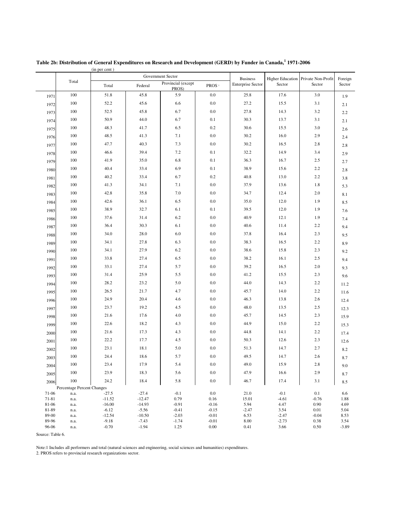|                  |                            |                    |                    | Government Sector           |                   | <b>Business</b>          |                 | Higher Education Private Non-Profit |                   |  |  |
|------------------|----------------------------|--------------------|--------------------|-----------------------------|-------------------|--------------------------|-----------------|-------------------------------------|-------------------|--|--|
|                  | Total                      | Total              | Federal            | Provincial (except<br>PROS) | PROS <sup>2</sup> | <b>Enterprise Sector</b> | Sector          | Sector                              | Foreign<br>Sector |  |  |
| 1971             | 100                        | 51.8               | 45.8               | 5.9                         | $0.0\,$           | 25.8                     | 17.6            | 3.0                                 | 1.9               |  |  |
| 1972             | 100                        | 52.2               | 45.6               | 6.6                         | $0.0\,$           | 27.2                     | 15.5            | 3.1                                 | 2.1               |  |  |
| 1973             | 100                        | 52.5               | 45.8               | 6.7                         | $0.0\,$           | 27.8                     | 14.3            | 3.2                                 | $2.2\,$           |  |  |
| 1974             | 100                        | 50.9               | 44.0               | 6.7                         | 0.1               | 30.3                     | 13.7            | 3.1                                 | 2.1               |  |  |
| 1975             | 100                        | 48.3               | 41.7               | 6.5                         | 0.2               | 30.6                     | 15.5            | 3.0                                 | 2.6               |  |  |
| 1976             | 100                        | 48.5               | 41.3               | 7.1                         | $0.0\,$           | 30.2                     | 16.0            | 2.9                                 | 2.4               |  |  |
| 1977             | 100                        | 47.7               | 40.3               | 7.3                         | $0.0\,$           | 30.2                     | 16.5            | 2.8                                 | $2.8\,$           |  |  |
| 1978             | 100                        | 46.6               | 39.4               | 7.2                         | 0.1               | 32.2                     | 14.9            | 3.4                                 | 2.9               |  |  |
| 1979             | 100                        | 41.9               | 35.0               | $6.8\,$                     | 0.1               | 36.3                     | 16.7            | 2.5                                 | 2.7               |  |  |
| 1980             | 100                        | 40.4               | 33.4               | 6.9                         | 0.1               | 38.9                     | 15.6            | $2.2\,$                             | 2.8               |  |  |
| 1981             | 100                        | 40.2               | 33.4               | 6.7                         | 0.2               | 40.8                     | 13.0            | 2.2                                 | 3.8               |  |  |
| 1982             | 100                        | 41.3               | 34.1               | 7.1                         | 0.0               | 37.9                     | 13.6            | 1.8                                 | 5.3               |  |  |
| 1983             | 100                        | 42.8               | 35.8               | 7.0                         | 0.0               | 34.7                     | 12.4            | 2.0                                 | 8.1               |  |  |
| 1984             | 100                        | 42.6               | 36.1               | 6.5                         | $0.0\,$           | 35.0                     | 12.0            | 1.9                                 | 8.5               |  |  |
| 1985             | 100                        | 38.9               | 32.7               | 6.1                         | 0.1               | 39.5                     | 12.0            | 1.9                                 | 7.6               |  |  |
| 1986             | 100                        | 37.6               | 31.4               | 6.2                         | 0.0               | 40.9                     | 12.1            | 1.9                                 | 7.4               |  |  |
| 1987             | 100                        | 36.4               | 30.3               | 6.1                         | $0.0\,$           | 40.6                     | 11.4            | $2.2\,$                             | 9.4               |  |  |
| 1988             | 100                        | 34.0               | $28.0\,$           | 6.0                         | $0.0\,$           | 37.8                     | 16.4            | 2.3                                 | 9.5               |  |  |
| 1989             | 100                        | 34.1               | 27.8               | 6.3                         | 0.0               | 38.3                     | 16.5            | 2.2                                 | 8.9               |  |  |
| 1990             | 100                        | 34.1               | 27.9               | 6.2                         | $0.0\,$           | 38.6                     | 15.8            | 2.3                                 | 9.2               |  |  |
| 1991             | 100                        | 33.8               | 27.4               | 6.5                         | 0.0               | 38.2                     | 16.1            | 2.5                                 | 9.4               |  |  |
| 1992             | 100                        | 33.1               | 27.4               | 5.7                         | 0.0               | 39.2                     | 16.5            | 2.0                                 | 9.3               |  |  |
|                  | 100                        | 31.4               | 25.9               | 5.5                         | 0.0               | 41.2                     | 15.5            | 2.3                                 |                   |  |  |
| 1993             | 100                        | 28.2               | 23.2               | 5.0                         | 0.0               | 44.0                     | 14.3            | 2.2                                 | 9.6               |  |  |
| 1994             | 100                        | 26.5               | 21.7               | 4.7                         | 0.0               | 45.7                     | 14.0            | 2.2                                 | 11.2              |  |  |
| 1995             | 100                        | 24.9               | 20.4               | 4.6                         | $0.0\,$           | 46.3                     | 13.8            | 2.6                                 | 11.6              |  |  |
| 1996             | 100                        | 23.7               | 19.2               | 4.5                         | 0.0               | 48.0                     | 13.5            | 2.5                                 | 12.4              |  |  |
| 1997             | 100                        | 21.6               | 17.6               | 4.0                         | 0.0               | 45.7                     | 14.5            | 2.3                                 | 12.3              |  |  |
| 1998             | 100                        | 22.6               | 18.2               | 4.3                         | $0.0\,$           | 44.9                     | 15.0            | $2.2\,$                             | 15.9              |  |  |
| 1999             | 100                        | 21.6               | 17.3               | 4.3                         | $0.0\,$           | 44.8                     | 14.1            | $2.2\,$                             | 15.3              |  |  |
| 2000             | 100                        | 22.2               | 17.7               | 4.5                         | 0.0               | 50.3                     | 12.6            | 2.3                                 | 17.4              |  |  |
| 2001             | 100                        | 23.1               | 18.1               | 5.0                         | $0.0\,$           | 51.3                     | 14.7            | 2.7                                 | 12.6              |  |  |
| 2002             | 100                        | 24.4               | 18.6               | 5.7                         | $0.0\,$           | 49.5                     | 14.7            | 2.6                                 | 8.2               |  |  |
| 2003             | 100                        | 23.4               | 17.9               | 5.4                         | $0.0\,$           | 49.0                     | 15.9            | 2.8                                 | 8.7               |  |  |
| 2004             | 100                        | 23.9               | 18.3               | 5.6                         | 0.0               | 47.9                     | 16.6            | 2.9                                 | 9.0               |  |  |
| 2005             | 100                        |                    | 18.4               |                             | 0.0               | 46.7                     | 17.4            |                                     | 8.7               |  |  |
| 2006             | Percentage Percent Changes | 24.2               |                    | 5.8                         |                   |                          |                 | 3.1                                 | 8.5               |  |  |
| 71-06            | n.a.                       | $-27.5$            | $-27.4$            | $-0.1$                      | 0.0               | 21.0                     | $-0.1$          | 0.1                                 | 6.6               |  |  |
| 71-81            | n.a.                       | $-11.52$           | $-12.47$           | 0.79                        | 0.16              | 15.01                    | $-4.61$         | $-0.76$                             | 1.88              |  |  |
| 81-06            | n.a.                       | $-16.00$           | $-14.93$           | $-0.91$                     | $-0.16$           | 5.94                     | 4.47            | 0.90                                | 4.69              |  |  |
| 81-89            | n.a.                       | $-6.12$            | $-5.56$            | $-0.41$                     | $-0.15$           | $-2.47$                  | 3.54            | 0.01                                | 5.04              |  |  |
| 89-00            | n.a.                       | $-12.54$           | $-10.50$           | $-2.03$                     | $-0.01$           | 6.53                     | $-2.47$         | $-0.04$                             | 8.53              |  |  |
| 89-96<br>96-06   | n.a.<br>n.a.               | $-9.18$<br>$-0.70$ | $-7.43$<br>$-1.94$ | $-1.74$<br>1.25             | $-0.01$<br>0.00   | 8.00<br>0.41             | $-2.73$<br>3.66 | 0.38<br>0.50                        | 3.54<br>$-3.89$   |  |  |
| Source: Table 6. |                            |                    |                    |                             |                   |                          |                 |                                     |                   |  |  |
|                  |                            |                    |                    |                             |                   |                          |                 |                                     |                   |  |  |

(in per cent ) Table 2b: Distribution of General Expenditures on Research and Development (GERD) by Funder in Canada, 1971-2006

Note:1 Includes all performers and total (natural sciences and engineering, social sciences and humanities) expenditures.

2. PROS refers to provincial research organizations sector.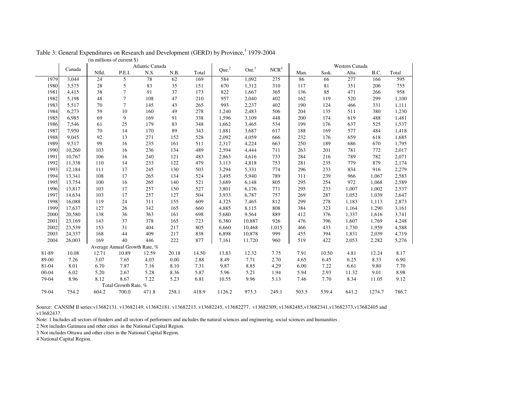|           |        | Atlantic Canada |                               |       |       |       |                   |                   |                  |       |       | Western Canada |        |       |
|-----------|--------|-----------------|-------------------------------|-------|-------|-------|-------------------|-------------------|------------------|-------|-------|----------------|--------|-------|
|           | Canada | Nfld.           | P.E.I.                        | N.S.  | N.B.  | Total | Que. <sup>2</sup> | Ont. <sup>3</sup> | NCR <sup>4</sup> | Man.  | Sask. | Alta.          | B.C.   | Total |
| 1979      | 3,044  | 24              | 5                             | 78    | 62    | 169   | 584               | 1,092             | 275              | 86    | 66    | 277            | 166    | 595   |
| 1980      | 3,575  | $28\,$          | $\sqrt{5}$                    | 83    | 35    | 151   | 670               | 1,312             | 310              | 117   | 81    | 351            | 206    | 755   |
| 1981      | 4,415  | 38              | $\overline{7}$                | 91    | 37    | 173   | 822               | 1,667             | 365              | 136   | 85    | 471            | 266    | 958   |
| 1982      | 5,198  | 48              | $\overline{7}$                | 108   | 47    | 210   | 957               | 2,040             | 402              | 162   | 119   | 520            | 299    | 1,100 |
| 1983      | 5,517  | 70              | $\overline{7}$                | 145   | 43    | 265   | 993               | 2,237             | 402              | 190   | 124   | 466            | 331    | 1,111 |
| 1984      | 6,273  | 59              | 10                            | 160   | 49    | 278   | 1,240             | 2,483             | 506              | 204   | 135   | 511            | 380    | 1,230 |
| 1985      | 6,985  | 69              | 9                             | 169   | 91    | 338   | 1,596             | 3,109             | 448              | 200   | 174   | 619            | 488    | 1,481 |
| 1986      | 7,546  | 61              | 25                            | 179   | 83    | 348   | 1,662             | 3,465             | 534              | 199   | 176   | 637            | 525    | 1,537 |
| 1987      | 7,950  | 70              | 14                            | 170   | 89    | 343   | 1,881             | 3,687             | 617              | 188   | 169   | 577            | 484    | 1,418 |
| 1988      | 9,045  | 92              | 13                            | 271   | 152   | 528   | 2,092             | 4,059             | 666              | 232   | 176   | 659            | 618    | 1,685 |
| 1989      | 9,517  | 99              | 16                            | 235   | 161   | 511   | 2,317             | 4,224             | 663              | 250   | 189   | 686            | 670    | 1,795 |
| 1990      | 10,260 | 103             | 16                            | 236   | 134   | 489   | 2,594             | 4,444             | 711              | 263   | 201   | 781            | 772    | 2,017 |
| 1991      | 10,767 | 106             | 16                            | 240   | 121   | 483   | 2,863             | 4,616             | 733              | 284   | 216   | 789            | 782    | 2,071 |
| 1992      | 11,338 | 110             | 14                            | 233   | 122   | 479   | 3,113             | 4,818             | 753              | 281   | 235   | 779            | 879    | 2,174 |
| 1993      | 12,184 | 111             | 17                            | 245   | 130   | 503   | 3,294             | 5,331             | 774              | 296   | 233   | 834            | 916    | 2,279 |
| 1994      | 13,341 | 108             | 17                            | 265   | 134   | 524   | 3,495             | 5,940             | 789              | 311   | 239   | 966            | 1,067  | 2,583 |
| 1995      | 13,754 | 100             | 16                            | 265   | 140   | 521   | 3,689             | 6,148             | 805              | 295   | 254   | 972            | 1,068  | 2,589 |
| 1996      | 13,817 | 103             | 17                            | 257   | 150   | 527   | 3,801             | 6,176             | 771              | 295   | 233   | 1,007          | 1,002  | 2,537 |
| 1997      | 14,634 | 103             | 17                            | 257   | 127   | 504   | 3,933             | 6,787             | 757              | 269   | 287   | 1,052          | 1,039  | 2,647 |
| 1998      | 16,088 | 119             | 24                            | 311   | 155   | 609   | 4,325             | 7,465             | 812              | 299   | 278   | 1,183          | 1,113  | 2,873 |
| 1999      | 17,637 | 127             | 26                            | 342   | 165   | 660   | 4,885             | 8,115             | 808              | 384   | 323   | 1,164          | 1,290  | 3,161 |
| 2000      | 20,580 | 138             | 36                            | 363   | 161   | 698   | 5,680             | 9,564             | 889              | 412   | 376   | 1,337          | 1,616  | 3,741 |
| 2001      | 23,169 | 143             | 37                            | 378   | 165   | 723   | 6,380             | 10,887            | 926              | 476   | 396   | 1,607          | 1,769  | 4,248 |
| 2002      | 23,539 | 153             | 31                            | 404   | 217   | 805   | 6,660             | 10,468            | 1,015            | 466   | 433   | 1,730          | 1,959  | 4,588 |
| 2003      | 24,337 | 168             | 44                            | 409   | 217   | 838   | 6,898             | 10,878            | 999              | 455   | 394   | 1,831          | 2,039  | 4,719 |
| 2004      | 26,003 | 169             | 40                            | 446   | 222   | 877   | 7,161             | 11,720            | 960              | 519   | 422   | 2,053          | 2,282  | 5,276 |
|           |        |                 | Average Annual Growth Rate, % |       |       |       |                   |                   |                  |       |       |                |        |       |
| 81-89     | 10.08  | 12.71           | 10.89                         | 12.59 | 20.18 | 14.50 | 13.83             | 12.32             | 7.75             | 7.91  | 10.50 | 4.81           | 12.24  | 8.17  |
| 89-00     | 7.26   | 3.07            | 7.65                          | 4.03  | 0.00  | 2.88  | 8.49              | 7.71              | 2.70             | 4.65  | 6.45  | 6.25           | 8.33   | 6.90  |
| 81-04     | 8.01   | 6.70            | 7.87                          | 7.16  | 8.10  | 7.31  | 9.87              | 8.85              | 4.29             | 6.00  | 7.22  | 6.61           | 9.80   | 7.70  |
| $00 - 04$ | 6.02   | 5.20            | 2.67                          | 5.28  | 8.36  | 5.87  | 5.96              | 5.21              | 1.94             | 5.94  | 2.93  | 11.32          | 9.01   | 8.98  |
| 79-04     | 8.96   | 8.12            | 8.67                          | 7.22  | 5.23  | 6.81  | 10.55             | 9.96              | 5.13             | 7.46  | 7.70  | 8.34           | 11.05  | 9.12  |
|           |        |                 | Total Growth Rate, %          |       |       |       |                   |                   |                  |       |       |                |        |       |
| 79-04     | 754.2  | 604.2           | 700.0                         | 471.8 | 258.1 | 418.9 | 1126.2            | 973.3             | 249.1            | 503.5 | 539.4 | 641.2          | 1274.7 | 786.7 |
|           |        |                 |                               |       |       |       |                   |                   |                  |       |       |                |        |       |

Table 3: General Expenditures on Research and Development (GERD) by Province, <sup>1</sup>1979-2004

(in millions of current \$)

Source: CANSIM II series:v13682131, v13682149, v13682181, v13682213, v13682245, v13682277, v13682309, v13682485,v13682341,v13682373,v13682405 and v13682437.

Note: 1 Includes all sectors of funders and all sectors of performers and includes the natural sciences and engineering, social sciences and humanities .

2 Not includes Gatinuea and other cities in the National Capital Region.

3 Not includes Ottawa and other cities in the National Capital Region.

4 National Capital Region.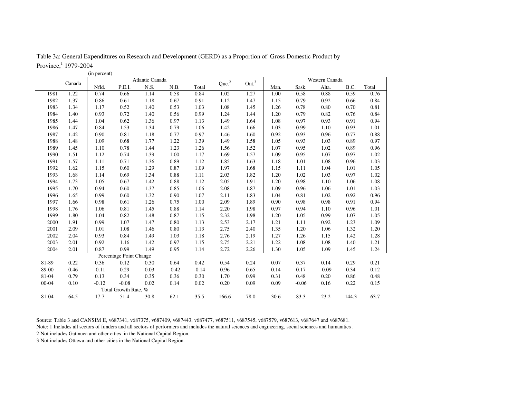Table 3a: General Expenditures on Research and Development (GERD) as <sup>a</sup> Proportion of Gross Domestic Product by Province, <sup>1</sup> 1979-2004

|           |        | (in percent) |                         |                 |         |         |                   |                   |      |         |                                                                                                                                                                                                                                                                                                                                          |       |      |
|-----------|--------|--------------|-------------------------|-----------------|---------|---------|-------------------|-------------------|------|---------|------------------------------------------------------------------------------------------------------------------------------------------------------------------------------------------------------------------------------------------------------------------------------------------------------------------------------------------|-------|------|
|           | Canada |              |                         | Atlantic Canada |         |         | Que. <sup>2</sup> | Ont. <sup>3</sup> |      |         | Western Canada<br>B.C.<br>Total<br>Alta.<br>0.59<br>0.88<br>0.66<br>0.92<br>0.70<br>0.80<br>0.76<br>0.82<br>0.91<br>0.93<br>0.93<br>1.10<br>0.77<br>0.96<br>0.89<br>1.03<br>0.89<br>1.02<br>0.97<br>1.07<br>0.96<br>1.08<br>1.01<br>1.04<br>0.97<br>1.03<br>1.10<br>1.06<br>1.01<br>1.06<br>1.02<br>0.92<br>0.91<br>0.98<br>0.96<br>1.10 |       |      |
|           |        | Nfld.        | P.E.I.                  | N.S.            | N.B.    | Total   |                   |                   | Man. | Sask.   |                                                                                                                                                                                                                                                                                                                                          |       |      |
| 1981      | 1.22   | 0.74         | 0.66                    | 1.14            | 0.58    | 0.84    | 1.02              | 1.27              | 1.00 | 0.58    |                                                                                                                                                                                                                                                                                                                                          |       | 0.76 |
| 1982      | 1.37   | 0.86         | 0.61                    | 1.18            | 0.67    | 0.91    | 1.12              | 1.47              | 1.15 | 0.79    |                                                                                                                                                                                                                                                                                                                                          |       | 0.84 |
| 1983      | 1.34   | 1.17         | 0.52                    | 1.40            | 0.53    | 1.03    | 1.08              | 1.45              | 1.26 | 0.78    |                                                                                                                                                                                                                                                                                                                                          |       | 0.81 |
| 1984      | 1.40   | 0.93         | 0.72                    | 1.40            | 0.56    | 0.99    | 1.24              | 1.44              | 1.20 | 0.79    |                                                                                                                                                                                                                                                                                                                                          |       | 0.84 |
| 1985      | 1.44   | 1.04         | 0.62                    | 1.36            | 0.97    | 1.13    | 1.49              | 1.64              | 1.08 | 0.97    |                                                                                                                                                                                                                                                                                                                                          |       | 0.94 |
| 1986      | 1.47   | 0.84         | 1.53                    | 1.34            | 0.79    | 1.06    | 1.42              | 1.66              | 1.03 | 0.99    |                                                                                                                                                                                                                                                                                                                                          |       | 1.01 |
| 1987      | 1.42   | 0.90         | 0.81                    | 1.18            | 0.77    | 0.97    | 1.46              | 1.60              | 0.92 | 0.93    |                                                                                                                                                                                                                                                                                                                                          |       | 0.88 |
| 1988      | 1.48   | 1.09         | 0.68                    | 1.77            | 1.22    | 1.39    | 1.49              | 1.58              | 1.05 | 0.93    |                                                                                                                                                                                                                                                                                                                                          |       | 0.97 |
| 1989      | 1.45   | 1.10         | 0.78                    | 1.44            | 1.23    | 1.26    | 1.56              | 1.52              | 1.07 | 0.95    |                                                                                                                                                                                                                                                                                                                                          |       | 0.96 |
| 1990      | 1.51   | 1.12         | 0.74                    | 1.39            | 1.00    | 1.17    | 1.69              | 1.57              | 1.09 | 0.95    |                                                                                                                                                                                                                                                                                                                                          |       | 1.02 |
| 1991      | 1.57   | 1.11         | 0.71                    | 1.36            | 0.89    | 1.12    | 1.85              | 1.63              | 1.18 | 1.01    |                                                                                                                                                                                                                                                                                                                                          |       | 1.03 |
| 1992      | 1.62   | 1.15         | 0.60                    | 1.29            | 0.87    | 1.09    | 1.97              | 1.68              | 1.15 | 1.11    |                                                                                                                                                                                                                                                                                                                                          |       | 1.05 |
| 1993      | 1.68   | 1.14         | 0.69                    | 1.34            | 0.88    | 1.11    | 2.03              | 1.82              | 1.20 | 1.02    |                                                                                                                                                                                                                                                                                                                                          |       | 1.02 |
| 1994      | 1.73   | 1.05         | 0.67                    | 1.42            | 0.88    | 1.12    | 2.05              | 1.91              | 1.20 | 0.98    |                                                                                                                                                                                                                                                                                                                                          |       | 1.08 |
| 1995      | 1.70   | 0.94         | 0.60                    | 1.37            | 0.85    | 1.06    | 2.08              | 1.87              | 1.09 | 0.96    |                                                                                                                                                                                                                                                                                                                                          |       | 1.03 |
| 1996      | 1.65   | 0.99         | 0.60                    | 1.32            | 0.90    | 1.07    | 2.11              | 1.83              | 1.04 | 0.81    |                                                                                                                                                                                                                                                                                                                                          |       | 0.96 |
| 1997      | 1.66   | 0.98         | 0.61                    | 1.26            | 0.75    | 1.00    | 2.09              | 1.89              | 0.90 | 0.98    |                                                                                                                                                                                                                                                                                                                                          |       | 0.94 |
| 1998      | 1.76   | 1.06         | 0.81                    | 1.45            | 0.88    | 1.14    | 2.20              | 1.98              | 0.97 | 0.94    |                                                                                                                                                                                                                                                                                                                                          |       | 1.01 |
| 1999      | 1.80   | 1.04         | 0.82                    | 1.48            | 0.87    | 1.15    | 2.32              | 1.98              | 1.20 | 1.05    | 0.99                                                                                                                                                                                                                                                                                                                                     | 1.07  | 1.05 |
| 2000      | 1.91   | 0.99         | 1.07                    | 1.47            | 0.80    | 1.13    | 2.53              | 2.17              | 1.21 | 1.11    | 0.92                                                                                                                                                                                                                                                                                                                                     | 1.23  | 1.09 |
| 2001      | 2.09   | 1.01         | 1.08                    | 1.46            | 0.80    | 1.13    | 2.75              | 2.40              | 1.35 | 1.20    | 1.06                                                                                                                                                                                                                                                                                                                                     | 1.32  | 1.20 |
| 2002      | 2.04   | 0.93         | 0.84                    | 1.49            | 1.03    | 1.18    | 2.76              | 2.19              | 1.27 | 1.26    | 1.15                                                                                                                                                                                                                                                                                                                                     | 1.42  | 1.28 |
| 2003      | 2.01   | 0.92         | 1.16                    | 1.42            | 0.97    | 1.15    | 2.75              | 2.21              | 1.22 | 1.08    | 1.08                                                                                                                                                                                                                                                                                                                                     | 1.40  | 1.21 |
| 2004      | 2.01   | 0.87         | 0.99                    | 1.49            | 0.95    | 1.14    | 2.72              | 2.26              | 1.30 | 1.05    | 1.09                                                                                                                                                                                                                                                                                                                                     | 1.45  | 1.24 |
|           |        |              | Percentage Point Change |                 |         |         |                   |                   |      |         |                                                                                                                                                                                                                                                                                                                                          |       |      |
| 81-89     | 0.22   | 0.36         | 0.12                    | 0.30            | 0.64    | 0.42    | 0.54              | 0.24              | 0.07 | 0.37    | 0.14                                                                                                                                                                                                                                                                                                                                     | 0.29  | 0.21 |
| 89-00     | 0.46   | $-0.11$      | 0.29                    | 0.03            | $-0.42$ | $-0.14$ | 0.96              | 0.65              | 0.14 | 0.17    | $-0.09$                                                                                                                                                                                                                                                                                                                                  | 0.34  | 0.12 |
| 81-04     | 0.79   | 0.13         | 0.34                    | 0.35            | 0.36    | 0.30    | 1.70              | 0.99              | 0.31 | 0.48    | 0.20                                                                                                                                                                                                                                                                                                                                     | 0.86  | 0.48 |
| $00 - 04$ | 0.10   | $-0.12$      | $-0.08$                 | 0.02            | 0.14    | 0.02    | 0.20              | 0.09              | 0.09 | $-0.06$ | 0.16                                                                                                                                                                                                                                                                                                                                     | 0.22  | 0.15 |
|           |        |              | Total Growth Rate, %    |                 |         |         |                   |                   |      |         |                                                                                                                                                                                                                                                                                                                                          |       |      |
| 81-04     | 64.5   | 17.7         | 51.4                    | 30.8            | 62.1    | 35.5    | 166.6             | 78.0              | 30.6 | 83.3    | 23.2                                                                                                                                                                                                                                                                                                                                     | 144.3 | 63.7 |

Source: Table 3 and CANSIM II, v687341, v687375, v687409, v687443, v687477, v687511, v687545, v687579, v687613, v687647 and v687681.

Note: 1 Includes all sectors of funders and all sectors of performers and includes the natural sciences and engineering, social sciences and humanities .

2 Not includes Gatinuea and other cities in the National Capital Region.

3 Not includes Ottawa and other cities in the National Capital Region.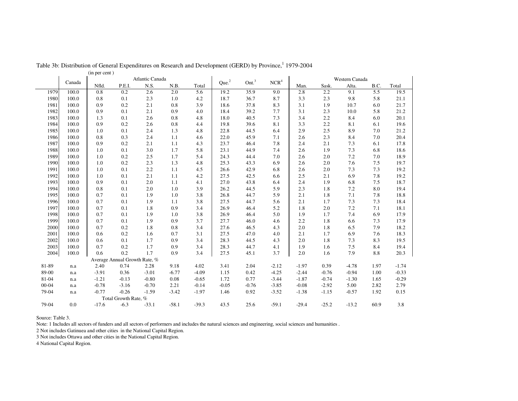|           | Canada | Atlantic Canada |                               |         |         |         |                   | Ont. <sup>3</sup> |                  |         | Western Canada<br>Alta.<br>Sask.<br>B.C.<br>2.2<br>9.1<br>5.5<br>2.3<br>3.3<br>9.8<br>5.8<br>3.1<br>1.9<br>10.7<br>6.0<br>3.1<br>2.3<br>10.0<br>5.8<br>2.2<br>3.4<br>8.4<br>6.0<br>2.2<br>3.3<br>8.1<br>6.1<br>2.9<br>2.5<br>7.0<br>8.9<br>2.3<br>7.0<br>2.6<br>8.4<br>2.4<br>2.1<br>7.3<br>6.1<br>2.6<br>1.9<br>7.3<br>6.8<br>2.6<br>2.0<br>7.2<br>7.0<br>7.6<br>2.6<br>2.0<br>7.5<br>2.0<br>7.3<br>2.6<br>7.3<br>2.1<br>6.9<br>7.8<br>2.5<br>2.4<br>1.9<br>6.8<br>7.5<br>1.8<br>2.3<br>7.2<br>8.0<br>2.1<br>1.8<br>7.1<br>7.8<br>2.1<br>1.7<br>7.3<br>7.3<br>7.2<br>1.8<br>2.0<br>7.1<br>1.7<br>6.9<br>1.9<br>7.4<br>2.2<br>1.8<br>7.3<br>6.6<br>2.0<br>1.8<br>6.5<br>7.9<br>1.7<br>6.9<br>7.6<br>2.0<br>1.8<br>7.3<br>8.3<br>7.5<br>8.4<br>1.6<br>2.0<br>1.6<br>7.9<br>8.8<br>0.39<br>$-4.78$<br>1.97 |         |      |         |
|-----------|--------|-----------------|-------------------------------|---------|---------|---------|-------------------|-------------------|------------------|---------|----------------------------------------------------------------------------------------------------------------------------------------------------------------------------------------------------------------------------------------------------------------------------------------------------------------------------------------------------------------------------------------------------------------------------------------------------------------------------------------------------------------------------------------------------------------------------------------------------------------------------------------------------------------------------------------------------------------------------------------------------------------------------------------------------------|---------|------|---------|
|           |        | Nfld.           | P.E.I.                        | N.S.    | N.B.    | Total   | Que. <sup>2</sup> |                   | NCR <sup>4</sup> | Man.    |                                                                                                                                                                                                                                                                                                                                                                                                                                                                                                                                                                                                                                                                                                                                                                                                          |         |      | Total   |
| 1979      | 100.0  | 0.8             | 0.2                           | 2.6     | 2.0     | 5.6     | 19.2              | 35.9              | 9.0              | 2.8     |                                                                                                                                                                                                                                                                                                                                                                                                                                                                                                                                                                                                                                                                                                                                                                                                          |         |      | 19.5    |
| 1980      | 100.0  | 0.8             | 0.1                           | 2.3     | 1.0     | 4.2     | 18.7              | 36.7              | 8.7              |         |                                                                                                                                                                                                                                                                                                                                                                                                                                                                                                                                                                                                                                                                                                                                                                                                          |         |      | 21.1    |
| 1981      | 100.0  | 0.9             | 0.2                           | 2.1     | 0.8     | 3.9     | 18.6              | 37.8              | 8.3              |         |                                                                                                                                                                                                                                                                                                                                                                                                                                                                                                                                                                                                                                                                                                                                                                                                          |         |      | 21.7    |
| 1982      | 100.0  | 0.9             | 0.1                           | 2.1     | 0.9     | 4.0     | 18.4              | 39.2              | 7.7              |         |                                                                                                                                                                                                                                                                                                                                                                                                                                                                                                                                                                                                                                                                                                                                                                                                          |         |      | 21.2    |
| 1983      | 100.0  | 1.3             | 0.1                           | 2.6     | 0.8     | 4.8     | 18.0              | 40.5              | 7.3              |         |                                                                                                                                                                                                                                                                                                                                                                                                                                                                                                                                                                                                                                                                                                                                                                                                          |         |      | 20.1    |
| 1984      | 100.0  | 0.9             | 0.2                           | 2.6     | 0.8     | 4.4     | 19.8              | 39.6              | 8.1              |         |                                                                                                                                                                                                                                                                                                                                                                                                                                                                                                                                                                                                                                                                                                                                                                                                          |         |      | 19.6    |
| 1985      | 100.0  | 1.0             | 0.1                           | 2.4     | 1.3     | 4.8     | 22.8              | 44.5              | 6.4              |         |                                                                                                                                                                                                                                                                                                                                                                                                                                                                                                                                                                                                                                                                                                                                                                                                          |         |      | 21.2    |
| 1986      | 100.0  | 0.8             | 0.3                           | 2.4     | 1.1     | 4.6     | 22.0              | 45.9              | 7.1              |         |                                                                                                                                                                                                                                                                                                                                                                                                                                                                                                                                                                                                                                                                                                                                                                                                          |         |      | 20.4    |
| 1987      | 100.0  | 0.9             | 0.2                           | 2.1     | 1.1     | 4.3     | 23.7              | 46.4              | 7.8              |         |                                                                                                                                                                                                                                                                                                                                                                                                                                                                                                                                                                                                                                                                                                                                                                                                          |         |      | 17.8    |
| 1988      | 100.0  | 1.0             | 0.1                           | 3.0     | 1.7     | 5.8     | 23.1              | 44.9              | 7.4              |         |                                                                                                                                                                                                                                                                                                                                                                                                                                                                                                                                                                                                                                                                                                                                                                                                          |         |      | 18.6    |
| 1989      | 100.0  | 1.0             | 0.2                           | 2.5     | 1.7     | 5.4     | 24.3              | 44.4              | 7.0              |         |                                                                                                                                                                                                                                                                                                                                                                                                                                                                                                                                                                                                                                                                                                                                                                                                          |         |      | 18.9    |
| 1990      | 100.0  | 1.0             | 0.2                           | 2.3     | 1.3     | 4.8     | 25.3              | 43.3              | 6.9              |         |                                                                                                                                                                                                                                                                                                                                                                                                                                                                                                                                                                                                                                                                                                                                                                                                          |         |      | 19.7    |
| 1991      | 100.0  | 1.0             | 0.1                           | 2.2     | 1.1     | 4.5     | 26.6              | 42.9              | 6.8              |         |                                                                                                                                                                                                                                                                                                                                                                                                                                                                                                                                                                                                                                                                                                                                                                                                          |         |      | 19.2    |
| 1992      | 100.0  | 1.0             | 0.1                           | 2.1     | 1.1     | 4.2     | 27.5              | 42.5              | 6.6              |         |                                                                                                                                                                                                                                                                                                                                                                                                                                                                                                                                                                                                                                                                                                                                                                                                          |         |      | 19.2    |
| 1993      | 100.0  | 0.9             | 0.1                           | 2.0     | 1.1     | 4.1     | 27.0              | 43.8              | 6.4              |         |                                                                                                                                                                                                                                                                                                                                                                                                                                                                                                                                                                                                                                                                                                                                                                                                          |         |      | 18.7    |
| 1994      | 100.0  | 0.8             | 0.1                           | 2.0     | 1.0     | 3.9     | 26.2              | 44.5              | 5.9              |         |                                                                                                                                                                                                                                                                                                                                                                                                                                                                                                                                                                                                                                                                                                                                                                                                          |         |      | 19.4    |
| 1995      | 100.0  | 0.7             | 0.1                           | 1.9     | 1.0     | 3.8     | 26.8              | 44.7              | 5.9              |         |                                                                                                                                                                                                                                                                                                                                                                                                                                                                                                                                                                                                                                                                                                                                                                                                          |         |      | 18.8    |
| 1996      | 100.0  | 0.7             | 0.1                           | 1.9     | 1.1     | 3.8     | 27.5              | 44.7              | 5.6              |         |                                                                                                                                                                                                                                                                                                                                                                                                                                                                                                                                                                                                                                                                                                                                                                                                          |         |      | 18.4    |
| 1997      | 100.0  | 0.7             | 0.1                           | 1.8     | 0.9     | 3.4     | 26.9              | 46.4              | 5.2              |         |                                                                                                                                                                                                                                                                                                                                                                                                                                                                                                                                                                                                                                                                                                                                                                                                          |         |      | 18.1    |
| 1998      | 100.0  | 0.7             | 0.1                           | 1.9     | 1.0     | 3.8     | 26.9              | 46.4              | 5.0              |         |                                                                                                                                                                                                                                                                                                                                                                                                                                                                                                                                                                                                                                                                                                                                                                                                          |         |      | 17.9    |
| 1999      | 100.0  | 0.7             | 0.1                           | 1.9     | 0.9     | 3.7     | 27.7              | 46.0              | 4.6              |         |                                                                                                                                                                                                                                                                                                                                                                                                                                                                                                                                                                                                                                                                                                                                                                                                          |         |      | 17.9    |
| 2000      | 100.0  | 0.7             | 0.2                           | 1.8     | 0.8     | 3.4     | 27.6              | 46.5              | 4.3              |         |                                                                                                                                                                                                                                                                                                                                                                                                                                                                                                                                                                                                                                                                                                                                                                                                          |         |      | 18.2    |
| 2001      | 100.0  | 0.6             | 0.2                           | 1.6     | 0.7     | 3.1     | 27.5              | 47.0              | 4.0              | 2.1     |                                                                                                                                                                                                                                                                                                                                                                                                                                                                                                                                                                                                                                                                                                                                                                                                          |         |      | 18.3    |
| 2002      | 100.0  | 0.6             | 0.1                           | 1.7     | 0.9     | 3.4     | 28.3              | 44.5              | 4.3              |         |                                                                                                                                                                                                                                                                                                                                                                                                                                                                                                                                                                                                                                                                                                                                                                                                          |         |      | 19.5    |
| 2003      | 100.0  | 0.7             | 0.2                           | 1.7     | 0.9     | 3.4     | 28.3              | 44.7              | 4.1              | 1.9     |                                                                                                                                                                                                                                                                                                                                                                                                                                                                                                                                                                                                                                                                                                                                                                                                          |         |      | 19.4    |
| 2004      | 100.0  | 0.6             | 0.2                           | 1.7     | 0.9     | 3.4     | 27.5              | 45.1              | 3.7              |         |                                                                                                                                                                                                                                                                                                                                                                                                                                                                                                                                                                                                                                                                                                                                                                                                          |         |      | 20.3    |
|           |        |                 | Average Annual Growth Rate, % |         |         |         |                   |                   |                  |         |                                                                                                                                                                                                                                                                                                                                                                                                                                                                                                                                                                                                                                                                                                                                                                                                          |         |      |         |
| 81-89     | n.a    | 2.40            | 0.74                          | 2.28    | 9.18    | 4.02    | 3.41              | 2.04              | $-2.12$          | $-1.97$ |                                                                                                                                                                                                                                                                                                                                                                                                                                                                                                                                                                                                                                                                                                                                                                                                          |         |      | $-1.74$ |
| 89-00     | n.a    | $-3.91$         | 0.36                          | $-3.01$ | $-6.77$ | $-4.09$ | 1.15              | 0.42              | $-4.25$          | $-2.44$ | $-0.76$                                                                                                                                                                                                                                                                                                                                                                                                                                                                                                                                                                                                                                                                                                                                                                                                  | $-0.94$ | 1.00 | $-0.33$ |
| 81-04     | n.a    | $-1.21$         | $-0.13$                       | $-0.80$ | 0.08    | $-0.65$ | 1.72              | 0.77              | $-3.44$          | $-1.87$ | $-0.74$                                                                                                                                                                                                                                                                                                                                                                                                                                                                                                                                                                                                                                                                                                                                                                                                  | $-1.30$ | 1.65 | $-0.29$ |
| $00 - 04$ | n.a    | $-0.78$         | $-3.16$                       | $-0.70$ | 2.21    | $-0.14$ | $-0.05$           | $-0.76$           | $-3.85$          | $-0.08$ | $-2.92$                                                                                                                                                                                                                                                                                                                                                                                                                                                                                                                                                                                                                                                                                                                                                                                                  | 5.00    | 2.82 | 2.79    |
| 79-04     | n.a    | $-0.77$         | $-0.26$                       | $-1.59$ | $-3.42$ | $-1.97$ | 1.46              | 0.92              | $-3.52$          | $-1.38$ | $-1.15$                                                                                                                                                                                                                                                                                                                                                                                                                                                                                                                                                                                                                                                                                                                                                                                                  | $-0.57$ | 1.92 | 0.15    |
|           |        |                 | Total Growth Rate, %          |         |         |         |                   |                   |                  |         |                                                                                                                                                                                                                                                                                                                                                                                                                                                                                                                                                                                                                                                                                                                                                                                                          |         |      |         |
| 79-04     | 0.0    | $-17.6$         | $-6.3$                        | $-33.1$ | $-58.1$ | $-39.3$ | 43.5              | 25.6              | $-59.1$          | $-29.4$ | $-25.2$                                                                                                                                                                                                                                                                                                                                                                                                                                                                                                                                                                                                                                                                                                                                                                                                  | $-13.2$ | 60.9 | 3.8     |

(in per cent ) Table 3b: Distribution of General Expenditures on Research and Development (GERD) by Province,<sup>1</sup> 1979-2004

Source: Table 3.

Note: 1 Includes all sectors of funders and all sectors of performers and includes the natural sciences and engineering, social sciences and humanities .

2 Not includes Gatinuea and other cities in the National Capital Region.

3 Not includes Ottawa and other cities in the National Capital Region.

4 National Capital Region.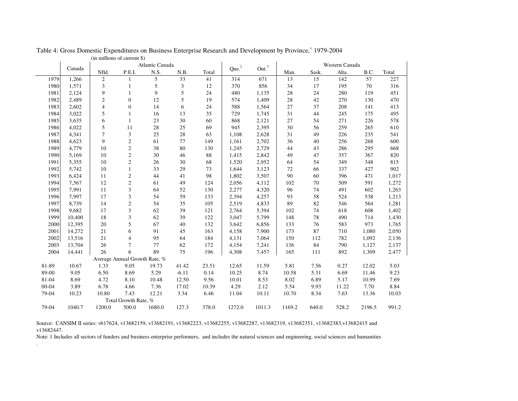|           |        | Atlantic Canada |                               |         |               |        |                   | Ont. <sup>3</sup> | Western Canada |       |       |        |       |
|-----------|--------|-----------------|-------------------------------|---------|---------------|--------|-------------------|-------------------|----------------|-------|-------|--------|-------|
|           | Canada | Nfld.           | P.E.I.                        | N.S.    | N.B.          | Total  | Que. <sup>2</sup> |                   | Man.           | Sask. | Alta. | B.C.   | Total |
| 1979      | 1,266  | $\overline{2}$  |                               | 5       | 33            | 41     | 314               | 671               | 13             | 15    | 142   | 57     | 227   |
| 1980      | 1,571  | $\mathfrak{Z}$  |                               | 5       | $\mathfrak z$ | $12\,$ | 370               | 856               | 34             | 17    | 195   | 70     | 316   |
| 1981      | 2,124  | 9               |                               | 9       | 5             | 24     | 480               | 1,135             | 28             | 24    | 280   | 119    | 451   |
| 1982      | 2,489  | $\overline{c}$  | $\boldsymbol{0}$              | 12      | 5             | 19     | 574               | 1,409             | 28             | 42    | 270   | 130    | 470   |
| 1983      | 2,602  | $\overline{4}$  | $\boldsymbol{0}$              | 14      | 6             | 24     | 588               | 1,564             | $27\,$         | 37    | 208   | 141    | 413   |
| 1984      | 3,022  | 5               |                               | 16      | 13            | 35     | 729               | 1,745             | 31             | 44    | 245   | 175    | 495   |
| 1985      | 3,635  | 6               | 1                             | 23      | 30            | 60     | 868               | 2,121             | 27             | 54    | 271   | 226    | 578   |
| 1986      | 4,022  | 5               | 11                            | $28\,$  | 25            | 69     | 945               | 2,395             | 30             | 56    | 259   | 265    | 610   |
| 1987      | 4,341  | $\overline{7}$  | 3                             | 25      | 28            | 63     | 1,108             | 2,628             | 31             | 49    | 226   | 235    | 541   |
| 1988      | 4,623  | 9               | $\overline{c}$                | 61      | 77            | 149    | 1,161             | 2,702             | 36             | 40    | 256   | 268    | 600   |
| 1989      | 4,779  | 10              | $\sqrt{2}$                    | 38      | 80            | 130    | 1,245             | 2,729             | 44             | 43    | 286   | 295    | 668   |
| 1990      | 5,169  | 10              | $\sqrt{2}$                    | 30      | 46            | 88     | 1,415             | 2,842             | 49             | 47    | 357   | 367    | 820   |
| 1991      | 5,355  | 10              | $\sqrt{2}$                    | 26      | 30            | 68     | 1,520             | 2,952             | 64             | 54    | 349   | 348    | 815   |
| 1992      | 5,742  | 10              | $\mathbf{1}$                  | 33      | 29            | 73     | 1,644             | 3,123             | 72             | 66    | 337   | 427    | 902   |
| 1993      | 6,424  | 11              | $\sqrt{2}$                    | 44      | 41            | 98     | 1,802             | 3,507             | 90             | 60    | 396   | 471    | 1,017 |
| 1994      | 7,567  | 12              | $\sqrt{2}$                    | 61      | 49            | 124    | 2,056             | 4,112             | 102            | 70    | 509   | 591    | 1,272 |
| 1995      | 7,991  | 11              | 3                             | 64      | 52            | 130    | 2,277             | 4,320             | 96             | 74    | 491   | 602    | 1,263 |
| 1996      | 7,997  | 17              | 3                             | 54      | 59            | 133    | 2,394             | 4,257             | 93             | 58    | 524   | 538    | 1,213 |
| 1997      | 8,739  | 14              | $\sqrt{2}$                    | 54      | 35            | 105    | 2,519             | 4,833             | 89             | 82    | 546   | 564    | 1,281 |
| 1998      | 9,682  | 17              | 3                             | 62      | 39            | 121    | 2,764             | 5,394             | 102            | 74    | 618   | 608    | 1,402 |
| 1999      | 10,400 | 18              | $\mathfrak{Z}$                | 62      | 39            | 122    | 3,047             | 5,799             | 148            | 78    | 490   | 714    | 1,430 |
| 2000      | 12,395 | 20              | 5                             | 67      | 40            | 132    | 3,642             | 6,856             | 133            | 76    | 583   | 973    | 1,765 |
| 2001      | 14,272 | 21              | 6                             | 91      | 45            | 163    | 4,158             | 7,900             | 173            | 87    | 710   | 1,080  | 2,050 |
| 2002      | 13,516 | 21              | $\overline{4}$                | 95      | 64            | 184    | 4,131             | 7,064             | 150            | 112   | 782   | 1,092  | 2,136 |
| 2003      | 13,704 | 26              | 7                             | $77 \,$ | 62            | 172    | 4,154             | 7,241             | 136            | 84    | 790   | 1,127  | 2,137 |
| 2004      | 14,441 | 26              | 6                             | 89      | 75            | 196    | 4,308             | 7,457             | 165            | 111   | 892   | 1,309  | 2,477 |
|           |        |                 | Average Annual Growth Rate, % |         |               |        |                   |                   |                |       |       |        |       |
| 81-89     | 10.67  | 1.33            | 9.05                          | 19.73   | 41.42         | 23.51  | 12.65             | 11.59             | 5.81           | 7.56  | 0.27  | 12.02  | 5.03  |
| 89-00     | 9.05   | 6.50            | 8.69                          | 5.29    | $-6.11$       | 0.14   | 10.25             | 8.74              | 10.58          | 5.31  | 6.69  | 11.46  | 9.23  |
| 81-04     | 8.69   | 4.72            | 8.10                          | 10.48   | 12.50         | 9.56   | 10.01             | 8.53              | 8.02           | 6.89  | 5.17  | 10.99  | 7.69  |
| $00 - 04$ | 3.89   | 6.78            | 4.66                          | 7.36    | 17.02         | 10.39  | 4.29              | 2.12              | 5.54           | 9.93  | 11.22 | 7.70   | 8.84  |
| 79-04     | 10.23  | 10.80           | 7.43                          | 12.21   | 3.34          | 6.46   | 11.04             | 10.11             | 10.70          | 8.34  | 7.63  | 13.36  | 10.03 |
|           |        |                 | Total Growth Rate, %          |         |               |        |                   |                   |                |       |       |        |       |
| 79-04     | 1040.7 | 1200.0          | 500.0                         | 1680.0  | 127.3         | 378.0  | 1272.0            | 1011.3            | 1169.2         | 640.0 | 528.2 | 2196.5 | 991.2 |

(in millions of current \$) Table 4: Gross Domestic Expenditures on Business Enterprise Research and Development by Province,<sup>1</sup> 1979-2004

Source: CANSIM II series: v617624, v13682159, v13682191, v13682223, v13682255, v13682287, v13682319, v13682351, v13682383,v13682415 and v13682447.

.

Note: 1 Includes all sectors of funders and business enterprise performers, and includes the natural sciences and engineering, social sciences and humanities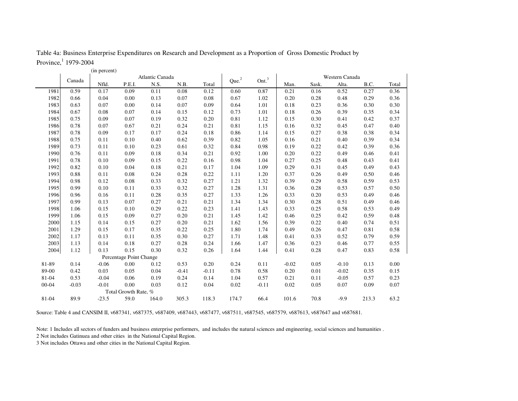| Table 4a: Business Enterprise Expenditures on Research and Development as a Proportion of Gross Domestic Product by |  |  |
|---------------------------------------------------------------------------------------------------------------------|--|--|
|                                                                                                                     |  |  |

Province,  $1979-2004$ 

|           |         | (in percent) |                         |                 |         |         |                   |                   |         |       |                |       |       |
|-----------|---------|--------------|-------------------------|-----------------|---------|---------|-------------------|-------------------|---------|-------|----------------|-------|-------|
|           | Canada  |              |                         | Atlantic Canada |         |         | Que. <sup>2</sup> | Ont. <sup>3</sup> |         |       | Western Canada |       |       |
|           |         | Nfld.        | P.E.I.                  | N.S.            | N.B.    | Total   |                   |                   | Man.    | Sask. | Alta.          | B.C.  | Total |
| 1981      | 0.59    | 0.17         | 0.09                    | 0.11            | 0.08    | 0.12    | 0.60              | 0.87              | 0.21    | 0.16  | 0.52           | 0.27  | 0.36  |
| 1982      | 0.66    | 0.04         | 0.00                    | 0.13            | 0.07    | 0.08    | 0.67              | 1.02              | 0.20    | 0.28  | 0.48           | 0.29  | 0.36  |
| 1983      | 0.63    | 0.07         | 0.00                    | 0.14            | 0.07    | 0.09    | 0.64              | 1.01              | 0.18    | 0.23  | 0.36           | 0.30  | 0.30  |
| 1984      | 0.67    | 0.08         | 0.07                    | 0.14            | 0.15    | 0.12    | 0.73              | 1.01              | 0.18    | 0.26  | 0.39           | 0.35  | 0.34  |
| 1985      | 0.75    | 0.09         | 0.07                    | 0.19            | 0.32    | 0.20    | 0.81              | 1.12              | 0.15    | 0.30  | 0.41           | 0.42  | 0.37  |
| 1986      | 0.78    | 0.07         | 0.67                    | 0.21            | 0.24    | 0.21    | 0.81              | 1.15              | 0.16    | 0.32  | 0.45           | 0.47  | 0.40  |
| 1987      | 0.78    | 0.09         | 0.17                    | 0.17            | 0.24    | 0.18    | 0.86              | 1.14              | 0.15    | 0.27  | 0.38           | 0.38  | 0.34  |
| 1988      | 0.75    | 0.11         | 0.10                    | 0.40            | 0.62    | 0.39    | 0.82              | 1.05              | 0.16    | 0.21  | 0.40           | 0.39  | 0.34  |
| 1989      | 0.73    | 0.11         | 0.10                    | 0.23            | 0.61    | 0.32    | 0.84              | 0.98              | 0.19    | 0.22  | 0.42           | 0.39  | 0.36  |
| 1990      | 0.76    | 0.11         | 0.09                    | 0.18            | 0.34    | 0.21    | 0.92              | 1.00              | 0.20    | 0.22  | 0.49           | 0.46  | 0.41  |
| 1991      | 0.78    | 0.10         | 0.09                    | 0.15            | 0.22    | 0.16    | 0.98              | 1.04              | 0.27    | 0.25  | 0.48           | 0.43  | 0.41  |
| 1992      | 0.82    | 0.10         | 0.04                    | 0.18            | 0.21    | 0.17    | 1.04              | 1.09              | 0.29    | 0.31  | 0.45           | 0.49  | 0.43  |
| 1993      | 0.88    | 0.11         | 0.08                    | 0.24            | 0.28    | 0.22    | 1.11              | 1.20              | 0.37    | 0.26  | 0.49           | 0.50  | 0.46  |
| 1994      | 0.98    | 0.12         | 0.08                    | 0.33            | 0.32    | 0.27    | 1.21              | 1.32              | 0.39    | 0.29  | 0.58           | 0.59  | 0.53  |
| 1995      | 0.99    | 0.10         | 0.11                    | 0.33            | 0.32    | 0.27    | 1.28              | 1.31              | 0.36    | 0.28  | 0.53           | 0.57  | 0.50  |
| 1996      | 0.96    | 0.16         | 0.11                    | 0.28            | 0.35    | 0.27    | 1.33              | 1.26              | 0.33    | 0.20  | 0.53           | 0.49  | 0.46  |
| 1997      | 0.99    | 0.13         | 0.07                    | 0.27            | 0.21    | 0.21    | 1.34              | 1.34              | 0.30    | 0.28  | 0.51           | 0.49  | 0.46  |
| 1998      | 1.06    | 0.15         | 0.10                    | 0.29            | 0.22    | 0.23    | 1.41              | 1.43              | 0.33    | 0.25  | 0.58           | 0.53  | 0.49  |
| 1999      | 1.06    | 0.15         | 0.09                    | 0.27            | 0.20    | 0.21    | 1.45              | 1.42              | 0.46    | 0.25  | 0.42           | 0.59  | 0.48  |
| 2000      | 1.15    | 0.14         | 0.15                    | 0.27            | 0.20    | 0.21    | 1.62              | 1.56              | 0.39    | 0.22  | 0.40           | 0.74  | 0.51  |
| 2001      | 1.29    | 0.15         | 0.17                    | 0.35            | 0.22    | 0.25    | 1.80              | 1.74              | 0.49    | 0.26  | 0.47           | 0.81  | 0.58  |
| 2002      | 1.17    | 0.13         | 0.11                    | 0.35            | 0.30    | 0.27    | 1.71              | 1.48              | 0.41    | 0.33  | 0.52           | 0.79  | 0.59  |
| 2003      | 1.13    | 0.14         | 0.18                    | 0.27            | 0.28    | 0.24    | 1.66              | 1.47              | 0.36    | 0.23  | 0.46           | 0.77  | 0.55  |
| 2004      | 1.12    | 0.13         | 0.15                    | 0.30            | 0.32    | 0.26    | 1.64              | 1.44              | 0.41    | 0.28  | 0.47           | 0.83  | 0.58  |
|           |         |              | Percentage Point Change |                 |         |         |                   |                   |         |       |                |       |       |
| 81-89     | 0.14    | $-0.06$      | 0.00                    | 0.12            | 0.53    | 0.20    | 0.24              | 0.11              | $-0.02$ | 0.05  | $-0.10$        | 0.13  | 0.00  |
| 89-00     | 0.42    | 0.03         | 0.05                    | 0.04            | $-0.41$ | $-0.11$ | 0.78              | 0.58              | 0.20    | 0.01  | $-0.02$        | 0.35  | 0.15  |
| 81-04     | 0.53    | $-0.04$      | 0.06                    | 0.19            | 0.24    | 0.14    | 1.04              | 0.57              | 0.21    | 0.11  | $-0.05$        | 0.57  | 0.23  |
| $00 - 04$ | $-0.03$ | $-0.01$      | 0.00                    | 0.03            | 0.12    | 0.04    | 0.02              | $-0.11$           | 0.02    | 0.05  | 0.07           | 0.09  | 0.07  |
|           |         |              | Total Growth Rate, %    |                 |         |         |                   |                   |         |       |                |       |       |
| 81-04     | 89.9    | $-23.5$      | 59.0                    | 164.0           | 305.3   | 118.3   | 174.7             | 66.4              | 101.6   | 70.8  | $-9.9$         | 213.3 | 63.2  |

Source: Table 4 and CANSIM II, v687341, v687375, v687409, v687443, v687477, v687511, v687545, v687579, v687613, v687647 and v687681.

Note: 1 Includes all sectors of funders and business enterprise performers, and includes the natural sciences and engineering, social sciences and humanities .

2 Not includes Gatinuea and other cities in the National Capital Region.

3 Not includes Ottawa and other cities in the National Capital Region.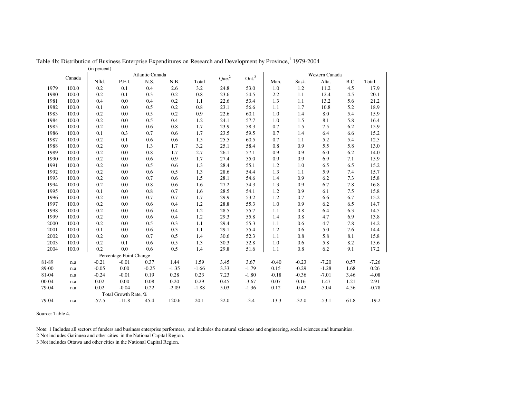|       |        | $($ m percent $)$<br>Atlantic Canada |                         |         |         |         |                   |                   | Western Canada |         |         |      |         |
|-------|--------|--------------------------------------|-------------------------|---------|---------|---------|-------------------|-------------------|----------------|---------|---------|------|---------|
|       | Canada | Nfld.                                | P.E.I.                  | N.S.    | N.B.    | Total   | Que. <sup>2</sup> | Ont. <sup>3</sup> | Man.           | Sask.   | Alta.   | B.C. | Total   |
| 1979  | 100.0  | 0.2                                  | 0.1                     | 0.4     | 2.6     | 3.2     | 24.8              | 53.0              | 1.0            | 1.2     | 11.2    | 4.5  | 17.9    |
| 1980  | 100.0  | 0.2                                  | 0.1                     | 0.3     | 0.2     | 0.8     | 23.6              | 54.5              | 2.2            | 1.1     | 12.4    | 4.5  | 20.1    |
| 1981  | 100.0  | 0.4                                  | 0.0                     | 0.4     | 0.2     | 1.1     | 22.6              | 53.4              | 1.3            | 1.1     | 13.2    | 5.6  | 21.2    |
| 1982  | 100.0  | 0.1                                  | 0.0                     | 0.5     | 0.2     | 0.8     | 23.1              | 56.6              | 1.1            | 1.7     | 10.8    | 5.2  | 18.9    |
| 1983  | 100.0  | 0.2                                  | 0.0                     | 0.5     | 0.2     | 0.9     | 22.6              | 60.1              | 1.0            | 1.4     | 8.0     | 5.4  | 15.9    |
| 1984  | 100.0  | 0.2                                  | 0.0                     | 0.5     | 0.4     | 1.2     | 24.1              | 57.7              | 1.0            | 1.5     | 8.1     | 5.8  | 16.4    |
| 1985  | 100.0  | 0.2                                  | 0.0                     | 0.6     | 0.8     | 1.7     | 23.9              | 58.3              | 0.7            | 1.5     | 7.5     | 6.2  | 15.9    |
| 1986  | 100.0  | 0.1                                  | 0.3                     | 0.7     | 0.6     | 1.7     | 23.5              | 59.5              | 0.7            | 1.4     | 6.4     | 6.6  | 15.2    |
| 1987  | 100.0  | 0.2                                  | 0.1                     | 0.6     | 0.6     | 1.5     | 25.5              | 60.5              | 0.7            | 1.1     | 5.2     | 5.4  | 12.5    |
| 1988  | 100.0  | 0.2                                  | 0.0                     | 1.3     | 1.7     | 3.2     | 25.1              | 58.4              | 0.8            | 0.9     | 5.5     | 5.8  | 13.0    |
| 1989  | 100.0  | 0.2                                  | 0.0                     | 0.8     | 1.7     | 2.7     | 26.1              | 57.1              | 0.9            | 0.9     | 6.0     | 6.2  | 14.0    |
| 1990  | 100.0  | 0.2                                  | 0.0                     | 0.6     | 0.9     | 1.7     | 27.4              | 55.0              | 0.9            | 0.9     | 6.9     | 7.1  | 15.9    |
| 1991  | 100.0  | 0.2                                  | 0.0                     | 0.5     | 0.6     | 1.3     | 28.4              | 55.1              | 1.2            | 1.0     | 6.5     | 6.5  | 15.2    |
| 1992  | 100.0  | 0.2                                  | 0.0                     | 0.6     | 0.5     | 1.3     | 28.6              | 54.4              | 1.3            | 1.1     | 5.9     | 7.4  | 15.7    |
| 1993  | 100.0  | 0.2                                  | 0.0                     | 0.7     | 0.6     | 1.5     | 28.1              | 54.6              | 1.4            | 0.9     | 6.2     | 7.3  | 15.8    |
| 1994  | 100.0  | 0.2                                  | 0.0                     | 0.8     | 0.6     | 1.6     | 27.2              | 54.3              | 1.3            | 0.9     | 6.7     | 7.8  | 16.8    |
| 1995  | 100.0  | 0.1                                  | 0.0                     | 0.8     | 0.7     | 1.6     | 28.5              | 54.1              | 1.2            | 0.9     | 6.1     | 7.5  | 15.8    |
| 1996  | 100.0  | 0.2                                  | 0.0                     | 0.7     | 0.7     | 1.7     | 29.9              | 53.2              | 1.2            | 0.7     | 6.6     | 6.7  | 15.2    |
| 1997  | 100.0  | 0.2                                  | 0.0                     | 0.6     | 0.4     | 1.2     | 28.8              | 55.3              | 1.0            | 0.9     | 6.2     | 6.5  | 14.7    |
| 1998  | 100.0  | 0.2                                  | 0.0                     | 0.6     | 0.4     | 1.2     | 28.5              | 55.7              | 1.1            | 0.8     | 6.4     | 6.3  | 14.5    |
| 1999  | 100.0  | 0.2                                  | 0.0                     | 0.6     | 0.4     | 1.2     | 29.3              | 55.8              | 1.4            | 0.8     | 4.7     | 6.9  | 13.8    |
| 2000  | 100.0  | 0.2                                  | 0.0                     | 0.5     | 0.3     | 1.1     | 29.4              | 55.3              | 1.1            | 0.6     | 4.7     | 7.8  | 14.2    |
| 2001  | 100.0  | 0.1                                  | 0.0                     | 0.6     | 0.3     | 1.1     | 29.1              | 55.4              | 1.2            | 0.6     | 5.0     | 7.6  | 14.4    |
| 2002  | 100.0  | 0.2                                  | 0.0                     | 0.7     | 0.5     | 1.4     | 30.6              | 52.3              | 1.1            | 0.8     | 5.8     | 8.1  | 15.8    |
| 2003  | 100.0  | 0.2                                  | 0.1                     | 0.6     | 0.5     | 1.3     | 30.3              | 52.8              | 1.0            | 0.6     | 5.8     | 8.2  | 15.6    |
| 2004  | 100.0  | 0.2                                  | 0.0                     | 0.6     | 0.5     | 1.4     | 29.8              | 51.6              | 1.1            | 0.8     | 6.2     | 9.1  | 17.2    |
|       |        |                                      | Percentage Point Change |         |         |         |                   |                   |                |         |         |      |         |
| 81-89 | n.a    | $-0.21$                              | $-0.01$                 | 0.37    | 1.44    | 1.59    | 3.45              | 3.67              | $-0.40$        | $-0.23$ | $-7.20$ | 0.57 | $-7.26$ |
| 89-00 | n.a    | $-0.05$                              | 0.00                    | $-0.25$ | $-1.35$ | $-1.66$ | 3.33              | $-1.79$           | 0.15           | $-0.29$ | $-1.28$ | 1.68 | 0.26    |
| 81-04 | n.a    | $-0.24$                              | $-0.01$                 | 0.19    | 0.28    | 0.23    | 7.23              | $-1.80$           | $-0.18$        | $-0.36$ | $-7.01$ | 3.46 | $-4.08$ |
| 00-04 | n.a    | 0.02                                 | 0.00                    | 0.08    | 0.20    | 0.29    | 0.45              | $-3.67$           | 0.07           | 0.16    | 1.47    | 1.21 | 2.91    |
| 79-04 | n.a    | 0.02                                 | $-0.04$                 | 0.22    | $-2.09$ | $-1.88$ | 5.03              | $-1.36$           | 0.12           | $-0.42$ | $-5.04$ | 4.56 | $-0.78$ |
|       |        |                                      | Total Growth Rate, %    |         |         |         |                   |                   |                |         |         |      |         |
| 79-04 | n.a    | $-57.5$                              | $-11.8$                 | 45.4    | 120.6   | 20.1    | 32.0              | $-3.4$            | $-13.3$        | $-32.0$ | $-53.1$ | 61.8 | $-19.2$ |
|       |        |                                      |                         |         |         |         |                   |                   |                |         |         |      |         |

(in percent) Table 4b: Distribution of Business Enterprise Expenditures on Research and Development by Province, <sup>1</sup> 1979-2004

Source: Table 4.

Note: 1 Includes all sectors of funders and business enterprise performers, and includes the natural sciences and engineering, social sciences and humanities .

2 Not includes Gatinuea and other cities in the National Capital Region.

3 Not includes Ottawa and other cities in the National Capital Region.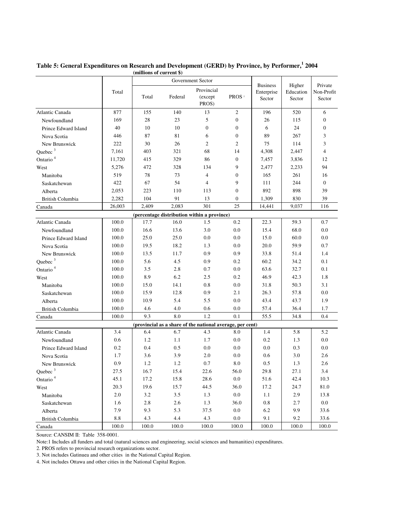|                         |         | Government Sector |         |                                                           |                   |                               |                     |                          |
|-------------------------|---------|-------------------|---------|-----------------------------------------------------------|-------------------|-------------------------------|---------------------|--------------------------|
|                         | Total   |                   |         | Provincial                                                |                   | <b>Business</b><br>Enterprise | Higher<br>Education | Private<br>Non-Profit    |
|                         |         | Total             | Federal | (except<br>PROS)                                          | PROS <sup>2</sup> | Sector                        | Sector              | Sector                   |
| Atlantic Canada         | 877     | 155               | 140     | 13                                                        | $\overline{2}$    | 196                           | 520                 | 6                        |
| Newfoundland            | 169     | 28                | 23      | 5                                                         | $\overline{0}$    | 26                            | 115                 | $\mathbf{0}$             |
| Prince Edward Island    | 40      | 10                | 10      | $\mathbf{0}$                                              | 0                 | 6                             | 24                  | $\mathbf{0}$             |
| Nova Scotia             | 446     | 87                | 81      | 6                                                         | 0                 | 89                            | 267                 | 3                        |
| New Brunswick           | 222     | 30                | 26      | $\overline{2}$                                            | $\overline{c}$    | 75                            | 114                 | 3                        |
| Quebec <sup>3</sup>     | 7,161   | 403               | 321     | 68                                                        | 14                | 4,308                         | 2,447               | $\overline{\mathcal{L}}$ |
| Ontario <sup>4</sup>    | 11,720  | 415               | 329     | 86                                                        | $\boldsymbol{0}$  | 7,457                         | 3,836               | 12                       |
| West                    | 5,276   | 472               | 328     | 134                                                       | 9                 | 2,477                         | 2,233               | 94                       |
| Manitoba                | 519     | 78                | 73      | $\overline{4}$                                            | 0                 | 165                           | 261                 | 16                       |
| Saskatchewan            | 422     | 67                | 54      | $\overline{4}$                                            | 9                 | 111                           | 244                 | $\mathbf{0}$             |
| Alberta                 | 2,053   | 223               | 110     | 113                                                       | $\mathbf{0}$      | 892                           | 898                 | 39                       |
| British Columbia        | 2,282   | 104               | 91      | 13                                                        | 0                 | 1,309                         | 830                 | 39                       |
| Canada                  | 26.003  | 2.409             | 2.083   | 301                                                       | 25                | 14,441                        | 9,037               | 116                      |
|                         |         |                   |         | (percentage distribution within a province)               |                   |                               |                     |                          |
| Atlantic Canada         | 100.0   | 17.7              | 16.0    | 1.5                                                       | 0.2               | 22.3                          | 59.3                | 0.7                      |
| Newfoundland            | 100.0   | 16.6              | 13.6    | 3.0                                                       | 0.0               | 15.4                          | 68.0                | 0.0                      |
| Prince Edward Island    | 100.0   | 25.0              | 25.0    | 0.0                                                       | 0.0               | 15.0                          | 60.0                | 0.0                      |
| Nova Scotia             | 100.0   | 19.5              | 18.2    | 1.3                                                       | 0.0               | 20.0                          | 59.9                | 0.7                      |
| New Brunswick           | 100.0   | 13.5              | 11.7    | 0.9                                                       | 0.9               | 33.8                          | 51.4                | 1.4                      |
| Quebec <sup>3</sup>     | 100.0   | 5.6               | 4.5     | 0.9                                                       | 0.2               | 60.2                          | 34.2                | 0.1                      |
| Ontario <sup>4</sup>    | 100.0   | 3.5               | 2.8     | 0.7                                                       | 0.0               | 63.6                          | 32.7                | 0.1                      |
| West                    | 100.0   | 8.9               | 6.2     | 2.5                                                       | 0.2               | 46.9                          | 42.3                | 1.8                      |
| Manitoba                | 100.0   | 15.0              | 14.1    | 0.8                                                       | 0.0               | 31.8                          | 50.3                | 3.1                      |
| Saskatchewan            | 100.0   | 15.9              | 12.8    | 0.9                                                       | 2.1               | 26.3                          | 57.8                | 0.0                      |
| Alberta                 | 100.0   | 10.9              | 5.4     | 5.5                                                       | 0.0               | 43.4                          | 43.7                | 1.9                      |
| British Columbia        | 100.0   | 4.6               | 4.0     | 0.6                                                       | 0.0               | 57.4                          | 36.4                | 1.7                      |
| Canada                  | 100.0   | 9.3               | 8.0     | 1.2                                                       | 0.1               | 55.5                          | 34.8                | 0.4                      |
|                         |         |                   |         | (provincial as a share of the national average, per cent) |                   |                               |                     |                          |
| Atlantic Canada         | 3.4     | 6.4               | 6.7     | 4.3                                                       | 8.0               | 1.4                           | 5.8                 | 5.2                      |
| Newfoundland            | 0.6     | 1.2               | 1.1     | 1.7                                                       | 0.0               | 0.2                           | 1.3                 | 0.0                      |
| Prince Edward Island    | 0.2     | 0.4               | 0.5     | 0.0                                                       | 0.0               | 0.0                           | 0.3                 | 0.0                      |
| Nova Scotia             | 1.7     | 3.6               | 3.9     | 2.0                                                       | 0.0               | 0.6                           | 3.0                 | 2.6                      |
| New Brunswick           | 0.9     | 1.2               | 1.2     | 0.7                                                       | 8.0               | 0.5                           | 1.3                 | 2.6                      |
| Quebec <sup>3</sup>     | 27.5    | 16.7              | 15.4    | 22.6                                                      | 56.0              | 29.8                          | 27.1                | 3.4                      |
| Ontario <sup>4</sup>    | 45.1    | 17.2              | 15.8    | 28.6                                                      | 0.0               | 51.6                          | 42.4                | 10.3                     |
| West                    | 20.3    | 19.6              | 15.7    | 44.5                                                      | 36.0              | 17.2                          | 24.7                | 81.0                     |
| Manitoba                | $2.0\,$ | 3.2               | 3.5     | 1.3                                                       | $0.0\,$           | 1.1                           | 2.9                 | 13.8                     |
| Saskatchewan            | 1.6     | 2.8               | 2.6     | 1.3                                                       | 36.0              | $0.8\,$                       | 2.7                 | 0.0                      |
| Alberta                 | 7.9     | 9.3               | 5.3     | 37.5                                                      | 0.0               | 6.2                           | 9.9                 | 33.6                     |
| <b>British Columbia</b> | $8.8\,$ | 4.3               | 4.4     | 4.3                                                       | 0.0               | 9.1                           | 9.2                 | 33.6                     |
| Canada                  | 100.0   | 100.0             | 100.0   | 100.0                                                     | 100.0             | 100.0                         | 100.0               | 100.0                    |

#### **(millions of current \$) Table 5: General Expenditures on Research and Development (GERD) by Province, by Performer, 1 2004**

Source: CANSIM II: Table 358-0001.

Note:1 Includes all funders and total (natural sciences and engineering, social sciences and humanities) expenditures.

2. PROS refers to provincial research organizations sector.

3. Not includes Gatinuea and other cities in the National Capital Region.

4. Not includes Ottawa and other cities in the National Capital Region.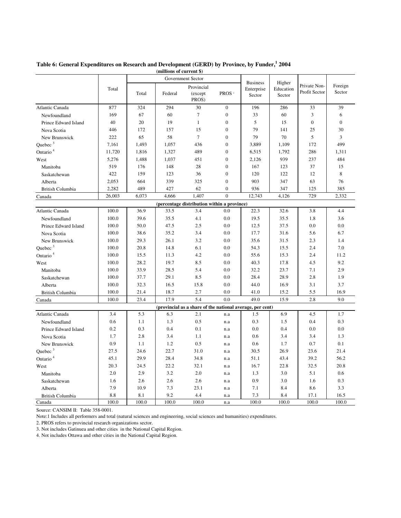|                         |        |                   |         | vi cui cin                                                |                   |                      |                     |                               |                   |
|-------------------------|--------|-------------------|---------|-----------------------------------------------------------|-------------------|----------------------|---------------------|-------------------------------|-------------------|
|                         |        | Government Sector |         | <b>Business</b>                                           | Higher            |                      |                     |                               |                   |
|                         | Total  | Total             | Federal | Provincial<br>(except<br>PROS)                            | PROS <sup>2</sup> | Enterprise<br>Sector | Education<br>Sector | Private Non-<br>Profit Sector | Foreign<br>Sector |
| Atlantic Canada         | 877    | 324               | 294     | 30                                                        | $\mathbf{0}$      | 196                  | 286                 | 33                            | 39                |
| Newfoundland            | 169    | 67                | 60      | $\overline{7}$                                            | $\boldsymbol{0}$  | 33                   | 60                  | 3                             | 6                 |
| Prince Edward Island    | 40     | 20                | 19      | $\mathbf{1}$                                              | $\boldsymbol{0}$  | 5                    | 15                  | $\mathbf{0}$                  | $\mathbf{0}$      |
| Nova Scotia             | 446    | 172               | 157     | 15                                                        | $\boldsymbol{0}$  | 79                   | 141                 | 25                            | 30                |
| New Brunswick           | 222    | 65                | 58      | $\overline{7}$                                            | $\mathbf{0}$      | 79                   | 70                  | 5                             | 3                 |
| Quebec <sup>3</sup>     | 7,161  | 1,493             | 1,057   | 436                                                       | $\boldsymbol{0}$  | 3,889                | 1,109               | 172                           | 499               |
| Ontario <sup>4</sup>    | 11,720 | 1,816             | 1,327   | 489                                                       | $\mathbf{0}$      | 6,515                | 1,792               | 286                           | 1,311             |
| West                    | 5,276  | 1,488             | 1,037   | 451                                                       | $\mathbf{0}$      | 2,126                | 939                 | 237                           | 484               |
| Manitoba                | 519    | 176               | 148     | 28                                                        | $\boldsymbol{0}$  | 167                  | 123                 | 37                            | 15                |
| Saskatchewan            | 422    | 159               | 123     | 36                                                        | $\overline{0}$    | 120                  | 122                 | 12                            | 8                 |
| Alberta                 | 2,053  | 664               | 339     | 325                                                       | $\boldsymbol{0}$  | 903                  | 347                 | 63                            | 76                |
| <b>British Columbia</b> | 2,282  | 489               | 427     | 62                                                        | $\mathbf{0}$      | 936                  | 347                 | 125                           | 385               |
| Canada                  | 26.003 | 6,073             | 4,666   | 1,407                                                     | $\mathbf{0}$      | 12,743               | 4,126               | 729                           | 2,332             |
|                         |        |                   |         | (percentage distribution within a province)               |                   |                      |                     |                               |                   |
| Atlantic Canada         | 100.0  | 36.9              | 33.5    | 3.4                                                       | 0.0               | 22.3                 | 32.6                | 3.8                           | 4.4               |
| Newfoundland            | 100.0  | 39.6              | 35.5    | 4.1                                                       | 0.0               | 19.5                 | 35.5                | 1.8                           | 3.6               |
| Prince Edward Island    | 100.0  | 50.0              | 47.5    | 2.5                                                       | 0.0               | 12.5                 | 37.5                | 0.0                           | 0.0               |
| Nova Scotia             | 100.0  | 38.6              | 35.2    | 3.4                                                       | 0.0               | 17.7                 | 31.6                | 5.6                           | 6.7               |
| New Brunswick           | 100.0  | 29.3              | 26.1    | 3.2                                                       | 0.0               | 35.6                 | 31.5                | 2.3                           | 1.4               |
| Ouebec $3$              | 100.0  | 20.8              | 14.8    | 6.1                                                       | 0.0               | 54.3                 | 15.5                | 2.4                           | 7.0               |
| Ontario <sup>4</sup>    | 100.0  | 15.5              | 11.3    | 4.2                                                       | 0.0               | 55.6                 | 15.3                | 2.4                           | 11.2              |
| West                    | 100.0  | 28.2              | 19.7    | 8.5                                                       | 0.0               | 40.3                 | 17.8                | 4.5                           | 9.2               |
| Manitoba                | 100.0  | 33.9              | 28.5    | 5.4                                                       | 0.0               | 32.2                 | 23.7                | 7.1                           | 2.9               |
| Saskatchewan            | 100.0  | 37.7              | 29.1    | 8.5                                                       | 0.0               | 28.4                 | 28.9                | 2.8                           | 1.9               |
| Alberta                 | 100.0  | 32.3              | 16.5    | 15.8                                                      | 0.0               | 44.0                 | 16.9                | 3.1                           | 3.7               |
| <b>British Columbia</b> | 100.0  | 21.4              | 18.7    | 2.7                                                       | 0.0               | 41.0                 | 15.2                | 5.5                           | 16.9              |
| Canada                  | 100.0  | 23.4              | 17.9    | 5.4                                                       | 0.0               | 49.0                 | 15.9                | 2.8                           | 9.0               |
|                         |        |                   |         | (provincial as a share of the national average, per cent) |                   |                      |                     |                               |                   |
| Atlantic Canada         | 3.4    | 5.3               | 6.3     | 2.1                                                       | n.a               | 1.5                  | 6.9                 | 4.5                           | 1.7               |
| Newfoundland            | 0.6    | 1.1               | 1.3     | 0.5                                                       | n.a               | 0.3                  | 1.5                 | 0.4                           | 0.3               |
| Prince Edward Island    | 0.2    | 0.3               | 0.4     | 0.1                                                       | n.a               | 0.0                  | 0.4                 | 0.0                           | 0.0               |
| Nova Scotia             | 1.7    | 2.8               | 3.4     | 1.1                                                       | n.a               | 0.6                  | 3.4                 | 3.4                           | 1.3               |
| New Brunswick           | 0.9    | 1.1               | 1.2     | 0.5                                                       | n.a               | 0.6                  | 1.7                 | 0.7                           | 0.1               |
| Ouebec $3$              | 27.5   | 24.6              | 22.7    | 31.0                                                      | n.a               | 30.5                 | 26.9                | 23.6                          | 21.4              |
| Ontario <sup>4</sup>    | 45.1   | 29.9              | 28.4    | 34.8                                                      | n.a               | 51.1                 | 43.4                | 39.2                          | 56.2              |
| West                    | 20.3   | 24.5              | 22.2    | 32.1                                                      | n.a               | 16.7                 | 22.8                | 32.5                          | 20.8              |
| Manitoba                | 2.0    | 2.9               | 3.2     | 2.0                                                       | n.a               | 1.3                  | 3.0                 | 5.1                           | 0.6               |
| Saskatchewan            | 1.6    | 2.6               | 2.6     | 2.6                                                       | n.a               | 0.9                  | 3.0                 | 1.6                           | 0.3               |
| Alberta                 | 7.9    | 10.9              | 7.3     | 23.1                                                      | n.a               | 7.1                  | 8.4                 | 8.6                           | 3.3               |
| <b>British Columbia</b> | 8.8    | 8.1               | 9.2     | 4.4                                                       | n.a               | 7.3                  | 8.4                 | 17.1                          | 16.5              |
| Canada                  | 100.0  | 100.0             | 100.0   | 100.0                                                     | n.a               | 100.0                | 100.0               | 100.0                         | 100.0             |

**(millions of current \$) Table 6: General Expenditures on Research and Development (GERD) by Province, by Funder, 1 2004**

Source: CANSIM II: Table 358-0001.

Note:1 Includes all performers and total (natural sciences and engineering, social sciences and humanities) expenditures.

2. PROS refers to provincial research organizations sector.

3. Not includes Gatinuea and other cities in the National Capital Region.

4. Not includes Ottawa and other cities in the National Capital Region.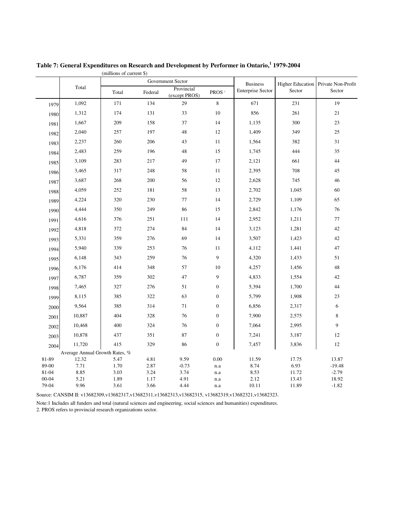|                |                                | Government Sector |              |                             | <b>Business</b>  | <b>Higher Education</b>  | Private Non-Profit |                   |
|----------------|--------------------------------|-------------------|--------------|-----------------------------|------------------|--------------------------|--------------------|-------------------|
|                | Total                          | Total             | Federal      | Provincial<br>(except PROS) | PROS $^{\rm 2}$  | <b>Enterprise Sector</b> | Sector             | Sector            |
| 1979           | 1,092                          | 171               | 134          | 29                          | $8\,$            | 671                      | 231                | 19                |
| 1980           | 1,312                          | 174               | 131          | 33                          | $10\,$           | 856                      | 261                | 21                |
| 1981           | 1,667                          | 209               | 158          | 37                          | 14               | 1,135                    | 300                | 23                |
| 1982           | 2,040                          | 257               | 197          | 48                          | 12               | 1,409                    | 349                | 25                |
| 1983           | 2,237                          | 260               | 206          | 43                          | 11               | 1,564                    | 382                | 31                |
| 1984           | 2,483                          | 259               | 196          | 48                          | 15               | 1,745                    | 444                | 35                |
| 1985           | 3,109                          | 283               | 217          | 49                          | 17               | 2,121                    | 661                | 44                |
| 1986           | 3,465                          | 317               | 248          | 58                          | 11               | 2,395                    | 708                | 45                |
| 1987           | 3,687                          | 268               | 200          | 56                          | 12               | 2,628                    | 745                | 46                |
| 1988           | 4,059                          | 252               | 181          | 58                          | 13               | 2,702                    | 1,045              | 60                |
| 1989           | 4,224                          | 320               | 230          | 77                          | 14               | 2,729                    | 1,109              | 65                |
| 1990           | 4,444                          | 350               | 249          | 86                          | 15               | 2,842                    | 1,176              | 76                |
| 1991           | 4,616                          | 376               | 251          | 111                         | 14               | 2,952                    | 1,211              | $77\,$            |
| 1992           | 4,818                          | 372               | 274          | 84                          | 14               | 3,123                    | 1,281              | 42                |
| 1993           | 5,331                          | 359               | 276          | 69                          | 14               | 3,507                    | 1,423              | 42                |
| 1994           | 5,940                          | 339               | 253          | 76                          | $11\,$           | 4,112                    | 1,441              | 47                |
| 1995           | 6,148                          | 343               | 259          | 76                          | 9                | 4,320                    | 1,433              | 51                |
| 1996           | 6,176                          | 414               | 348          | 57                          | $10\,$           | 4,257                    | 1,456              | 48                |
| 1997           | 6,787                          | 359               | 302          | 47                          | $\overline{9}$   | 4,833                    | 1,554              | 42                |
| 1998           | 7,465                          | 327               | 276          | 51                          | $\boldsymbol{0}$ | 5,394                    | 1,700              | 44                |
| 1999           | 8,115                          | 385               | 322          | 63                          | $\boldsymbol{0}$ | 5,799                    | 1,908              | 23                |
| 2000           | 9,564                          | 385               | 314          | $71\,$                      | $\boldsymbol{0}$ | 6,856                    | 2,317              | 6                 |
| 2001           | 10,887                         | 404               | 328          | 76                          | $\boldsymbol{0}$ | 7,900                    | 2,575              | $\,$ 8 $\,$       |
| 2002           | 10,468                         | 400               | 324          | 76                          | $\boldsymbol{0}$ | 7,064                    | 2,995              | 9                 |
| 2003           | 10,878                         | 437               | 351          | 87                          | $\boldsymbol{0}$ | 7,241                    | 3,187              | 12                |
| 2004           | 11,720                         | 415               | 329          | 86                          | $\boldsymbol{0}$ | 7,457                    | 3,836              | 12                |
|                | Average Annual Growth Rates, % |                   |              |                             |                  |                          |                    |                   |
| 81-89<br>89-00 | 12.32<br>7.71                  | 5.47<br>1.70      | 4.81<br>2.87 | 9.59<br>$-0.73$             | 0.00<br>n.a      | 11.59<br>8.74            | 17.75<br>6.93      | 13.87<br>$-19.48$ |
| 81-04          | 8.85                           | 3.03              | 3.24         | 3.74                        | n.a              | 8.53                     | 11.72              | $-2.79$           |
| $00 - 04$      | 5.21                           | 1.89              | 1.17         | 4.91                        | n.a              | 2.12                     | 13.43              | 18.92             |
| 79-04          | 9.96                           | 3.61              | 3.66         | 4.44                        | n.a              | 10.11                    | 11.89              | $-1.82$           |

(millions of current \$) **Table 7: General Expenditures on Research and Development by Performer in Ontario, 1 1979-2004**

Source: CANSIM II: v13682309,v13682317,v13682311,v13682313,v13682315, v13682319,v13682321,v13682323.

2. PROS refers to provincial research organizations sector. Note:1 Includes all funders and total (natural sciences and engineering, social sciences and humanities) expenditures.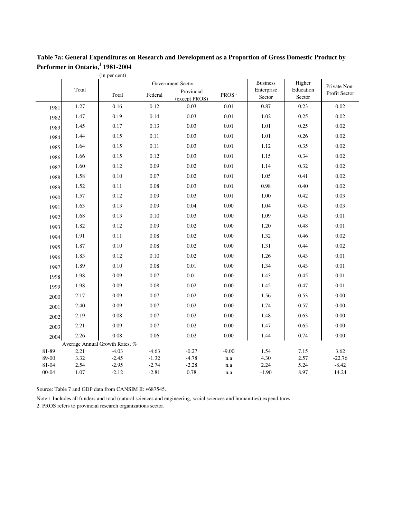|                    |              | (in per cent)                  |                    |                             |                   |                      |                     |                  |
|--------------------|--------------|--------------------------------|--------------------|-----------------------------|-------------------|----------------------|---------------------|------------------|
|                    |              |                                |                    | Government Sector           |                   | <b>Business</b>      | Higher              | Private Non-     |
|                    | Total        | Total                          | Federal            | Provincial<br>(except PROS) | PROS <sup>2</sup> | Enterprise<br>Sector | Education<br>Sector | Profit Sector    |
| 1981               | 1.27         | 0.16                           | 0.12               | 0.03                        | 0.01              | 0.87                 | 0.23                | 0.02             |
| 1982               | 1.47         | 0.19                           | 0.14               | 0.03                        | 0.01              | 1.02                 | 0.25                | 0.02             |
| 1983               | 1.45         | 0.17                           | 0.13               | 0.03                        | 0.01              | 1.01                 | 0.25                | 0.02             |
| 1984               | 1.44         | 0.15                           | 0.11               | 0.03                        | 0.01              | 1.01                 | 0.26                | 0.02             |
| 1985               | 1.64         | 0.15                           | 0.11               | 0.03                        | 0.01              | 1.12                 | 0.35                | 0.02             |
| 1986               | 1.66         | 0.15                           | 0.12               | 0.03                        | 0.01              | 1.15                 | 0.34                | 0.02             |
| 1987               | 1.60         | 0.12                           | 0.09               | 0.02                        | 0.01              | 1.14                 | 0.32                | 0.02             |
| 1988               | 1.58         | 0.10                           | 0.07               | 0.02                        | 0.01              | 1.05                 | 0.41                | 0.02             |
| 1989               | 1.52         | 0.11                           | 0.08               | 0.03                        | 0.01              | 0.98                 | 0.40                | 0.02             |
| 1990               | 1.57         | 0.12                           | 0.09               | 0.03                        | 0.01              | 1.00                 | 0.42                | 0.03             |
| 1991               | 1.63         | 0.13                           | 0.09               | 0.04                        | 0.00              | 1.04                 | 0.43                | 0.03             |
| 1992               | 1.68         | 0.13                           | 0.10               | 0.03                        | 0.00              | 1.09                 | 0.45                | 0.01             |
| 1993               | 1.82         | 0.12                           | 0.09               | 0.02                        | 0.00              | 1.20                 | 0.48                | 0.01             |
| 1994               | 1.91         | 0.11                           | 0.08               | 0.02                        | 0.00              | 1.32                 | 0.46                | 0.02             |
| 1995               | 1.87         | 0.10                           | 0.08               | 0.02                        | 0.00              | 1.31                 | 0.44                | 0.02             |
| 1996               | 1.83         | 0.12                           | 0.10               | 0.02                        | 0.00              | 1.26                 | 0.43                | 0.01             |
| 1997               | 1.89         | 0.10                           | 0.08               | $0.01\,$                    | 0.00              | 1.34                 | 0.43                | 0.01             |
| 1998               | 1.98         | 0.09                           | 0.07               | 0.01                        | 0.00              | 1.43                 | 0.45                | 0.01             |
| 1999               | 1.98         | 0.09                           | 0.08               | 0.02                        | 0.00              | 1.42                 | 0.47                | 0.01             |
| 2000               | 2.17         | 0.09                           | 0.07               | 0.02                        | 0.00              | 1.56                 | 0.53                | 0.00             |
| 2001               | 2.40         | 0.09                           | 0.07               | 0.02                        | 0.00              | 1.74                 | 0.57                | 0.00             |
| 2002               | 2.19         | 0.08                           | 0.07               | 0.02                        | 0.00              | 1.48                 | 0.63                | 0.00             |
| 2003               | 2.21         | 0.09                           | 0.07               | 0.02                        | 0.00              | 1.47                 | 0.65                | 0.00             |
| 2004               | 2.26         | 0.08                           | 0.06               | 0.02                        | 0.00              | 1.44                 | 0.74                | 0.00             |
|                    |              | Average Annual Growth Rates, % |                    |                             |                   |                      |                     |                  |
| 81-89              | 2.21         | $-4.03$                        | $-4.63$            | $-0.27$                     | $-9.00$           | 1.54                 | 7.15                | 3.62             |
| 89-00              | 3.32         | $-2.45$                        | $-1.32$            | $-4.78$                     | n.a               | 4.30                 | 2.57                | $-22.76$         |
| 81-04<br>$00 - 04$ | 2.54<br>1.07 | $-2.95$<br>$-2.12$             | $-2.74$<br>$-2.81$ | $-2.28$<br>0.78             | n.a<br>n.a        | 2.24<br>$-1.90$      | 5.24<br>8.97        | $-8.42$<br>14.24 |
|                    |              |                                |                    |                             |                   |                      |                     |                  |

**Table 7a: General Expenditures on Research and Development as a Proportion of Gross Domestic Product by Performer in Ontario, 1 1981-2004**

Source: Table 7 and GDP data from CANSIM II: v687545.

2. PROS refers to provincial research organizations sector. Note:1 Includes all funders and total (natural sciences and engineering, social sciences and humanities) expenditures.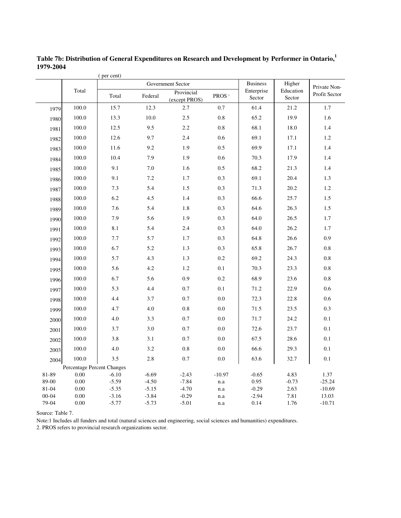| <b>Business</b><br>Higher<br>Government Sector<br>Private Non-<br>Total<br>Enterprise<br>Education<br>Provincial<br>Total<br>Federal<br>PROS <sup>2</sup><br>Sector<br>Sector<br>(except PROS)<br>100.0<br>15.7<br>12.3<br>2.7<br>0.7<br>61.4<br>21.2<br>1.7<br>1979<br>100.0<br>13.3<br>10.0<br>2.5<br>$0.8\,$<br>65.2<br>19.9<br>1.6<br>1980<br>100.0<br>12.5<br>9.5<br>2.2<br>$0.8\,$<br>68.1<br>18.0<br>1.4<br>1981<br>69.1<br>100.0<br>12.6<br>9.7<br>2.4<br>0.6<br>17.1<br>$1.2\,$<br>1982<br>100.0<br>11.6<br>9.2<br>1.9<br>0.5<br>69.9<br>17.1<br>1.4<br>1983<br>100.0<br>10.4<br>7.9<br>1.9<br>0.6<br>70.3<br>17.9<br>1.4<br>1984<br>100.0<br>9.1<br>7.0<br>0.5<br>68.2<br>1.6<br>21.3<br>1.4<br>1985<br>100.0<br>9.1<br>$7.2\,$<br>0.3<br>69.1<br>20.4<br>1.7<br>1.3<br>1986<br>100.0<br>7.3<br>0.3<br>$1.2\,$<br>5.4<br>1.5<br>71.3<br>20.2<br>1987<br>100.0<br>6.2<br>4.5<br>1.4<br>0.3<br>66.6<br>25.7<br>1.5<br>1988<br>100.0<br>0.3<br>64.6<br>7.6<br>5.4<br>1.8<br>26.3<br>1.5<br>1989<br>7.9<br>0.3<br>100.0<br>5.6<br>1.9<br>64.0<br>26.5<br>1.7<br>1990<br>100.0<br>8.1<br>5.4<br>0.3<br>64.0<br>26.2<br>1.7<br>2.4<br>1991<br>100.0<br>7.7<br>5.7<br>1.7<br>0.3<br>64.8<br>26.6<br>0.9<br>1992<br>0.3<br>100.0<br>6.7<br>5.2<br>1.3<br>65.8<br>26.7<br>0.8<br>1993<br>69.2<br>100.0<br>5.7<br>4.3<br>1.3<br>0.2<br>24.3<br>0.8<br>1994<br>100.0<br>5.6<br>4.2<br>1.2<br>0.1<br>70.3<br>23.3<br>0.8<br>1995<br>100.0<br>6.7<br>5.6<br>0.9<br>0.2<br>68.9<br>23.6<br>$0.8\,$<br>1996<br>100.0<br>5.3<br>0.7<br>0.1<br>71.2<br>22.9<br>4.4<br>0.6<br>1997<br>100.0<br>4.4<br>0.7<br>$0.0\,$<br>72.3<br>22.8<br>0.6<br>3.7<br>1998<br>100.0<br>$0.0\,$<br>0.3<br>4.7<br>4.0<br>$0.8\,$<br>71.5<br>23.5<br>1999<br>100.0<br>4.0<br>$0.0\,$<br>3.3<br>0.7<br>71.7<br>24.2<br>0.1<br>2000<br>100.0<br>0.0<br>0.1<br>3.7<br>3.0<br>0.7<br>72.6<br>23.7<br>2001<br>100.0<br>3.8<br>0.0<br>67.5<br>0.1<br>3.1<br>0.7<br>28.6<br>2002<br>0.1<br>100.0<br>4.0<br>3.2<br>0.8<br>$0.0\,$<br>66.6<br>29.3<br>2003<br>3.5<br>100.0<br>2.8<br>0.7<br>0.0<br>63.6<br>0.1<br>32.7<br>2004<br>Percentage Percent Changes<br>81-89<br>0.00<br>$-10.97$<br>$-6.10$<br>$-6.69$<br>$-2.43$<br>$-0.65$<br>4.83<br>1.37<br>89-00<br>0.00<br>$-5.59$<br>$-4.50$<br>$-7.84$<br>0.95<br>$-0.73$<br>$-25.24$<br>n.a<br>81-04<br>0.00<br>$-5.35$<br>$-5.15$<br>$-0.29$<br>2.63<br>$-10.69$<br>$-4.70$<br>n.a<br>$00 - 04$<br>0.00<br>$-3.16$<br>$-3.84$<br>$-0.29$<br>$-2.94$<br>7.81<br>13.03<br>n.a |  | (per cent) |  |  |               |
|--------------------------------------------------------------------------------------------------------------------------------------------------------------------------------------------------------------------------------------------------------------------------------------------------------------------------------------------------------------------------------------------------------------------------------------------------------------------------------------------------------------------------------------------------------------------------------------------------------------------------------------------------------------------------------------------------------------------------------------------------------------------------------------------------------------------------------------------------------------------------------------------------------------------------------------------------------------------------------------------------------------------------------------------------------------------------------------------------------------------------------------------------------------------------------------------------------------------------------------------------------------------------------------------------------------------------------------------------------------------------------------------------------------------------------------------------------------------------------------------------------------------------------------------------------------------------------------------------------------------------------------------------------------------------------------------------------------------------------------------------------------------------------------------------------------------------------------------------------------------------------------------------------------------------------------------------------------------------------------------------------------------------------------------------------------------------------------------------------------------------------------------------------------------------------------------------------------------------------------------------------------------------------------------------------------------------------------------------------------------------------------------------------------------------------------------------------------------------------------------|--|------------|--|--|---------------|
|                                                                                                                                                                                                                                                                                                                                                                                                                                                                                                                                                                                                                                                                                                                                                                                                                                                                                                                                                                                                                                                                                                                                                                                                                                                                                                                                                                                                                                                                                                                                                                                                                                                                                                                                                                                                                                                                                                                                                                                                                                                                                                                                                                                                                                                                                                                                                                                                                                                                                            |  |            |  |  |               |
|                                                                                                                                                                                                                                                                                                                                                                                                                                                                                                                                                                                                                                                                                                                                                                                                                                                                                                                                                                                                                                                                                                                                                                                                                                                                                                                                                                                                                                                                                                                                                                                                                                                                                                                                                                                                                                                                                                                                                                                                                                                                                                                                                                                                                                                                                                                                                                                                                                                                                            |  |            |  |  | Profit Sector |
|                                                                                                                                                                                                                                                                                                                                                                                                                                                                                                                                                                                                                                                                                                                                                                                                                                                                                                                                                                                                                                                                                                                                                                                                                                                                                                                                                                                                                                                                                                                                                                                                                                                                                                                                                                                                                                                                                                                                                                                                                                                                                                                                                                                                                                                                                                                                                                                                                                                                                            |  |            |  |  |               |
|                                                                                                                                                                                                                                                                                                                                                                                                                                                                                                                                                                                                                                                                                                                                                                                                                                                                                                                                                                                                                                                                                                                                                                                                                                                                                                                                                                                                                                                                                                                                                                                                                                                                                                                                                                                                                                                                                                                                                                                                                                                                                                                                                                                                                                                                                                                                                                                                                                                                                            |  |            |  |  |               |
|                                                                                                                                                                                                                                                                                                                                                                                                                                                                                                                                                                                                                                                                                                                                                                                                                                                                                                                                                                                                                                                                                                                                                                                                                                                                                                                                                                                                                                                                                                                                                                                                                                                                                                                                                                                                                                                                                                                                                                                                                                                                                                                                                                                                                                                                                                                                                                                                                                                                                            |  |            |  |  |               |
|                                                                                                                                                                                                                                                                                                                                                                                                                                                                                                                                                                                                                                                                                                                                                                                                                                                                                                                                                                                                                                                                                                                                                                                                                                                                                                                                                                                                                                                                                                                                                                                                                                                                                                                                                                                                                                                                                                                                                                                                                                                                                                                                                                                                                                                                                                                                                                                                                                                                                            |  |            |  |  |               |
|                                                                                                                                                                                                                                                                                                                                                                                                                                                                                                                                                                                                                                                                                                                                                                                                                                                                                                                                                                                                                                                                                                                                                                                                                                                                                                                                                                                                                                                                                                                                                                                                                                                                                                                                                                                                                                                                                                                                                                                                                                                                                                                                                                                                                                                                                                                                                                                                                                                                                            |  |            |  |  |               |
|                                                                                                                                                                                                                                                                                                                                                                                                                                                                                                                                                                                                                                                                                                                                                                                                                                                                                                                                                                                                                                                                                                                                                                                                                                                                                                                                                                                                                                                                                                                                                                                                                                                                                                                                                                                                                                                                                                                                                                                                                                                                                                                                                                                                                                                                                                                                                                                                                                                                                            |  |            |  |  |               |
|                                                                                                                                                                                                                                                                                                                                                                                                                                                                                                                                                                                                                                                                                                                                                                                                                                                                                                                                                                                                                                                                                                                                                                                                                                                                                                                                                                                                                                                                                                                                                                                                                                                                                                                                                                                                                                                                                                                                                                                                                                                                                                                                                                                                                                                                                                                                                                                                                                                                                            |  |            |  |  |               |
|                                                                                                                                                                                                                                                                                                                                                                                                                                                                                                                                                                                                                                                                                                                                                                                                                                                                                                                                                                                                                                                                                                                                                                                                                                                                                                                                                                                                                                                                                                                                                                                                                                                                                                                                                                                                                                                                                                                                                                                                                                                                                                                                                                                                                                                                                                                                                                                                                                                                                            |  |            |  |  |               |
|                                                                                                                                                                                                                                                                                                                                                                                                                                                                                                                                                                                                                                                                                                                                                                                                                                                                                                                                                                                                                                                                                                                                                                                                                                                                                                                                                                                                                                                                                                                                                                                                                                                                                                                                                                                                                                                                                                                                                                                                                                                                                                                                                                                                                                                                                                                                                                                                                                                                                            |  |            |  |  |               |
|                                                                                                                                                                                                                                                                                                                                                                                                                                                                                                                                                                                                                                                                                                                                                                                                                                                                                                                                                                                                                                                                                                                                                                                                                                                                                                                                                                                                                                                                                                                                                                                                                                                                                                                                                                                                                                                                                                                                                                                                                                                                                                                                                                                                                                                                                                                                                                                                                                                                                            |  |            |  |  |               |
|                                                                                                                                                                                                                                                                                                                                                                                                                                                                                                                                                                                                                                                                                                                                                                                                                                                                                                                                                                                                                                                                                                                                                                                                                                                                                                                                                                                                                                                                                                                                                                                                                                                                                                                                                                                                                                                                                                                                                                                                                                                                                                                                                                                                                                                                                                                                                                                                                                                                                            |  |            |  |  |               |
|                                                                                                                                                                                                                                                                                                                                                                                                                                                                                                                                                                                                                                                                                                                                                                                                                                                                                                                                                                                                                                                                                                                                                                                                                                                                                                                                                                                                                                                                                                                                                                                                                                                                                                                                                                                                                                                                                                                                                                                                                                                                                                                                                                                                                                                                                                                                                                                                                                                                                            |  |            |  |  |               |
|                                                                                                                                                                                                                                                                                                                                                                                                                                                                                                                                                                                                                                                                                                                                                                                                                                                                                                                                                                                                                                                                                                                                                                                                                                                                                                                                                                                                                                                                                                                                                                                                                                                                                                                                                                                                                                                                                                                                                                                                                                                                                                                                                                                                                                                                                                                                                                                                                                                                                            |  |            |  |  |               |
|                                                                                                                                                                                                                                                                                                                                                                                                                                                                                                                                                                                                                                                                                                                                                                                                                                                                                                                                                                                                                                                                                                                                                                                                                                                                                                                                                                                                                                                                                                                                                                                                                                                                                                                                                                                                                                                                                                                                                                                                                                                                                                                                                                                                                                                                                                                                                                                                                                                                                            |  |            |  |  |               |
|                                                                                                                                                                                                                                                                                                                                                                                                                                                                                                                                                                                                                                                                                                                                                                                                                                                                                                                                                                                                                                                                                                                                                                                                                                                                                                                                                                                                                                                                                                                                                                                                                                                                                                                                                                                                                                                                                                                                                                                                                                                                                                                                                                                                                                                                                                                                                                                                                                                                                            |  |            |  |  |               |
|                                                                                                                                                                                                                                                                                                                                                                                                                                                                                                                                                                                                                                                                                                                                                                                                                                                                                                                                                                                                                                                                                                                                                                                                                                                                                                                                                                                                                                                                                                                                                                                                                                                                                                                                                                                                                                                                                                                                                                                                                                                                                                                                                                                                                                                                                                                                                                                                                                                                                            |  |            |  |  |               |
|                                                                                                                                                                                                                                                                                                                                                                                                                                                                                                                                                                                                                                                                                                                                                                                                                                                                                                                                                                                                                                                                                                                                                                                                                                                                                                                                                                                                                                                                                                                                                                                                                                                                                                                                                                                                                                                                                                                                                                                                                                                                                                                                                                                                                                                                                                                                                                                                                                                                                            |  |            |  |  |               |
|                                                                                                                                                                                                                                                                                                                                                                                                                                                                                                                                                                                                                                                                                                                                                                                                                                                                                                                                                                                                                                                                                                                                                                                                                                                                                                                                                                                                                                                                                                                                                                                                                                                                                                                                                                                                                                                                                                                                                                                                                                                                                                                                                                                                                                                                                                                                                                                                                                                                                            |  |            |  |  |               |
|                                                                                                                                                                                                                                                                                                                                                                                                                                                                                                                                                                                                                                                                                                                                                                                                                                                                                                                                                                                                                                                                                                                                                                                                                                                                                                                                                                                                                                                                                                                                                                                                                                                                                                                                                                                                                                                                                                                                                                                                                                                                                                                                                                                                                                                                                                                                                                                                                                                                                            |  |            |  |  |               |
|                                                                                                                                                                                                                                                                                                                                                                                                                                                                                                                                                                                                                                                                                                                                                                                                                                                                                                                                                                                                                                                                                                                                                                                                                                                                                                                                                                                                                                                                                                                                                                                                                                                                                                                                                                                                                                                                                                                                                                                                                                                                                                                                                                                                                                                                                                                                                                                                                                                                                            |  |            |  |  |               |
|                                                                                                                                                                                                                                                                                                                                                                                                                                                                                                                                                                                                                                                                                                                                                                                                                                                                                                                                                                                                                                                                                                                                                                                                                                                                                                                                                                                                                                                                                                                                                                                                                                                                                                                                                                                                                                                                                                                                                                                                                                                                                                                                                                                                                                                                                                                                                                                                                                                                                            |  |            |  |  |               |
|                                                                                                                                                                                                                                                                                                                                                                                                                                                                                                                                                                                                                                                                                                                                                                                                                                                                                                                                                                                                                                                                                                                                                                                                                                                                                                                                                                                                                                                                                                                                                                                                                                                                                                                                                                                                                                                                                                                                                                                                                                                                                                                                                                                                                                                                                                                                                                                                                                                                                            |  |            |  |  |               |
|                                                                                                                                                                                                                                                                                                                                                                                                                                                                                                                                                                                                                                                                                                                                                                                                                                                                                                                                                                                                                                                                                                                                                                                                                                                                                                                                                                                                                                                                                                                                                                                                                                                                                                                                                                                                                                                                                                                                                                                                                                                                                                                                                                                                                                                                                                                                                                                                                                                                                            |  |            |  |  |               |
|                                                                                                                                                                                                                                                                                                                                                                                                                                                                                                                                                                                                                                                                                                                                                                                                                                                                                                                                                                                                                                                                                                                                                                                                                                                                                                                                                                                                                                                                                                                                                                                                                                                                                                                                                                                                                                                                                                                                                                                                                                                                                                                                                                                                                                                                                                                                                                                                                                                                                            |  |            |  |  |               |
|                                                                                                                                                                                                                                                                                                                                                                                                                                                                                                                                                                                                                                                                                                                                                                                                                                                                                                                                                                                                                                                                                                                                                                                                                                                                                                                                                                                                                                                                                                                                                                                                                                                                                                                                                                                                                                                                                                                                                                                                                                                                                                                                                                                                                                                                                                                                                                                                                                                                                            |  |            |  |  |               |
|                                                                                                                                                                                                                                                                                                                                                                                                                                                                                                                                                                                                                                                                                                                                                                                                                                                                                                                                                                                                                                                                                                                                                                                                                                                                                                                                                                                                                                                                                                                                                                                                                                                                                                                                                                                                                                                                                                                                                                                                                                                                                                                                                                                                                                                                                                                                                                                                                                                                                            |  |            |  |  |               |
|                                                                                                                                                                                                                                                                                                                                                                                                                                                                                                                                                                                                                                                                                                                                                                                                                                                                                                                                                                                                                                                                                                                                                                                                                                                                                                                                                                                                                                                                                                                                                                                                                                                                                                                                                                                                                                                                                                                                                                                                                                                                                                                                                                                                                                                                                                                                                                                                                                                                                            |  |            |  |  |               |
|                                                                                                                                                                                                                                                                                                                                                                                                                                                                                                                                                                                                                                                                                                                                                                                                                                                                                                                                                                                                                                                                                                                                                                                                                                                                                                                                                                                                                                                                                                                                                                                                                                                                                                                                                                                                                                                                                                                                                                                                                                                                                                                                                                                                                                                                                                                                                                                                                                                                                            |  |            |  |  |               |
|                                                                                                                                                                                                                                                                                                                                                                                                                                                                                                                                                                                                                                                                                                                                                                                                                                                                                                                                                                                                                                                                                                                                                                                                                                                                                                                                                                                                                                                                                                                                                                                                                                                                                                                                                                                                                                                                                                                                                                                                                                                                                                                                                                                                                                                                                                                                                                                                                                                                                            |  |            |  |  |               |
|                                                                                                                                                                                                                                                                                                                                                                                                                                                                                                                                                                                                                                                                                                                                                                                                                                                                                                                                                                                                                                                                                                                                                                                                                                                                                                                                                                                                                                                                                                                                                                                                                                                                                                                                                                                                                                                                                                                                                                                                                                                                                                                                                                                                                                                                                                                                                                                                                                                                                            |  |            |  |  |               |
| 79-04<br>0.00<br>$-5.77$<br>$-5.73$<br>$-5.01$<br>0.14<br>1.76<br>$-10.71$<br>n.a                                                                                                                                                                                                                                                                                                                                                                                                                                                                                                                                                                                                                                                                                                                                                                                                                                                                                                                                                                                                                                                                                                                                                                                                                                                                                                                                                                                                                                                                                                                                                                                                                                                                                                                                                                                                                                                                                                                                                                                                                                                                                                                                                                                                                                                                                                                                                                                                          |  |            |  |  |               |

**Table 7b: Distribution of General Expenditures on Research and Development by Performer in Ontario, 1 1979-2004**

Source: Table 7.

Note:1 Includes all funders and total (natural sciences and engineering, social sciences and humanities) expenditures.

2. PROS refers to provincial research organizations sector.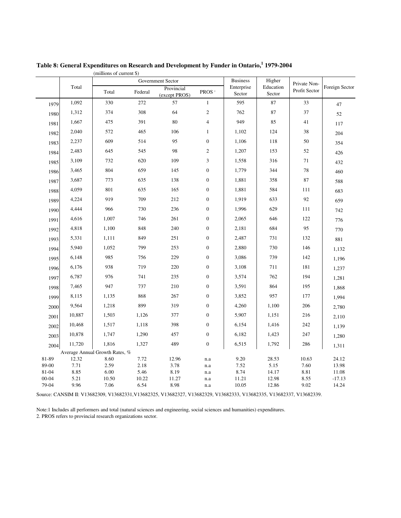|                |                                | Government Sector |              |                             | <b>Business</b>             | Higher               | Private Non-        |               |                |
|----------------|--------------------------------|-------------------|--------------|-----------------------------|-----------------------------|----------------------|---------------------|---------------|----------------|
|                | Total                          | Total             | Federal      | Provincial<br>(except PROS) | PROS $^{\rm 2}$             | Enterprise<br>Sector | Education<br>Sector | Profit Sector | Foreign Sector |
| 1979           | 1,092                          | 330               | 272          | 57                          | $\mathbf{1}$                | 595                  | 87                  | 33            | 47             |
| 1980           | 1,312                          | 374               | 308          | 64                          | $\sqrt{2}$                  | 762                  | 87                  | 37            | 52             |
| 1981           | 1,667                          | 475               | 391          | 80                          | $\overline{4}$              | 949                  | 85                  | 41            | 117            |
| 1982           | 2,040                          | 572               | 465          | 106                         | $\mathbf{1}$                | 1,102                | 124                 | $38\,$        | 204            |
| 1983           | 2,237                          | 609               | 514          | 95                          | $\boldsymbol{0}$            | 1,106                | 118                 | $50\,$        | 354            |
| 1984           | 2,483                          | 645               | 545          | 98                          | $\sqrt{2}$                  | 1,207                | 153                 | 52            | 426            |
| 1985           | 3,109                          | 732               | 620          | 109                         | $\ensuremath{\mathfrak{Z}}$ | 1,558                | 316                 | 71            | 432            |
| 1986           | 3,465                          | 804               | 659          | 145                         | $\boldsymbol{0}$            | 1,779                | 344                 | $78\,$        | 460            |
| 1987           | 3,687                          | 773               | 635          | 138                         | $\boldsymbol{0}$            | 1,881                | 358                 | $87\,$        | 588            |
| 1988           | 4,059                          | 801               | 635          | 165                         | $\boldsymbol{0}$            | 1,881                | 584                 | 111           | 683            |
| 1989           | 4,224                          | 919               | 709          | 212                         | $\boldsymbol{0}$            | 1,919                | 633                 | 92            | 659            |
| 1990           | 4,444                          | 966               | 730          | 236                         | $\boldsymbol{0}$            | 1,996                | 629                 | $111\,$       | 742            |
| 1991           | 4,616                          | 1,007             | 746          | 261                         | $\boldsymbol{0}$            | 2,065                | 646                 | 122           | 776            |
| 1992           | 4,818                          | 1,100             | 848          | 240                         | $\boldsymbol{0}$            | 2,181                | 684                 | 95            | 770            |
| 1993           | 5,331                          | 1,111             | 849          | 251                         | $\boldsymbol{0}$            | 2,487                | 731                 | 132           | 881            |
| 1994           | 5,940                          | 1,052             | 799          | 253                         | $\boldsymbol{0}$            | 2,880                | 730                 | 146           | 1,132          |
| 1995           | 6,148                          | 985               | 756          | 229                         | $\boldsymbol{0}$            | 3,086                | 739                 | 142           | 1,196          |
| 1996           | 6,176                          | 938               | 719          | 220                         | $\boldsymbol{0}$            | 3,108                | 711                 | $181\,$       | 1,237          |
| 1997           | 6,787                          | 976               | 741          | 235                         | $\boldsymbol{0}$            | 3,574                | 762                 | 194           | 1,281          |
| 1998           | 7,465                          | 947               | 737          | 210                         | $\boldsymbol{0}$            | 3,591                | 864                 | 195           | 1,868          |
| 1999           | 8,115                          | 1,135             | 868          | 267                         | $\boldsymbol{0}$            | 3,852                | 957                 | 177           | 1,994          |
| 2000           | 9,564                          | 1,218             | 899          | 319                         | $\boldsymbol{0}$            | 4,260                | 1,100               | 206           | 2,780          |
| 2001           | 10,887                         | 1,503             | 1,126        | 377                         | $\boldsymbol{0}$            | 5,907                | 1,151               | 216           | 2,110          |
| 2002           | 10,468                         | 1,517             | 1,118        | 398                         | $\boldsymbol{0}$            | 6,154                | 1,416               | 242           | 1,139          |
| 2003           | 10,878                         | 1,747             | 1,290        | 457                         | $\boldsymbol{0}$            | 6,182                | 1,423               | 247           | 1,280          |
| 2004           | 11,720                         | 1,816             | 1,327        | 489                         | $\boldsymbol{0}$            | 6,515                | 1,792               | 286           | 1,311          |
|                | Average Annual Growth Rates, % |                   |              |                             |                             |                      |                     |               |                |
| 81-89          | 12.32                          | 8.60              | 7.72         | 12.96                       | n.a                         | 9.20                 | 28.53               | 10.63         | 24.12          |
| 89-00<br>81-04 | 7.71<br>8.85                   | 2.59<br>6.00      | 2.18<br>5.46 | 3.78<br>8.19                | n.a<br>n.a                  | 7.52<br>8.74         | 5.15<br>14.17       | 7.60<br>8.81  | 13.98<br>11.08 |
| $00 - 04$      | 5.21                           | 10.50             | 10.22        | 11.27                       | n.a                         | 11.21                | 12.98               | 8.55          | $-17.13$       |
| 79-04          | 9.96                           | 7.06              | 6.54         | 8.98                        | n.a                         | 10.05                | 12.86               | 9.02          | 14.24          |

(millions of current \$) **Table 8: General Expenditures on Research and Development by Funder in Ontario, 1 1979-2004**

Source: CANSIM II: V13682309, V13682331,V13682325, V13682327, V13682329, V13682333, V13682335, V13682337, V13682339.

2. PROS refers to provincial research organizations sector. Note:1 Includes all performers and total (natural sciences and engineering, social sciences and humanities) expenditures.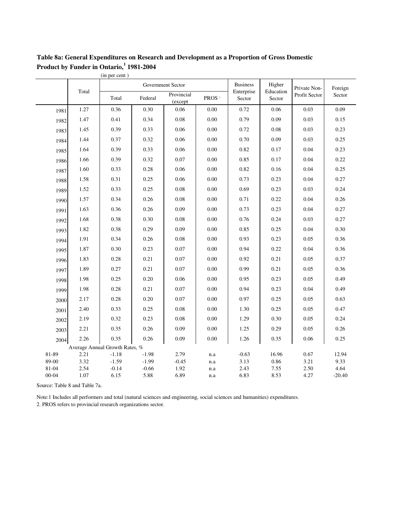### **Table 8a: General Expenditures on Research and Development as a Proportion of Gross Domestic Product by Funder in Ontario, 1 1981-2004**

|                    |              | (in per cent)                  |                 |                       |                   |                      |                     |               |                  |
|--------------------|--------------|--------------------------------|-----------------|-----------------------|-------------------|----------------------|---------------------|---------------|------------------|
|                    |              |                                |                 | Government Sector     |                   | <b>Business</b>      | Higher              | Private Non-  | Foreign          |
|                    | Total        | Total                          | Federal         | Provincial<br>(except | PROS <sup>2</sup> | Enterprise<br>Sector | Education<br>Sector | Profit Sector | Sector           |
| 1981               | 1.27         | 0.36                           | 0.30            | 0.06                  | 0.00              | 0.72                 | 0.06                | 0.03          | 0.09             |
| 1982               | 1.47         | 0.41                           | 0.34            | 0.08                  | 0.00              | 0.79                 | 0.09                | 0.03          | 0.15             |
| 1983               | 1.45         | 0.39                           | 0.33            | 0.06                  | 0.00              | 0.72                 | 0.08                | 0.03          | 0.23             |
| 1984               | 1.44         | 0.37                           | 0.32            | 0.06                  | 0.00              | 0.70                 | 0.09                | 0.03          | 0.25             |
| 1985               | 1.64         | 0.39                           | 0.33            | 0.06                  | 0.00              | 0.82                 | 0.17                | 0.04          | 0.23             |
| 1986               | 1.66         | 0.39                           | 0.32            | 0.07                  | 0.00              | 0.85                 | 0.17                | 0.04          | 0.22             |
| 1987               | 1.60         | 0.33                           | 0.28            | 0.06                  | 0.00              | 0.82                 | 0.16                | 0.04          | 0.25             |
| 1988               | 1.58         | 0.31                           | 0.25            | 0.06                  | 0.00              | 0.73                 | 0.23                | 0.04          | 0.27             |
| 1989               | 1.52         | 0.33                           | 0.25            | 0.08                  | 0.00              | 0.69                 | 0.23                | 0.03          | 0.24             |
| 1990               | 1.57         | 0.34                           | 0.26            | 0.08                  | 0.00              | 0.71                 | 0.22                | 0.04          | 0.26             |
| 1991               | 1.63         | 0.36                           | 0.26            | 0.09                  | 0.00              | 0.73                 | 0.23                | 0.04          | 0.27             |
| 1992               | 1.68         | 0.38                           | 0.30            | 0.08                  | 0.00              | 0.76                 | 0.24                | 0.03          | 0.27             |
| 1993               | 1.82         | 0.38                           | 0.29            | 0.09                  | 0.00              | 0.85                 | 0.25                | 0.04          | 0.30             |
| 1994               | 1.91         | 0.34                           | 0.26            | 0.08                  | 0.00              | 0.93                 | 0.23                | 0.05          | 0.36             |
| 1995               | 1.87         | 0.30                           | 0.23            | 0.07                  | 0.00              | 0.94                 | 0.22                | 0.04          | 0.36             |
| 1996               | 1.83         | 0.28                           | 0.21            | 0.07                  | 0.00              | 0.92                 | 0.21                | 0.05          | 0.37             |
| 1997               | 1.89         | 0.27                           | 0.21            | 0.07                  | 0.00              | 0.99                 | 0.21                | 0.05          | 0.36             |
| 1998               | 1.98         | 0.25                           | 0.20            | 0.06                  | 0.00              | 0.95                 | 0.23                | 0.05          | 0.49             |
| 1999               | 1.98         | 0.28                           | 0.21            | 0.07                  | 0.00              | 0.94                 | 0.23                | 0.04          | 0.49             |
| 2000               | 2.17         | 0.28                           | 0.20            | 0.07                  | 0.00              | 0.97                 | 0.25                | 0.05          | 0.63             |
| 2001               | 2.40         | 0.33                           | 0.25            | 0.08                  | 0.00              | 1.30                 | 0.25                | 0.05          | 0.47             |
| 2002               | 2.19         | 0.32                           | 0.23            | 0.08                  | 0.00              | 1.29                 | 0.30                | 0.05          | 0.24             |
| 2003               | 2.21         | 0.35                           | 0.26            | 0.09                  | 0.00              | 1.25                 | 0.29                | 0.05          | 0.26             |
| 2004               | 2.26         | 0.35                           | 0.26            | 0.09                  | 0.00              | 1.26                 | 0.35                | 0.06          | 0.25             |
|                    |              | Average Annual Growth Rates, % |                 |                       |                   |                      |                     |               |                  |
| 81-89              | 2.21         | $-1.18$                        | $-1.98$         | 2.79                  | n.a               | $-0.63$              | 16.96               | 0.67          | 12.94            |
| 89-00              | 3.32         | $-1.59$                        | $-1.99$         | $-0.45$               | n.a               | 3.13                 | 0.86                | 3.21          | 9.33             |
| 81-04<br>$00 - 04$ | 2.54<br>1.07 | $-0.14$<br>6.15                | $-0.66$<br>5.88 | 1.92<br>6.89          | n.a<br>n.a        | 2.43<br>6.83         | 7.55<br>8.53        | 2.50<br>4.27  | 4.64<br>$-20.40$ |

Source: Table 8 and Table 7a.

2. PROS refers to provincial research organizations sector. Note:1 Includes all performers and total (natural sciences and engineering, social sciences and humanities) expenditures.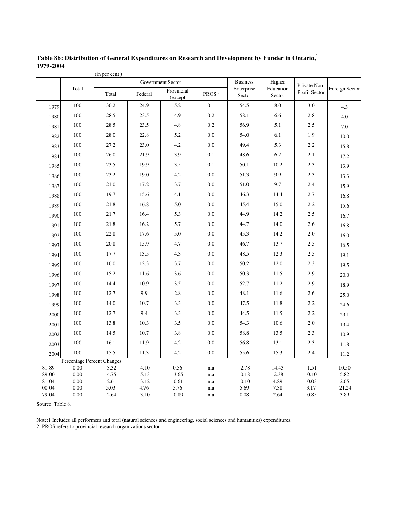| <b>Business</b><br>Government Sector<br>Higher<br>Private Non-<br>Total<br>Enterprise<br>Education<br>Foreign Sector<br>Provincial<br>Profit Sector<br>Total<br>Federal<br>PROS <sup>2</sup><br>Sector<br>Sector<br>(except<br>100<br>30.2<br>24.9<br>0.1<br>54.5<br>8.0<br>3.0<br>5.2<br>1979<br>4.3<br>100<br>28.5<br>23.5<br>4.9<br>0.2<br>58.1<br>6.6<br>2.8<br>1980<br>4.0<br>100<br>28.5<br>23.5<br>4.8<br>0.2<br>56.9<br>5.1<br>2.5<br>1981<br>7.0<br>100<br>28.0<br>22.8<br>5.2<br>0.0<br>54.0<br>6.1<br>1.9<br>1982<br>10.0<br>27.2<br>0.0<br>2.2<br>100<br>23.0<br>4.2<br>49.4<br>5.3<br>1983<br>15.8<br>100<br>26.0<br>48.6<br>21.9<br>3.9<br>0.1<br>6.2<br>2.1<br>1984<br>17.2<br>100<br>23.5<br>19.9<br>0.1<br>50.1<br>10.2<br>2.3<br>3.5<br>1985<br>13.9<br>9.9<br>100<br>23.2<br>4.2<br>0.0<br>51.3<br>19.0<br>2.3<br>1986<br>13.3<br>100<br>3.7<br>0.0<br>21.0<br>17.2<br>51.0<br>9.7<br>2.4<br>1987<br>15.9<br>100<br>19.7<br>4.1<br>0.0<br>14.4<br>2.7<br>15.6<br>46.3<br>1988<br>16.8<br>100<br>21.8<br>16.8<br>5.0<br>0.0<br>45.4<br>15.0<br>2.2<br>1989<br>15.6<br>100<br>21.7<br>16.4<br>5.3<br>0.0<br>44.9<br>14.2<br>2.5<br>1990<br>16.7<br>100<br>21.8<br>16.2<br>5.7<br>0.0<br>44.7<br>14.0<br>2.6<br>1991<br>16.8<br>100<br>22.8<br>17.6<br>5.0<br>0.0<br>45.3<br>14.2<br>2.0<br>1992<br>16.0<br>100<br>46.7<br>20.8<br>15.9<br>4.7<br>0.0<br>13.7<br>2.5<br>1993<br>16.5<br>100<br>0.0<br>2.5<br>17.7<br>13.5<br>4.3<br>48.5<br>12.3<br>1994<br>19.1<br>100<br>16.0<br>0.0<br>50.2<br>12.0<br>12.3<br>3.7<br>2.3<br>1995<br>19.5<br>100<br>15.2<br>3.6<br>0.0<br>50.3<br>2.9<br>11.6<br>11.5<br>1996<br>20.0<br>100<br>14.4<br>10.9<br>3.5<br>0.0<br>52.7<br>11.2<br>2.9<br>1997<br>18.9<br>100<br>9.9<br>2.8<br>0.0<br>48.1<br>12.7<br>11.6<br>2.6<br>1998<br>25.0<br>100<br>14.0<br>0.0<br>10.7<br>3.3<br>47.5<br>11.8<br>2.2<br>1999<br>24.6<br>100<br>12.7<br>9.4<br>0.0<br>3.3<br>44.5<br>11.5<br>2.2<br>2000<br>29.1<br>100<br>13.8<br>0.0<br>10.6<br>2.0<br>10.3<br>3.5<br>54.3<br>2001<br>19.4<br>100<br>14.5<br>10.7<br>3.8<br>0.0<br>58.8<br>2.3<br>13.5<br>2002<br>10.9<br>100<br>16.1<br>4.2<br>0.0<br>56.8<br>13.1<br>2.3<br>11.9<br>2003<br>11.8<br>100<br>15.5<br>11.3<br>4.2<br>2.4<br>0.0<br>55.6<br>15.3<br>2004<br>11.2<br>Percentage Percent Changes<br>81-89<br>0.00<br>$-3.32$<br>$-4.10$<br>0.56<br>$-2.78$<br>14.43<br>$-1.51$<br>10.50<br>n.a<br>89-00<br>0.00<br>$-4.75$<br>$-5.13$<br>$-3.65$<br>$-0.18$<br>$-2.38$<br>$-0.10$<br>5.82<br>n.a<br>0.00<br>$-2.61$<br>$-3.12$<br>$-0.61$<br>$-0.10$<br>4.89<br>$-0.03$<br>2.05<br>81-04<br>n.a<br>$00 - 04$<br>5.03<br>4.76<br>5.76<br>3.17<br>0.00<br>5.69<br>7.38<br>$-21.24$<br>n.a |       |      | (in per cent) |         |         |     |      |      |         |      |
|---------------------------------------------------------------------------------------------------------------------------------------------------------------------------------------------------------------------------------------------------------------------------------------------------------------------------------------------------------------------------------------------------------------------------------------------------------------------------------------------------------------------------------------------------------------------------------------------------------------------------------------------------------------------------------------------------------------------------------------------------------------------------------------------------------------------------------------------------------------------------------------------------------------------------------------------------------------------------------------------------------------------------------------------------------------------------------------------------------------------------------------------------------------------------------------------------------------------------------------------------------------------------------------------------------------------------------------------------------------------------------------------------------------------------------------------------------------------------------------------------------------------------------------------------------------------------------------------------------------------------------------------------------------------------------------------------------------------------------------------------------------------------------------------------------------------------------------------------------------------------------------------------------------------------------------------------------------------------------------------------------------------------------------------------------------------------------------------------------------------------------------------------------------------------------------------------------------------------------------------------------------------------------------------------------------------------------------------------------------------------------------------------------------------------------------------------------------------------------------------------------------------------------------------------------------------------------------------------------------------------------------------------------------------------------------------|-------|------|---------------|---------|---------|-----|------|------|---------|------|
|                                                                                                                                                                                                                                                                                                                                                                                                                                                                                                                                                                                                                                                                                                                                                                                                                                                                                                                                                                                                                                                                                                                                                                                                                                                                                                                                                                                                                                                                                                                                                                                                                                                                                                                                                                                                                                                                                                                                                                                                                                                                                                                                                                                                                                                                                                                                                                                                                                                                                                                                                                                                                                                                                             |       |      |               |         |         |     |      |      |         |      |
|                                                                                                                                                                                                                                                                                                                                                                                                                                                                                                                                                                                                                                                                                                                                                                                                                                                                                                                                                                                                                                                                                                                                                                                                                                                                                                                                                                                                                                                                                                                                                                                                                                                                                                                                                                                                                                                                                                                                                                                                                                                                                                                                                                                                                                                                                                                                                                                                                                                                                                                                                                                                                                                                                             |       |      |               |         |         |     |      |      |         |      |
|                                                                                                                                                                                                                                                                                                                                                                                                                                                                                                                                                                                                                                                                                                                                                                                                                                                                                                                                                                                                                                                                                                                                                                                                                                                                                                                                                                                                                                                                                                                                                                                                                                                                                                                                                                                                                                                                                                                                                                                                                                                                                                                                                                                                                                                                                                                                                                                                                                                                                                                                                                                                                                                                                             |       |      |               |         |         |     |      |      |         |      |
|                                                                                                                                                                                                                                                                                                                                                                                                                                                                                                                                                                                                                                                                                                                                                                                                                                                                                                                                                                                                                                                                                                                                                                                                                                                                                                                                                                                                                                                                                                                                                                                                                                                                                                                                                                                                                                                                                                                                                                                                                                                                                                                                                                                                                                                                                                                                                                                                                                                                                                                                                                                                                                                                                             |       |      |               |         |         |     |      |      |         |      |
|                                                                                                                                                                                                                                                                                                                                                                                                                                                                                                                                                                                                                                                                                                                                                                                                                                                                                                                                                                                                                                                                                                                                                                                                                                                                                                                                                                                                                                                                                                                                                                                                                                                                                                                                                                                                                                                                                                                                                                                                                                                                                                                                                                                                                                                                                                                                                                                                                                                                                                                                                                                                                                                                                             |       |      |               |         |         |     |      |      |         |      |
|                                                                                                                                                                                                                                                                                                                                                                                                                                                                                                                                                                                                                                                                                                                                                                                                                                                                                                                                                                                                                                                                                                                                                                                                                                                                                                                                                                                                                                                                                                                                                                                                                                                                                                                                                                                                                                                                                                                                                                                                                                                                                                                                                                                                                                                                                                                                                                                                                                                                                                                                                                                                                                                                                             |       |      |               |         |         |     |      |      |         |      |
|                                                                                                                                                                                                                                                                                                                                                                                                                                                                                                                                                                                                                                                                                                                                                                                                                                                                                                                                                                                                                                                                                                                                                                                                                                                                                                                                                                                                                                                                                                                                                                                                                                                                                                                                                                                                                                                                                                                                                                                                                                                                                                                                                                                                                                                                                                                                                                                                                                                                                                                                                                                                                                                                                             |       |      |               |         |         |     |      |      |         |      |
|                                                                                                                                                                                                                                                                                                                                                                                                                                                                                                                                                                                                                                                                                                                                                                                                                                                                                                                                                                                                                                                                                                                                                                                                                                                                                                                                                                                                                                                                                                                                                                                                                                                                                                                                                                                                                                                                                                                                                                                                                                                                                                                                                                                                                                                                                                                                                                                                                                                                                                                                                                                                                                                                                             |       |      |               |         |         |     |      |      |         |      |
|                                                                                                                                                                                                                                                                                                                                                                                                                                                                                                                                                                                                                                                                                                                                                                                                                                                                                                                                                                                                                                                                                                                                                                                                                                                                                                                                                                                                                                                                                                                                                                                                                                                                                                                                                                                                                                                                                                                                                                                                                                                                                                                                                                                                                                                                                                                                                                                                                                                                                                                                                                                                                                                                                             |       |      |               |         |         |     |      |      |         |      |
|                                                                                                                                                                                                                                                                                                                                                                                                                                                                                                                                                                                                                                                                                                                                                                                                                                                                                                                                                                                                                                                                                                                                                                                                                                                                                                                                                                                                                                                                                                                                                                                                                                                                                                                                                                                                                                                                                                                                                                                                                                                                                                                                                                                                                                                                                                                                                                                                                                                                                                                                                                                                                                                                                             |       |      |               |         |         |     |      |      |         |      |
|                                                                                                                                                                                                                                                                                                                                                                                                                                                                                                                                                                                                                                                                                                                                                                                                                                                                                                                                                                                                                                                                                                                                                                                                                                                                                                                                                                                                                                                                                                                                                                                                                                                                                                                                                                                                                                                                                                                                                                                                                                                                                                                                                                                                                                                                                                                                                                                                                                                                                                                                                                                                                                                                                             |       |      |               |         |         |     |      |      |         |      |
|                                                                                                                                                                                                                                                                                                                                                                                                                                                                                                                                                                                                                                                                                                                                                                                                                                                                                                                                                                                                                                                                                                                                                                                                                                                                                                                                                                                                                                                                                                                                                                                                                                                                                                                                                                                                                                                                                                                                                                                                                                                                                                                                                                                                                                                                                                                                                                                                                                                                                                                                                                                                                                                                                             |       |      |               |         |         |     |      |      |         |      |
|                                                                                                                                                                                                                                                                                                                                                                                                                                                                                                                                                                                                                                                                                                                                                                                                                                                                                                                                                                                                                                                                                                                                                                                                                                                                                                                                                                                                                                                                                                                                                                                                                                                                                                                                                                                                                                                                                                                                                                                                                                                                                                                                                                                                                                                                                                                                                                                                                                                                                                                                                                                                                                                                                             |       |      |               |         |         |     |      |      |         |      |
|                                                                                                                                                                                                                                                                                                                                                                                                                                                                                                                                                                                                                                                                                                                                                                                                                                                                                                                                                                                                                                                                                                                                                                                                                                                                                                                                                                                                                                                                                                                                                                                                                                                                                                                                                                                                                                                                                                                                                                                                                                                                                                                                                                                                                                                                                                                                                                                                                                                                                                                                                                                                                                                                                             |       |      |               |         |         |     |      |      |         |      |
|                                                                                                                                                                                                                                                                                                                                                                                                                                                                                                                                                                                                                                                                                                                                                                                                                                                                                                                                                                                                                                                                                                                                                                                                                                                                                                                                                                                                                                                                                                                                                                                                                                                                                                                                                                                                                                                                                                                                                                                                                                                                                                                                                                                                                                                                                                                                                                                                                                                                                                                                                                                                                                                                                             |       |      |               |         |         |     |      |      |         |      |
|                                                                                                                                                                                                                                                                                                                                                                                                                                                                                                                                                                                                                                                                                                                                                                                                                                                                                                                                                                                                                                                                                                                                                                                                                                                                                                                                                                                                                                                                                                                                                                                                                                                                                                                                                                                                                                                                                                                                                                                                                                                                                                                                                                                                                                                                                                                                                                                                                                                                                                                                                                                                                                                                                             |       |      |               |         |         |     |      |      |         |      |
|                                                                                                                                                                                                                                                                                                                                                                                                                                                                                                                                                                                                                                                                                                                                                                                                                                                                                                                                                                                                                                                                                                                                                                                                                                                                                                                                                                                                                                                                                                                                                                                                                                                                                                                                                                                                                                                                                                                                                                                                                                                                                                                                                                                                                                                                                                                                                                                                                                                                                                                                                                                                                                                                                             |       |      |               |         |         |     |      |      |         |      |
|                                                                                                                                                                                                                                                                                                                                                                                                                                                                                                                                                                                                                                                                                                                                                                                                                                                                                                                                                                                                                                                                                                                                                                                                                                                                                                                                                                                                                                                                                                                                                                                                                                                                                                                                                                                                                                                                                                                                                                                                                                                                                                                                                                                                                                                                                                                                                                                                                                                                                                                                                                                                                                                                                             |       |      |               |         |         |     |      |      |         |      |
|                                                                                                                                                                                                                                                                                                                                                                                                                                                                                                                                                                                                                                                                                                                                                                                                                                                                                                                                                                                                                                                                                                                                                                                                                                                                                                                                                                                                                                                                                                                                                                                                                                                                                                                                                                                                                                                                                                                                                                                                                                                                                                                                                                                                                                                                                                                                                                                                                                                                                                                                                                                                                                                                                             |       |      |               |         |         |     |      |      |         |      |
|                                                                                                                                                                                                                                                                                                                                                                                                                                                                                                                                                                                                                                                                                                                                                                                                                                                                                                                                                                                                                                                                                                                                                                                                                                                                                                                                                                                                                                                                                                                                                                                                                                                                                                                                                                                                                                                                                                                                                                                                                                                                                                                                                                                                                                                                                                                                                                                                                                                                                                                                                                                                                                                                                             |       |      |               |         |         |     |      |      |         |      |
|                                                                                                                                                                                                                                                                                                                                                                                                                                                                                                                                                                                                                                                                                                                                                                                                                                                                                                                                                                                                                                                                                                                                                                                                                                                                                                                                                                                                                                                                                                                                                                                                                                                                                                                                                                                                                                                                                                                                                                                                                                                                                                                                                                                                                                                                                                                                                                                                                                                                                                                                                                                                                                                                                             |       |      |               |         |         |     |      |      |         |      |
|                                                                                                                                                                                                                                                                                                                                                                                                                                                                                                                                                                                                                                                                                                                                                                                                                                                                                                                                                                                                                                                                                                                                                                                                                                                                                                                                                                                                                                                                                                                                                                                                                                                                                                                                                                                                                                                                                                                                                                                                                                                                                                                                                                                                                                                                                                                                                                                                                                                                                                                                                                                                                                                                                             |       |      |               |         |         |     |      |      |         |      |
|                                                                                                                                                                                                                                                                                                                                                                                                                                                                                                                                                                                                                                                                                                                                                                                                                                                                                                                                                                                                                                                                                                                                                                                                                                                                                                                                                                                                                                                                                                                                                                                                                                                                                                                                                                                                                                                                                                                                                                                                                                                                                                                                                                                                                                                                                                                                                                                                                                                                                                                                                                                                                                                                                             |       |      |               |         |         |     |      |      |         |      |
|                                                                                                                                                                                                                                                                                                                                                                                                                                                                                                                                                                                                                                                                                                                                                                                                                                                                                                                                                                                                                                                                                                                                                                                                                                                                                                                                                                                                                                                                                                                                                                                                                                                                                                                                                                                                                                                                                                                                                                                                                                                                                                                                                                                                                                                                                                                                                                                                                                                                                                                                                                                                                                                                                             |       |      |               |         |         |     |      |      |         |      |
|                                                                                                                                                                                                                                                                                                                                                                                                                                                                                                                                                                                                                                                                                                                                                                                                                                                                                                                                                                                                                                                                                                                                                                                                                                                                                                                                                                                                                                                                                                                                                                                                                                                                                                                                                                                                                                                                                                                                                                                                                                                                                                                                                                                                                                                                                                                                                                                                                                                                                                                                                                                                                                                                                             |       |      |               |         |         |     |      |      |         |      |
|                                                                                                                                                                                                                                                                                                                                                                                                                                                                                                                                                                                                                                                                                                                                                                                                                                                                                                                                                                                                                                                                                                                                                                                                                                                                                                                                                                                                                                                                                                                                                                                                                                                                                                                                                                                                                                                                                                                                                                                                                                                                                                                                                                                                                                                                                                                                                                                                                                                                                                                                                                                                                                                                                             |       |      |               |         |         |     |      |      |         |      |
|                                                                                                                                                                                                                                                                                                                                                                                                                                                                                                                                                                                                                                                                                                                                                                                                                                                                                                                                                                                                                                                                                                                                                                                                                                                                                                                                                                                                                                                                                                                                                                                                                                                                                                                                                                                                                                                                                                                                                                                                                                                                                                                                                                                                                                                                                                                                                                                                                                                                                                                                                                                                                                                                                             |       |      |               |         |         |     |      |      |         |      |
|                                                                                                                                                                                                                                                                                                                                                                                                                                                                                                                                                                                                                                                                                                                                                                                                                                                                                                                                                                                                                                                                                                                                                                                                                                                                                                                                                                                                                                                                                                                                                                                                                                                                                                                                                                                                                                                                                                                                                                                                                                                                                                                                                                                                                                                                                                                                                                                                                                                                                                                                                                                                                                                                                             |       |      |               |         |         |     |      |      |         |      |
|                                                                                                                                                                                                                                                                                                                                                                                                                                                                                                                                                                                                                                                                                                                                                                                                                                                                                                                                                                                                                                                                                                                                                                                                                                                                                                                                                                                                                                                                                                                                                                                                                                                                                                                                                                                                                                                                                                                                                                                                                                                                                                                                                                                                                                                                                                                                                                                                                                                                                                                                                                                                                                                                                             |       |      |               |         |         |     |      |      |         |      |
|                                                                                                                                                                                                                                                                                                                                                                                                                                                                                                                                                                                                                                                                                                                                                                                                                                                                                                                                                                                                                                                                                                                                                                                                                                                                                                                                                                                                                                                                                                                                                                                                                                                                                                                                                                                                                                                                                                                                                                                                                                                                                                                                                                                                                                                                                                                                                                                                                                                                                                                                                                                                                                                                                             |       |      |               |         |         |     |      |      |         |      |
|                                                                                                                                                                                                                                                                                                                                                                                                                                                                                                                                                                                                                                                                                                                                                                                                                                                                                                                                                                                                                                                                                                                                                                                                                                                                                                                                                                                                                                                                                                                                                                                                                                                                                                                                                                                                                                                                                                                                                                                                                                                                                                                                                                                                                                                                                                                                                                                                                                                                                                                                                                                                                                                                                             |       |      |               |         |         |     |      |      |         |      |
|                                                                                                                                                                                                                                                                                                                                                                                                                                                                                                                                                                                                                                                                                                                                                                                                                                                                                                                                                                                                                                                                                                                                                                                                                                                                                                                                                                                                                                                                                                                                                                                                                                                                                                                                                                                                                                                                                                                                                                                                                                                                                                                                                                                                                                                                                                                                                                                                                                                                                                                                                                                                                                                                                             |       |      |               |         |         |     |      |      |         |      |
|                                                                                                                                                                                                                                                                                                                                                                                                                                                                                                                                                                                                                                                                                                                                                                                                                                                                                                                                                                                                                                                                                                                                                                                                                                                                                                                                                                                                                                                                                                                                                                                                                                                                                                                                                                                                                                                                                                                                                                                                                                                                                                                                                                                                                                                                                                                                                                                                                                                                                                                                                                                                                                                                                             | 79-04 | 0.00 | $-2.64$       | $-3.10$ | $-0.89$ | n.a | 0.08 | 2.64 | $-0.85$ | 3.89 |

**Table 8b: Distribution of General Expenditures on Research and Development by Funder in Ontario, 1 1979-2004**

Source: Table 8.

2. PROS refers to provincial research organizations sector. Note:1 Includes all performers and total (natural sciences and engineering, social sciences and humanities) expenditures.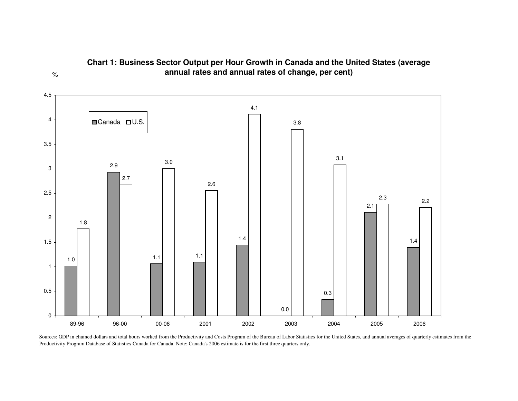

#### **Chart 1: Business Sector Output per Hour Growth in Canada and the United States (average annual rates and annual rates of change, per cent)**

%

Sources: GDP in chained dollars and total hours worked from the Productivity and Costs Program of the Bureau of Labor Statistics for the United States, and annual averages of quarterly estimates from the Productivity Program Database of Statistics Canada for Canada. Note: Canada's 2006 estimate is for the first three quarters only.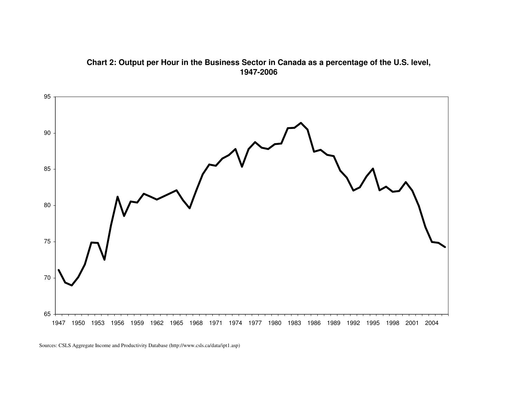#### **Chart 2: Output per Hour in the Business Sector in Canada as <sup>a</sup> percentage of the U.S. level, 1947-2006**



Sources: CSLS Aggregate Income and Productivity Database (http://www.csls.ca/data/ipt1.asp)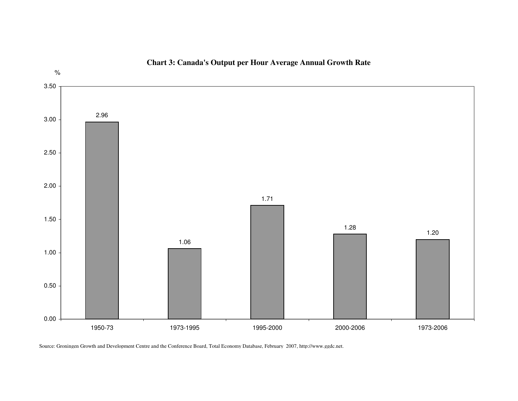

#### **Chart 3: Canada's Output per Hour Average Annual Growth Rate**

Source: Groningen Growth and Development Centre and the Conference Board, Total Economy Database, February 2007, http://www.ggdc.net.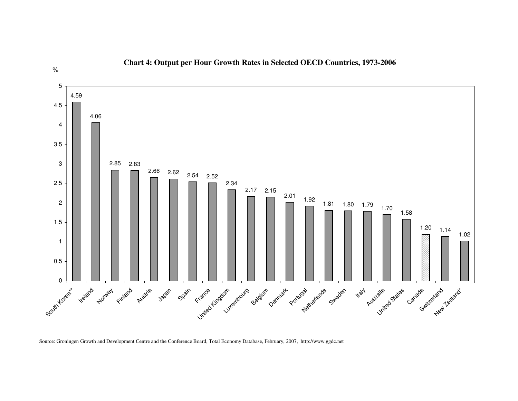

#### **Chart 4: Output per Hour Growth Rates in Selected OECD Countries, 1973-2006**

Source: Groningen Growth and Development Centre and the Conference Board, Total Economy Database, February, 2007, http://www.ggdc.net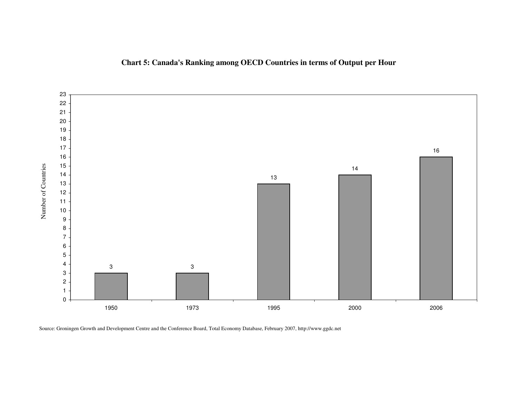



Source: Groningen Growth and Development Centre and the Conference Board, Total Economy Database, February 2007, http://www.ggdc.net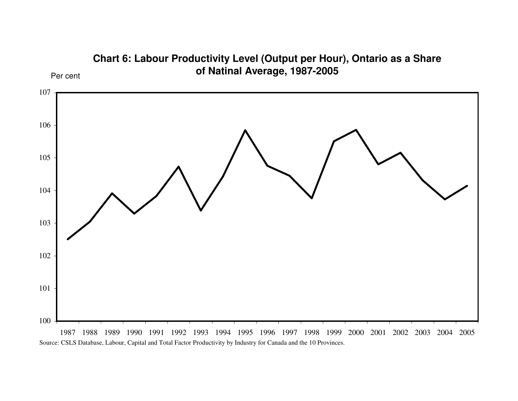![](_page_35_Figure_0.jpeg)

**Chart 6: Labour Productivity Level (Output per Hour), Ontario as <sup>a</sup> Share**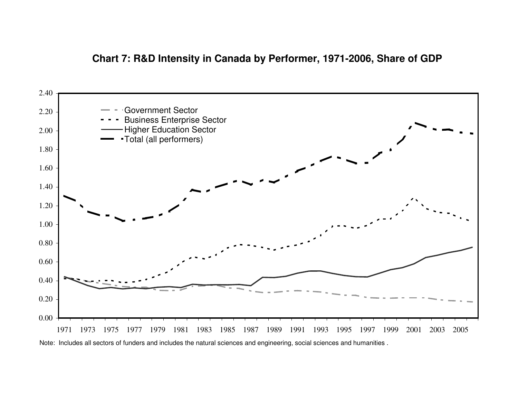## **Chart 7: R&D Intensity in Canada by Performer, 1971-2006, Share of GDP**

![](_page_36_Figure_1.jpeg)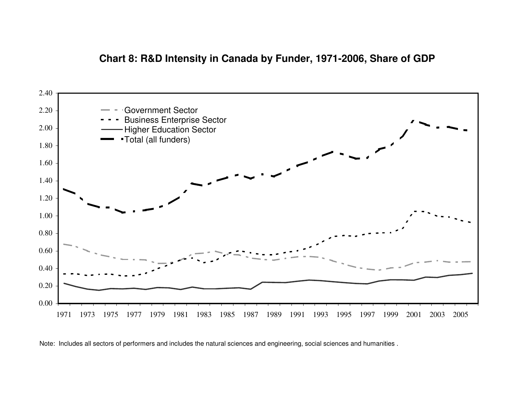## **Chart 8: R&D Intensity in Canada by Funder, 1971-2006, Share of GDP**

![](_page_37_Figure_1.jpeg)

Note: Includes all sectors of performers and includes the natural sciences and engineering, social sciences and humanities .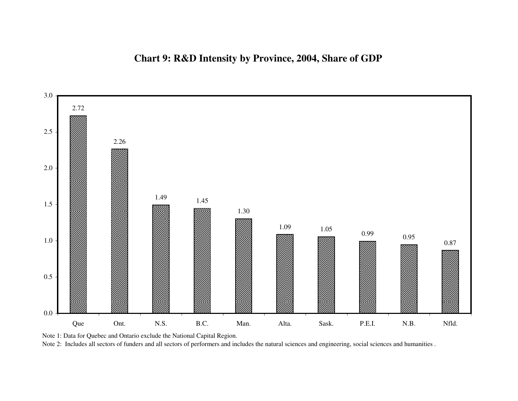![](_page_38_Figure_1.jpeg)

Note 1: Data for Quebec and Ontario exclude the National Capital Region.

Note 2: Includes all sectors of funders and all sectors of performers and includes the natural sciences and engineering, social sciences and humanities .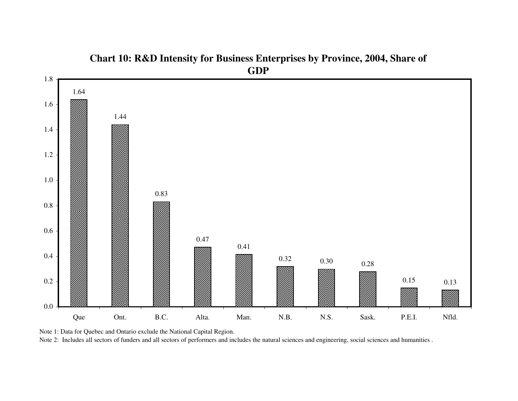![](_page_39_Figure_0.jpeg)

# **Chart 10: R&D Intensity for Business Enterprises by Province, 2004, Share of GDP**

![](_page_39_Figure_2.jpeg)

Note 2: Includes all sectors of funders and all sectors of performers and includes the natural sciences and engineering, social sciences and humanities .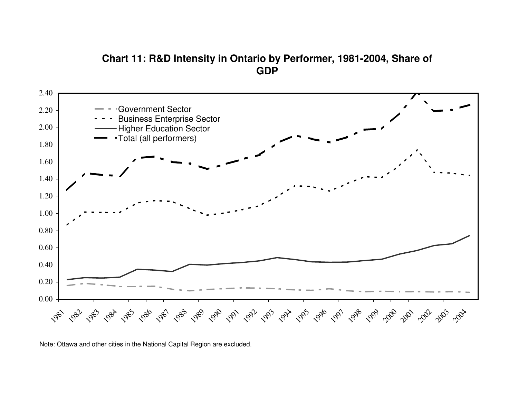# **Chart 11: R&D Intensity in Ontario by Performer, 1981-2004, Share of GDP**

![](_page_40_Figure_1.jpeg)

Note: Ottawa and other cities in the National Capital Region are excluded.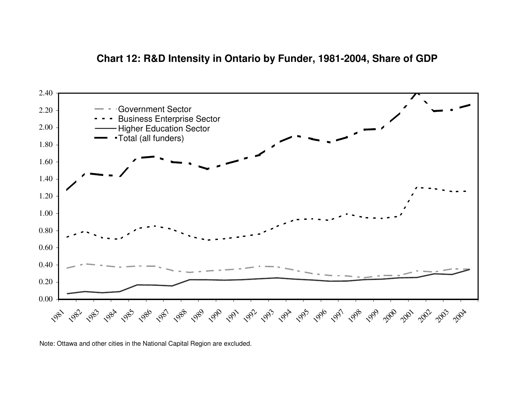## **Chart 12: R&D Intensity in Ontario by Funder, 1981-2004, Share of GDP**

![](_page_41_Figure_1.jpeg)

Note: Ottawa and other cities in the National Capital Region are excluded.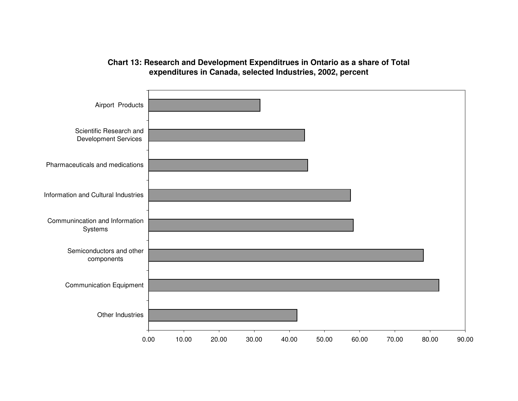#### **Chart 13: Research and Development Expenditrues in Ontario as <sup>a</sup> share of Total expenditures in Canada, selected Industries, 2002, percent**

![](_page_42_Figure_1.jpeg)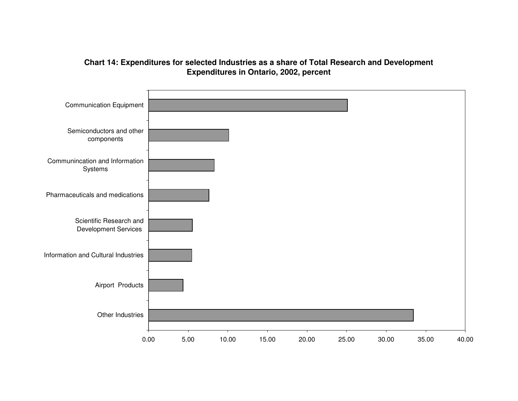### **Chart 14: Expenditures for selected Industries as <sup>a</sup> share of Total Research and Development Expenditures in Ontario, 2002, percent**

![](_page_43_Figure_1.jpeg)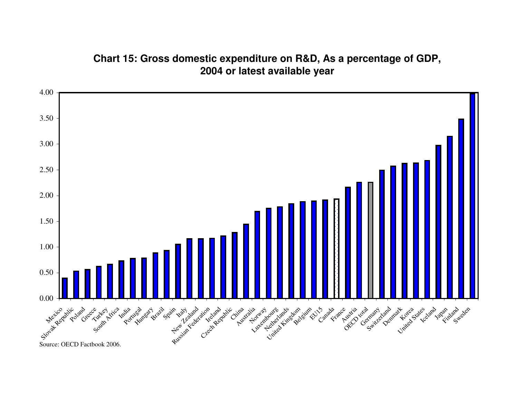# **Chart 15: Gross domestic expenditure on R&D, As <sup>a</sup> percentage of GDP, 2004 or latest available year**

![](_page_44_Figure_1.jpeg)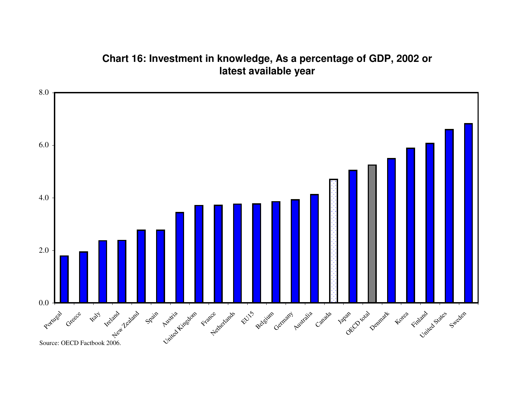# **Chart 16: Investment in knowledge, As <sup>a</sup> percentage of GDP, 2002 or latest available year**

![](_page_45_Figure_1.jpeg)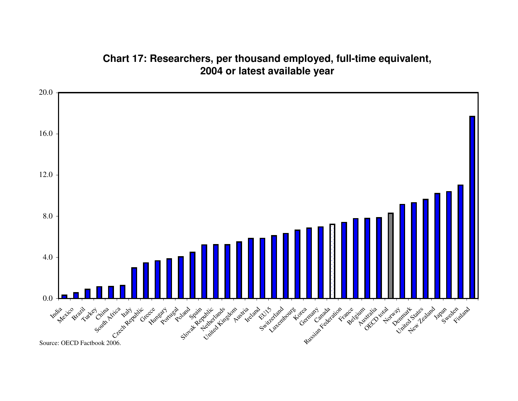# **Chart 17: Researchers, per thousand employed, full-time equivalent, 2004 or latest available year**

![](_page_46_Figure_1.jpeg)